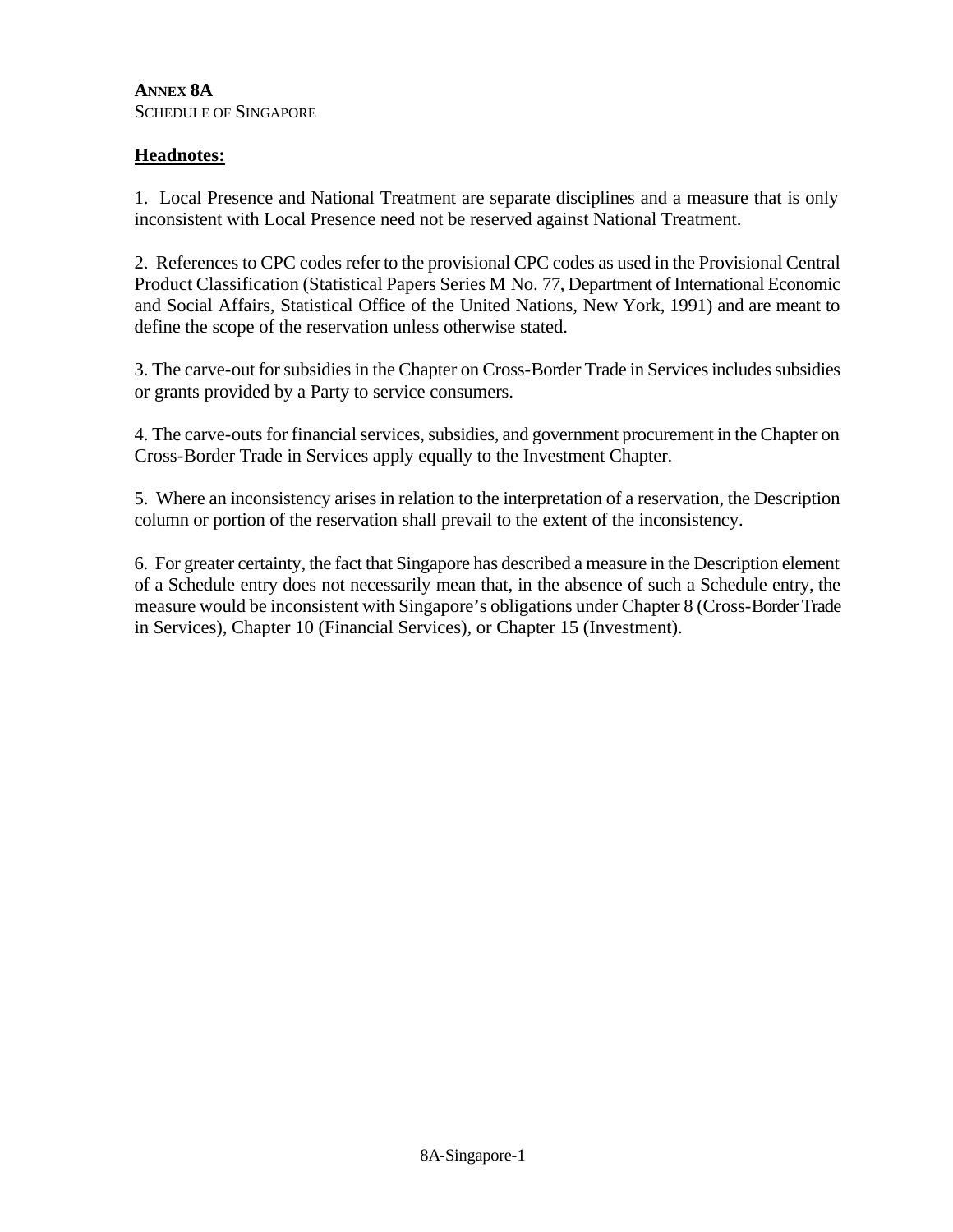## **ANNEX 8A** SCHEDULE OF SINGAPORE

## **Headnotes:**

1. Local Presence and National Treatment are separate disciplines and a measure that is only inconsistent with Local Presence need not be reserved against National Treatment.

2. References to CPC codes refer to the provisional CPC codes as used in the Provisional Central Product Classification (Statistical Papers Series M No. 77, Department of International Economic and Social Affairs, Statistical Office of the United Nations, New York, 1991) and are meant to define the scope of the reservation unless otherwise stated.

3. The carve-out for subsidies in the Chapter on Cross-Border Trade in Services includes subsidies or grants provided by a Party to service consumers.

4. The carve-outs for financial services, subsidies, and government procurement in the Chapter on Cross-Border Trade in Services apply equally to the Investment Chapter.

5. Where an inconsistency arises in relation to the interpretation of a reservation, the Description column or portion of the reservation shall prevail to the extent of the inconsistency.

6. For greater certainty, the fact that Singapore has described a measure in the Description element of a Schedule entry does not necessarily mean that, in the absence of such a Schedule entry, the measure would be inconsistent with Singapore's obligations under Chapter 8 (Cross-Border Trade in Services), Chapter 10 (Financial Services), or Chapter 15 (Investment).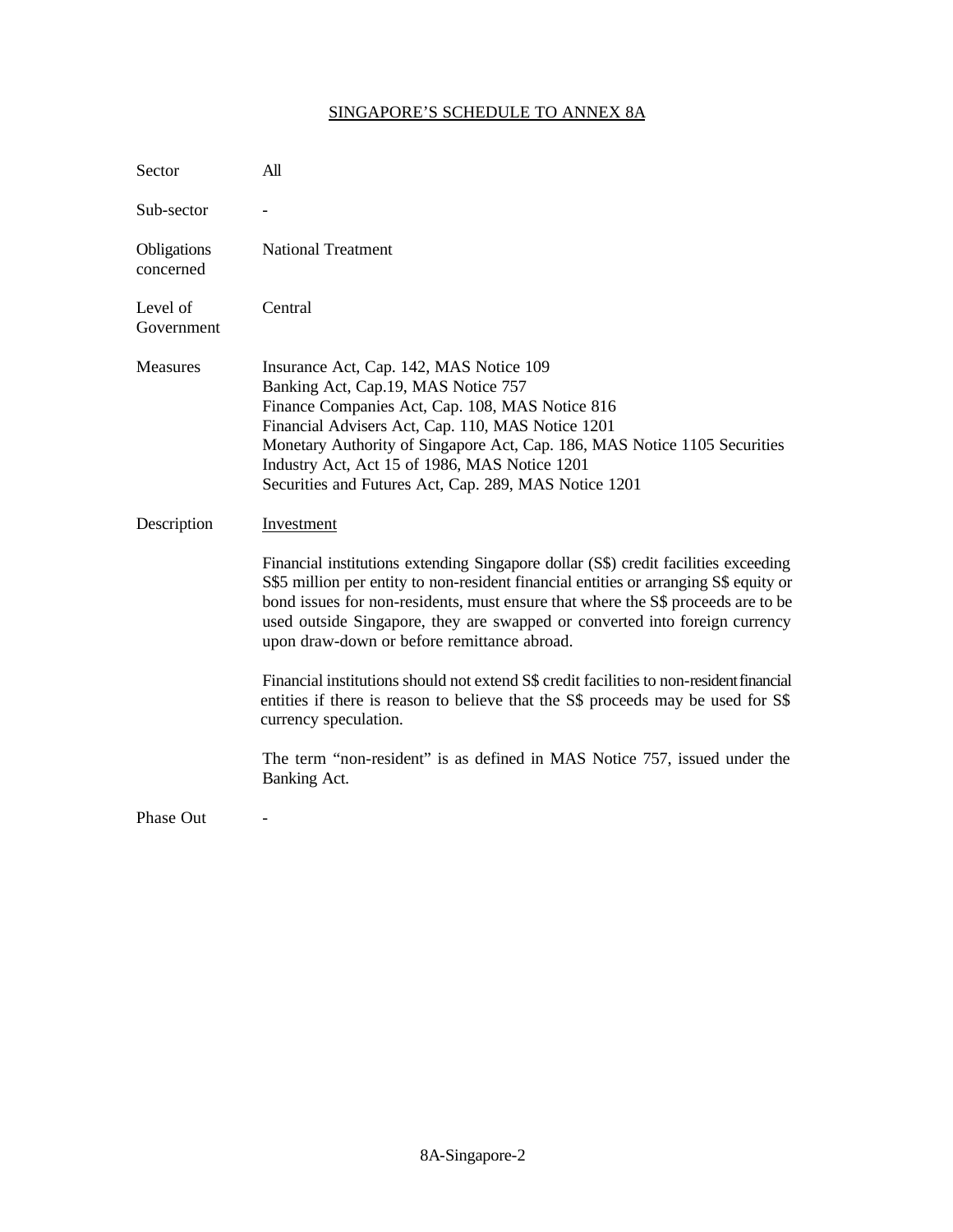## SINGAPORE'S SCHEDULE TO ANNEX 8A

| Sector                   | All                                                                                                                                                                                                                                                                                                                                                                                            |
|--------------------------|------------------------------------------------------------------------------------------------------------------------------------------------------------------------------------------------------------------------------------------------------------------------------------------------------------------------------------------------------------------------------------------------|
| Sub-sector               |                                                                                                                                                                                                                                                                                                                                                                                                |
| Obligations<br>concerned | <b>National Treatment</b>                                                                                                                                                                                                                                                                                                                                                                      |
| Level of<br>Government   | Central                                                                                                                                                                                                                                                                                                                                                                                        |
| Measures                 | Insurance Act, Cap. 142, MAS Notice 109<br>Banking Act, Cap.19, MAS Notice 757<br>Finance Companies Act, Cap. 108, MAS Notice 816<br>Financial Advisers Act, Cap. 110, MAS Notice 1201<br>Monetary Authority of Singapore Act, Cap. 186, MAS Notice 1105 Securities<br>Industry Act, Act 15 of 1986, MAS Notice 1201<br>Securities and Futures Act, Cap. 289, MAS Notice 1201                  |
| Description              | Investment                                                                                                                                                                                                                                                                                                                                                                                     |
|                          | Financial institutions extending Singapore dollar (S\$) credit facilities exceeding<br>S\$5 million per entity to non-resident financial entities or arranging S\$ equity or<br>bond issues for non-residents, must ensure that where the S\$ proceeds are to be<br>used outside Singapore, they are swapped or converted into foreign currency<br>upon draw-down or before remittance abroad. |
|                          | Financial institutions should not extend S\$ credit facilities to non-resident financial<br>entities if there is reason to believe that the S\$ proceeds may be used for S\$<br>currency speculation.                                                                                                                                                                                          |
|                          | The term "non-resident" is as defined in MAS Notice 757, issued under the<br>Banking Act.                                                                                                                                                                                                                                                                                                      |
| Phase Out                |                                                                                                                                                                                                                                                                                                                                                                                                |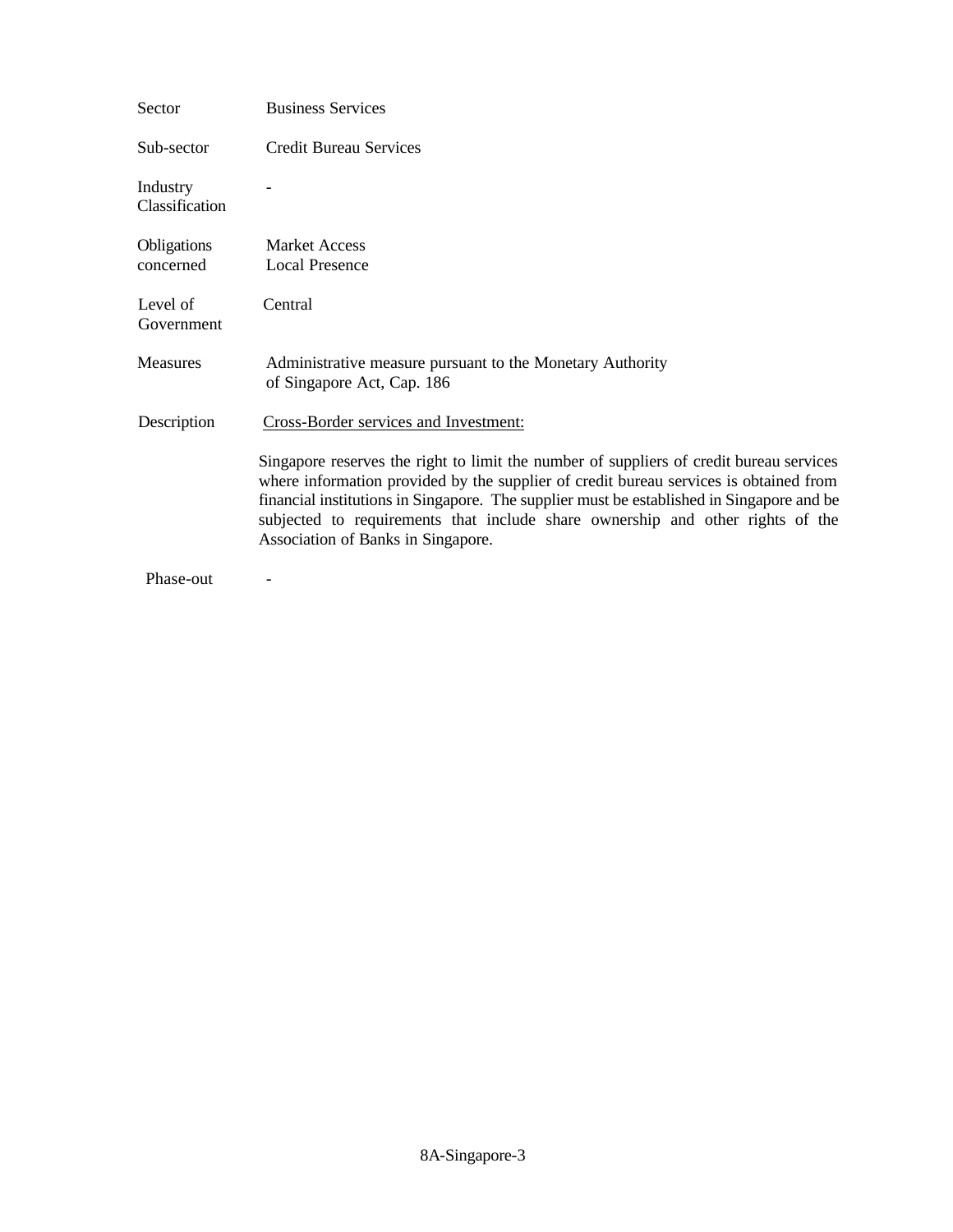| Sector                     | <b>Business Services</b>                                                                                                                                                                                                                                                                                                                                                                              |
|----------------------------|-------------------------------------------------------------------------------------------------------------------------------------------------------------------------------------------------------------------------------------------------------------------------------------------------------------------------------------------------------------------------------------------------------|
| Sub-sector                 | <b>Credit Bureau Services</b>                                                                                                                                                                                                                                                                                                                                                                         |
| Industry<br>Classification |                                                                                                                                                                                                                                                                                                                                                                                                       |
| Obligations<br>concerned   | <b>Market Access</b><br><b>Local Presence</b>                                                                                                                                                                                                                                                                                                                                                         |
| Level of<br>Government     | Central                                                                                                                                                                                                                                                                                                                                                                                               |
| Measures                   | Administrative measure pursuant to the Monetary Authority<br>of Singapore Act, Cap. 186                                                                                                                                                                                                                                                                                                               |
| Description                | Cross-Border services and Investment:                                                                                                                                                                                                                                                                                                                                                                 |
|                            | Singapore reserves the right to limit the number of suppliers of credit bureau services<br>where information provided by the supplier of credit bureau services is obtained from<br>financial institutions in Singapore. The supplier must be established in Singapore and be<br>subjected to requirements that include share ownership and other rights of the<br>Association of Banks in Singapore. |
| Phase-out                  |                                                                                                                                                                                                                                                                                                                                                                                                       |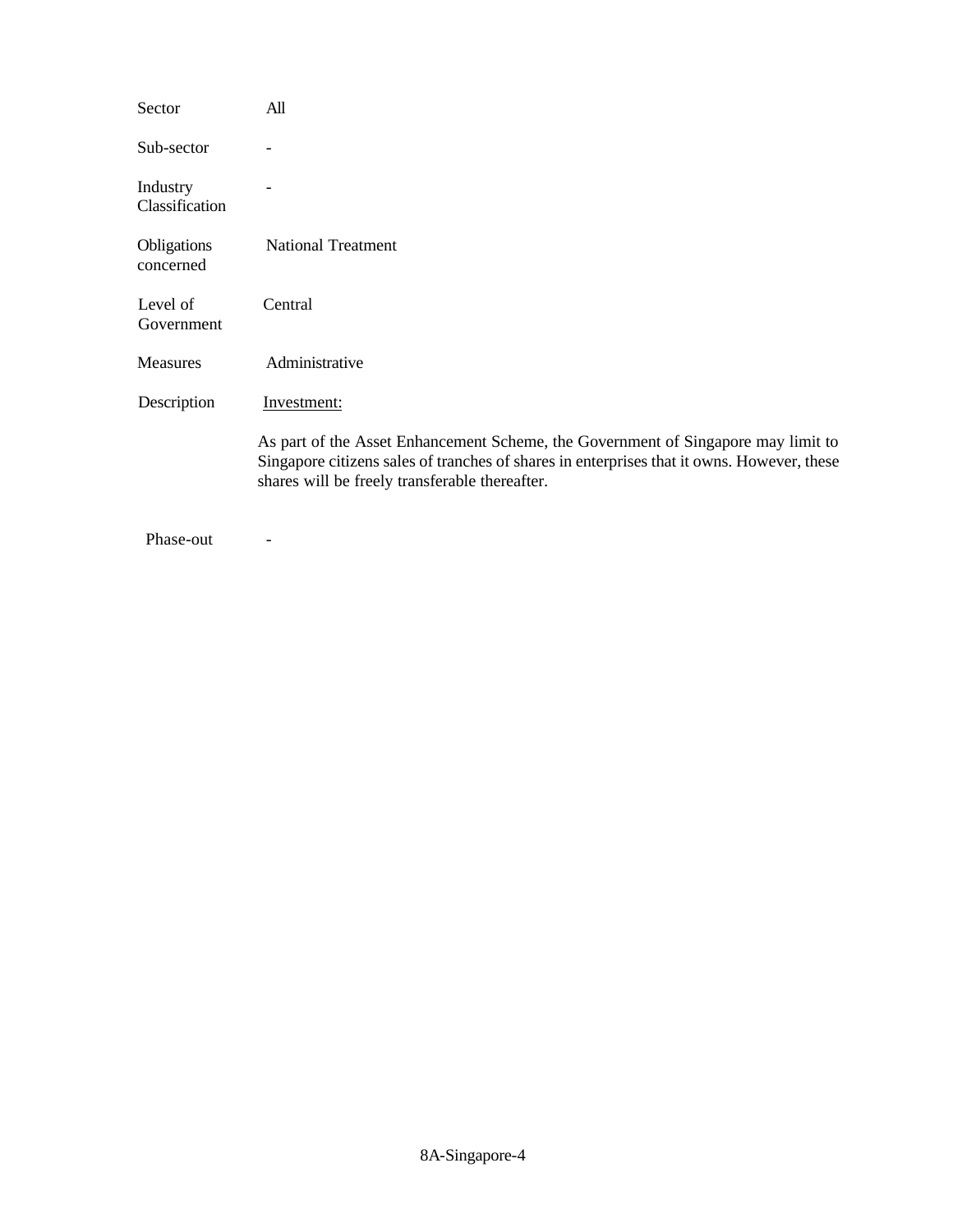| Sector                     | All                                                                                                                                                                                                                               |
|----------------------------|-----------------------------------------------------------------------------------------------------------------------------------------------------------------------------------------------------------------------------------|
| Sub-sector                 |                                                                                                                                                                                                                                   |
| Industry<br>Classification |                                                                                                                                                                                                                                   |
| Obligations<br>concerned   | <b>National Treatment</b>                                                                                                                                                                                                         |
| Level of<br>Government     | Central                                                                                                                                                                                                                           |
| <b>Measures</b>            | Administrative                                                                                                                                                                                                                    |
| Description                | Investment:                                                                                                                                                                                                                       |
|                            | As part of the Asset Enhancement Scheme, the Government of Singapore may limit to<br>Singapore citizens sales of tranches of shares in enterprises that it owns. However, these<br>shares will be freely transferable thereafter. |
|                            |                                                                                                                                                                                                                                   |

Phase-out -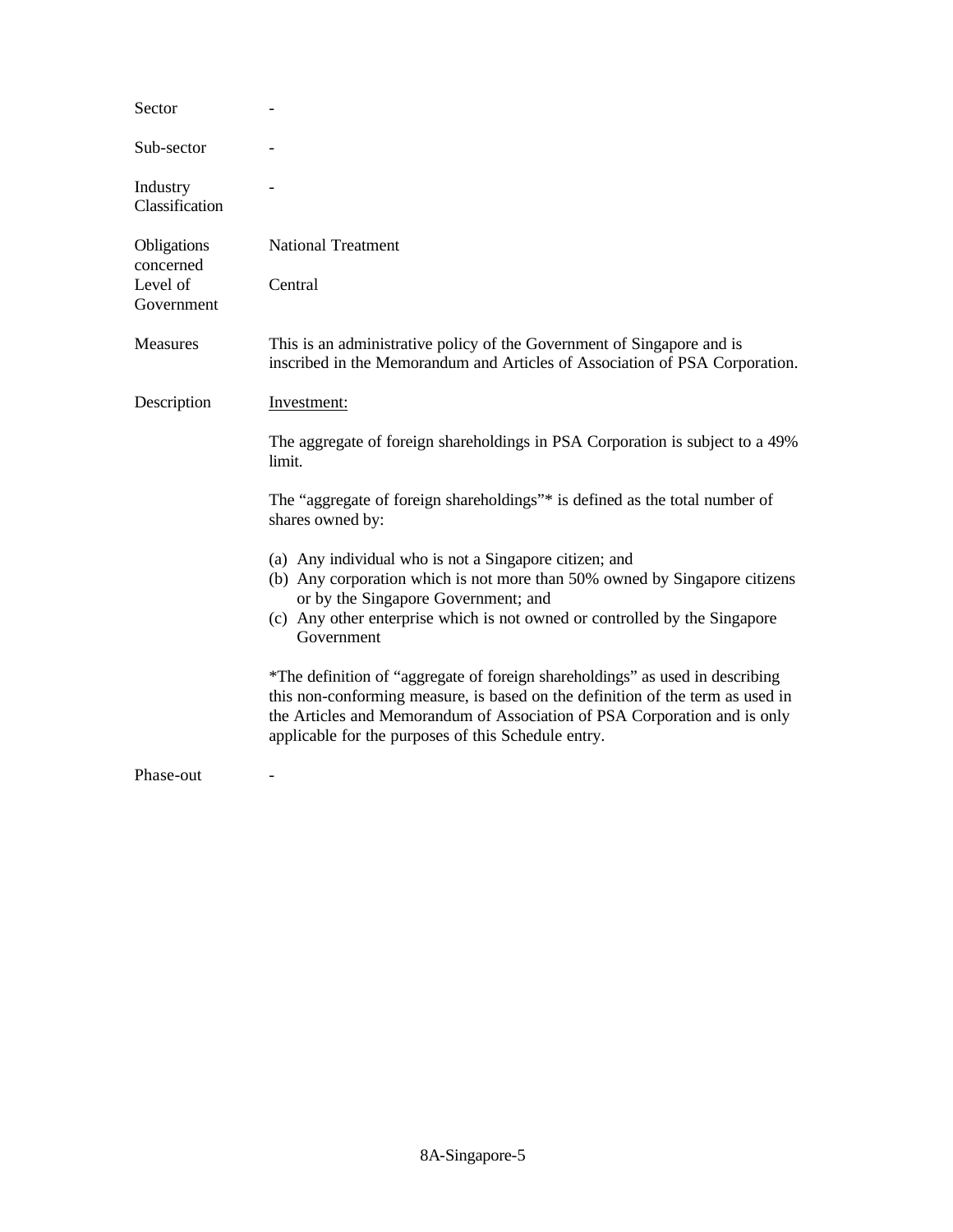| Sector                     |                                                                                                                                                                                                                                                                                                     |
|----------------------------|-----------------------------------------------------------------------------------------------------------------------------------------------------------------------------------------------------------------------------------------------------------------------------------------------------|
| Sub-sector                 |                                                                                                                                                                                                                                                                                                     |
| Industry<br>Classification |                                                                                                                                                                                                                                                                                                     |
| Obligations<br>concerned   | <b>National Treatment</b>                                                                                                                                                                                                                                                                           |
| Level of<br>Government     | Central                                                                                                                                                                                                                                                                                             |
| Measures                   | This is an administrative policy of the Government of Singapore and is<br>inscribed in the Memorandum and Articles of Association of PSA Corporation.                                                                                                                                               |
| Description                | Investment:                                                                                                                                                                                                                                                                                         |
|                            | The aggregate of foreign shareholdings in PSA Corporation is subject to a 49%<br>limit.                                                                                                                                                                                                             |
|                            | The "aggregate of foreign shareholdings"* is defined as the total number of<br>shares owned by:                                                                                                                                                                                                     |
|                            | (a) Any individual who is not a Singapore citizen; and<br>(b) Any corporation which is not more than 50% owned by Singapore citizens<br>or by the Singapore Government; and<br>(c) Any other enterprise which is not owned or controlled by the Singapore<br>Government                             |
|                            | *The definition of "aggregate of foreign shareholdings" as used in describing<br>this non-conforming measure, is based on the definition of the term as used in<br>the Articles and Memorandum of Association of PSA Corporation and is only<br>applicable for the purposes of this Schedule entry. |
| Phase-out                  |                                                                                                                                                                                                                                                                                                     |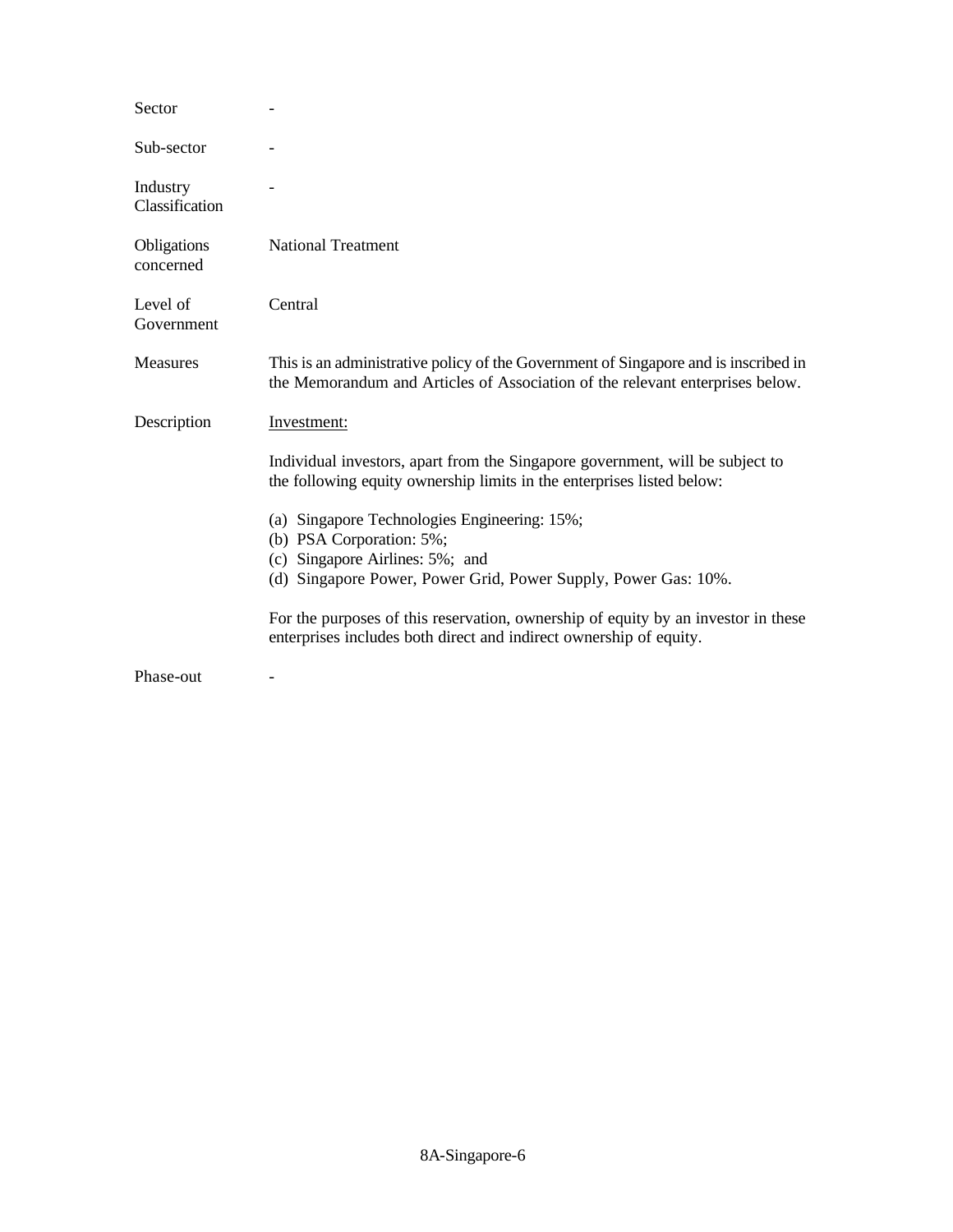| Sector                     |                                                                                                                                                                      |
|----------------------------|----------------------------------------------------------------------------------------------------------------------------------------------------------------------|
| Sub-sector                 |                                                                                                                                                                      |
| Industry<br>Classification |                                                                                                                                                                      |
| Obligations<br>concerned   | <b>National Treatment</b>                                                                                                                                            |
| Level of<br>Government     | Central                                                                                                                                                              |
| <b>Measures</b>            | This is an administrative policy of the Government of Singapore and is inscribed in<br>the Memorandum and Articles of Association of the relevant enterprises below. |
| Description                | Investment:                                                                                                                                                          |
|                            | Individual investors, apart from the Singapore government, will be subject to<br>the following equity ownership limits in the enterprises listed below:              |
|                            | (a) Singapore Technologies Engineering: 15%;<br>(b) PSA Corporation: 5%;                                                                                             |
|                            | (c) Singapore Airlines: 5%; and                                                                                                                                      |
|                            | (d) Singapore Power, Power Grid, Power Supply, Power Gas: 10%.                                                                                                       |
|                            | For the purposes of this reservation, ownership of equity by an investor in these<br>enterprises includes both direct and indirect ownership of equity.              |
| Phase-out                  |                                                                                                                                                                      |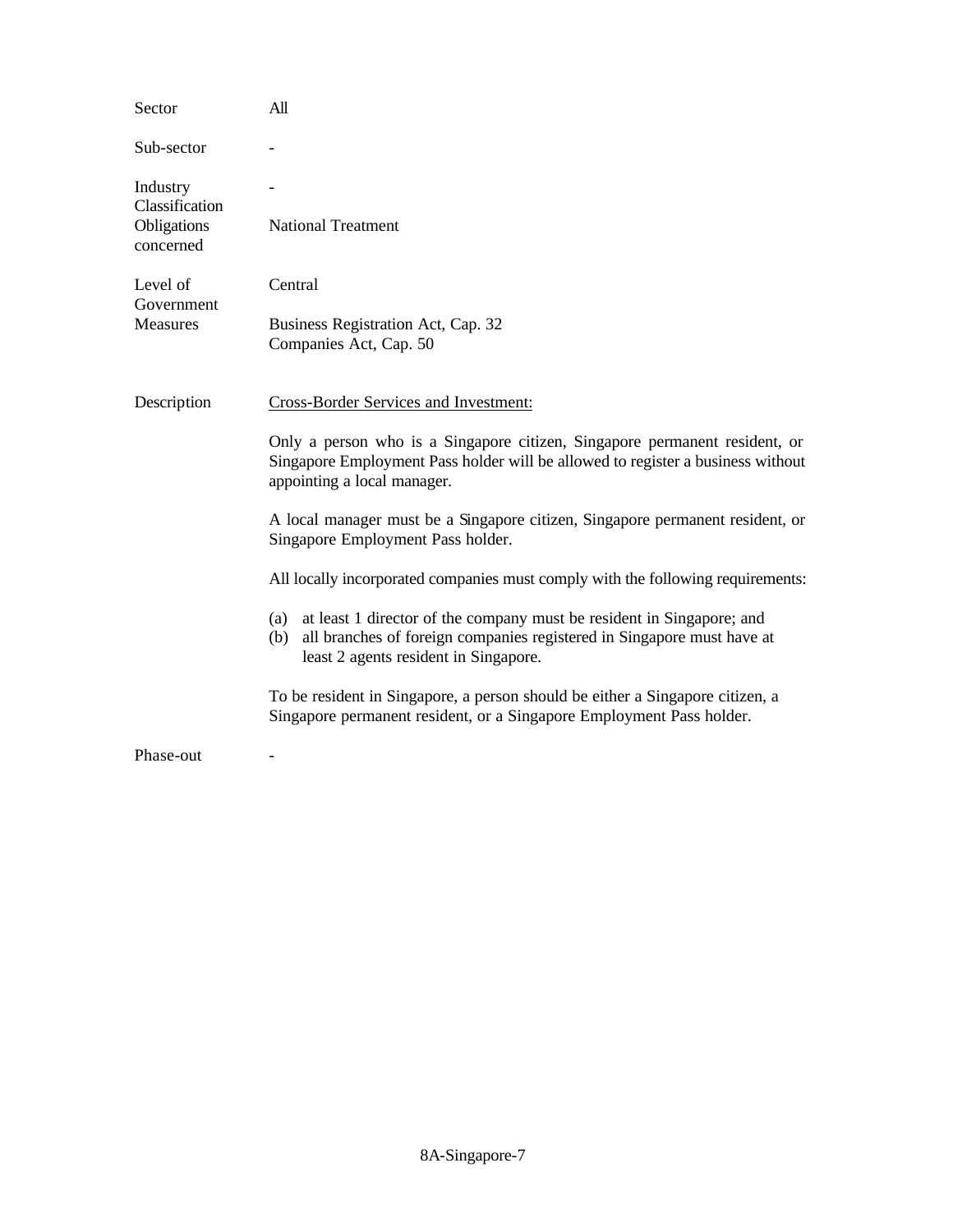| Sector                                    | All                                                                                                                                                                                                    |
|-------------------------------------------|--------------------------------------------------------------------------------------------------------------------------------------------------------------------------------------------------------|
| Sub-sector                                |                                                                                                                                                                                                        |
| Industry<br>Classification<br>Obligations | <b>National Treatment</b>                                                                                                                                                                              |
| concerned                                 |                                                                                                                                                                                                        |
| Level of<br>Government                    | Central                                                                                                                                                                                                |
| <b>Measures</b>                           | Business Registration Act, Cap. 32<br>Companies Act, Cap. 50                                                                                                                                           |
| Description                               | Cross-Border Services and Investment:                                                                                                                                                                  |
|                                           | Only a person who is a Singapore citizen, Singapore permanent resident, or<br>Singapore Employment Pass holder will be allowed to register a business without<br>appointing a local manager.           |
|                                           | A local manager must be a Singapore citizen, Singapore permanent resident, or<br>Singapore Employment Pass holder.                                                                                     |
|                                           | All locally incorporated companies must comply with the following requirements:                                                                                                                        |
|                                           | at least 1 director of the company must be resident in Singapore; and<br>(a)<br>all branches of foreign companies registered in Singapore must have at<br>(b)<br>least 2 agents resident in Singapore. |
|                                           | To be resident in Singapore, a person should be either a Singapore citizen, a<br>Singapore permanent resident, or a Singapore Employment Pass holder.                                                  |
| Phase-out                                 |                                                                                                                                                                                                        |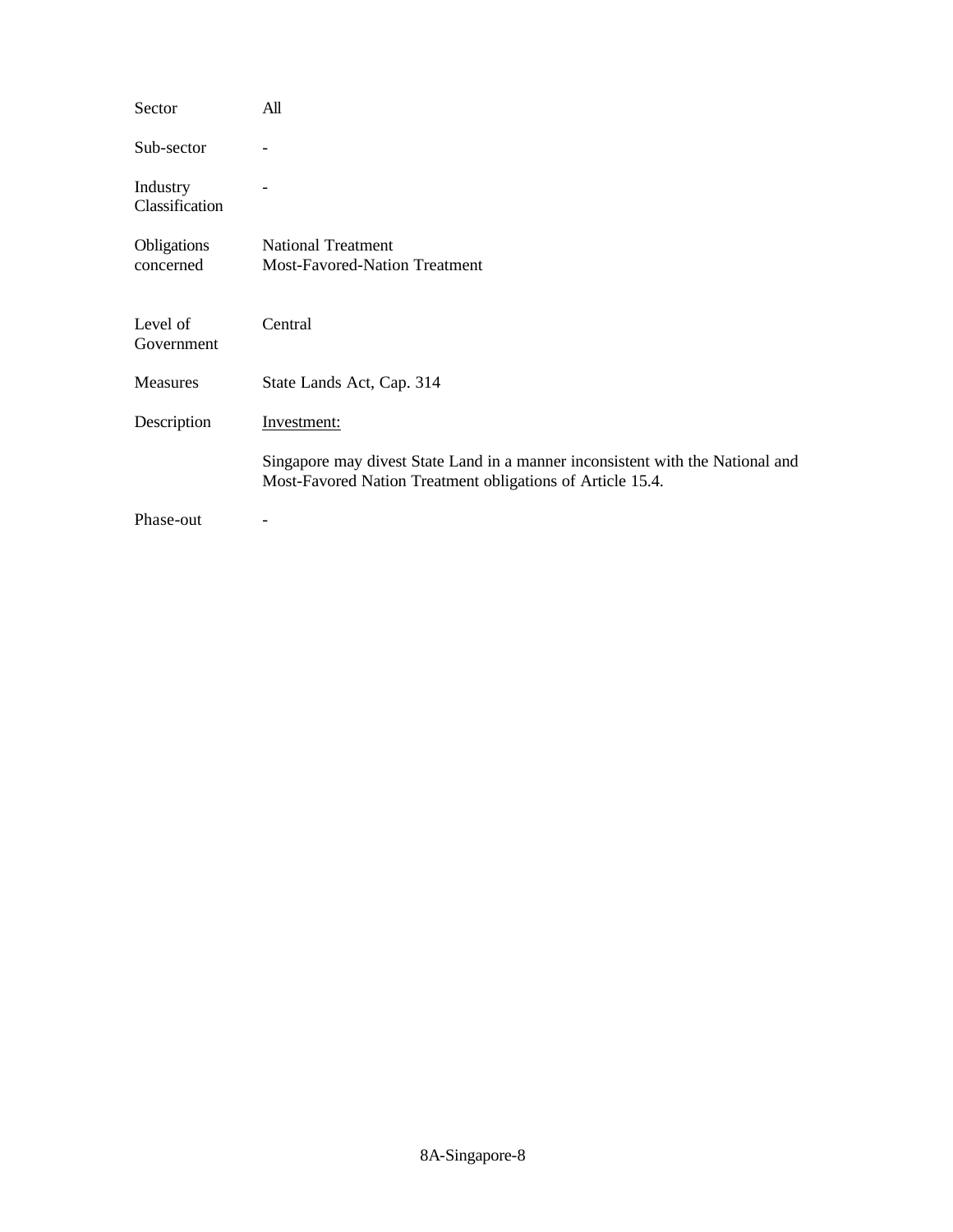| Sector                     | All                                                                                                                                          |
|----------------------------|----------------------------------------------------------------------------------------------------------------------------------------------|
| Sub-sector                 |                                                                                                                                              |
| Industry<br>Classification |                                                                                                                                              |
| Obligations<br>concerned   | <b>National Treatment</b><br><b>Most-Favored-Nation Treatment</b>                                                                            |
| Level of<br>Government     | Central                                                                                                                                      |
| <b>Measures</b>            | State Lands Act, Cap. 314                                                                                                                    |
| Description                | Investment:                                                                                                                                  |
|                            | Singapore may divest State Land in a manner inconsistent with the National and<br>Most-Favored Nation Treatment obligations of Article 15.4. |
| Phase-out                  |                                                                                                                                              |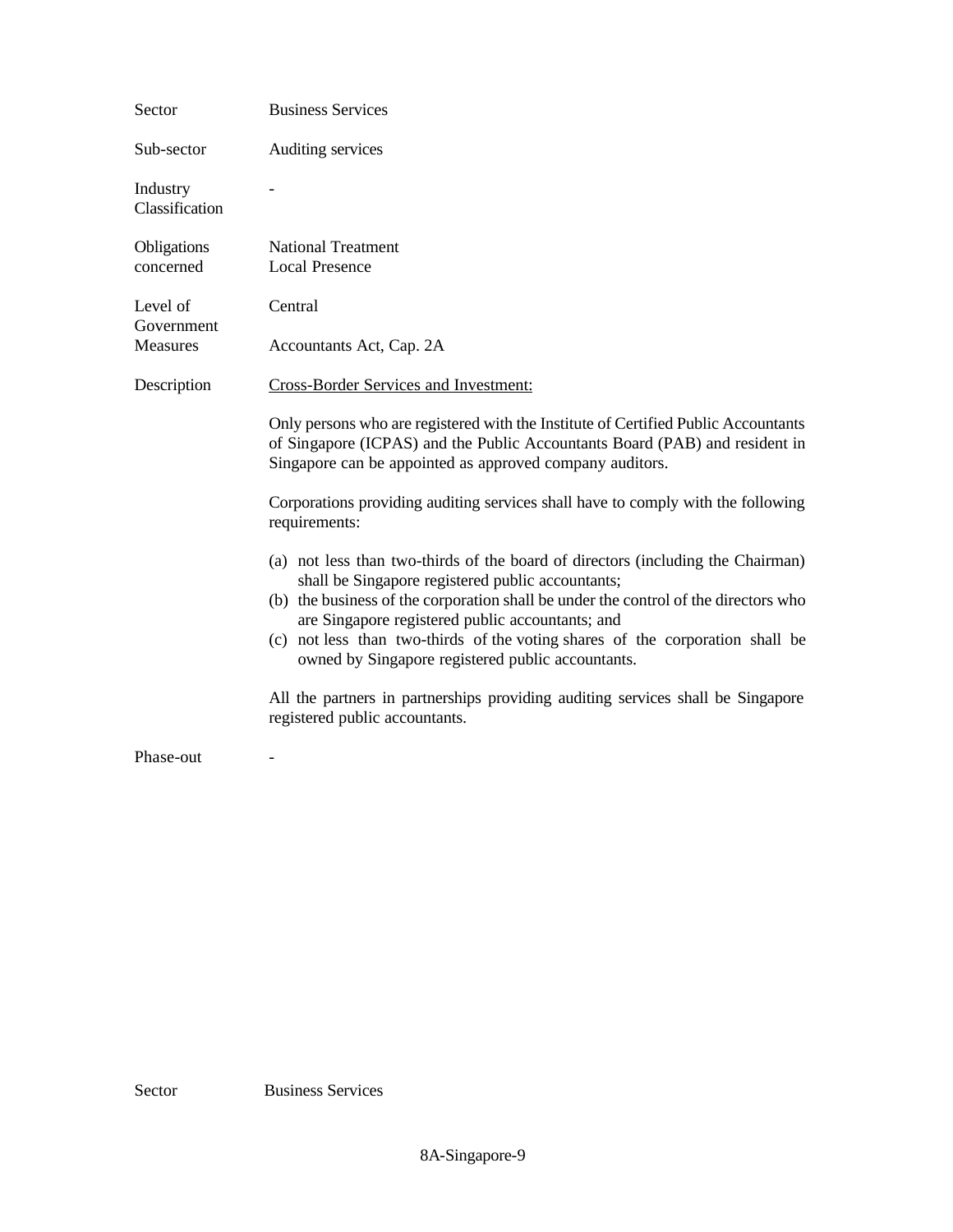| Sector                     | <b>Business Services</b>                                                                                                                                                                                                                                                                                                                                                                                              |
|----------------------------|-----------------------------------------------------------------------------------------------------------------------------------------------------------------------------------------------------------------------------------------------------------------------------------------------------------------------------------------------------------------------------------------------------------------------|
| Sub-sector                 | Auditing services                                                                                                                                                                                                                                                                                                                                                                                                     |
| Industry<br>Classification |                                                                                                                                                                                                                                                                                                                                                                                                                       |
| Obligations<br>concerned   | <b>National Treatment</b><br><b>Local Presence</b>                                                                                                                                                                                                                                                                                                                                                                    |
| Level of<br>Government     | Central                                                                                                                                                                                                                                                                                                                                                                                                               |
| <b>Measures</b>            | Accountants Act, Cap. 2A                                                                                                                                                                                                                                                                                                                                                                                              |
| Description                | Cross-Border Services and Investment:                                                                                                                                                                                                                                                                                                                                                                                 |
|                            | Only persons who are registered with the Institute of Certified Public Accountants<br>of Singapore (ICPAS) and the Public Accountants Board (PAB) and resident in<br>Singapore can be appointed as approved company auditors.                                                                                                                                                                                         |
|                            | Corporations providing auditing services shall have to comply with the following<br>requirements:                                                                                                                                                                                                                                                                                                                     |
|                            | (a) not less than two-thirds of the board of directors (including the Chairman)<br>shall be Singapore registered public accountants;<br>(b) the business of the corporation shall be under the control of the directors who<br>are Singapore registered public accountants; and<br>(c) not less than two-thirds of the voting shares of the corporation shall be<br>owned by Singapore registered public accountants. |
|                            | All the partners in partnerships providing auditing services shall be Singapore<br>registered public accountants.                                                                                                                                                                                                                                                                                                     |
| Phase-out                  |                                                                                                                                                                                                                                                                                                                                                                                                                       |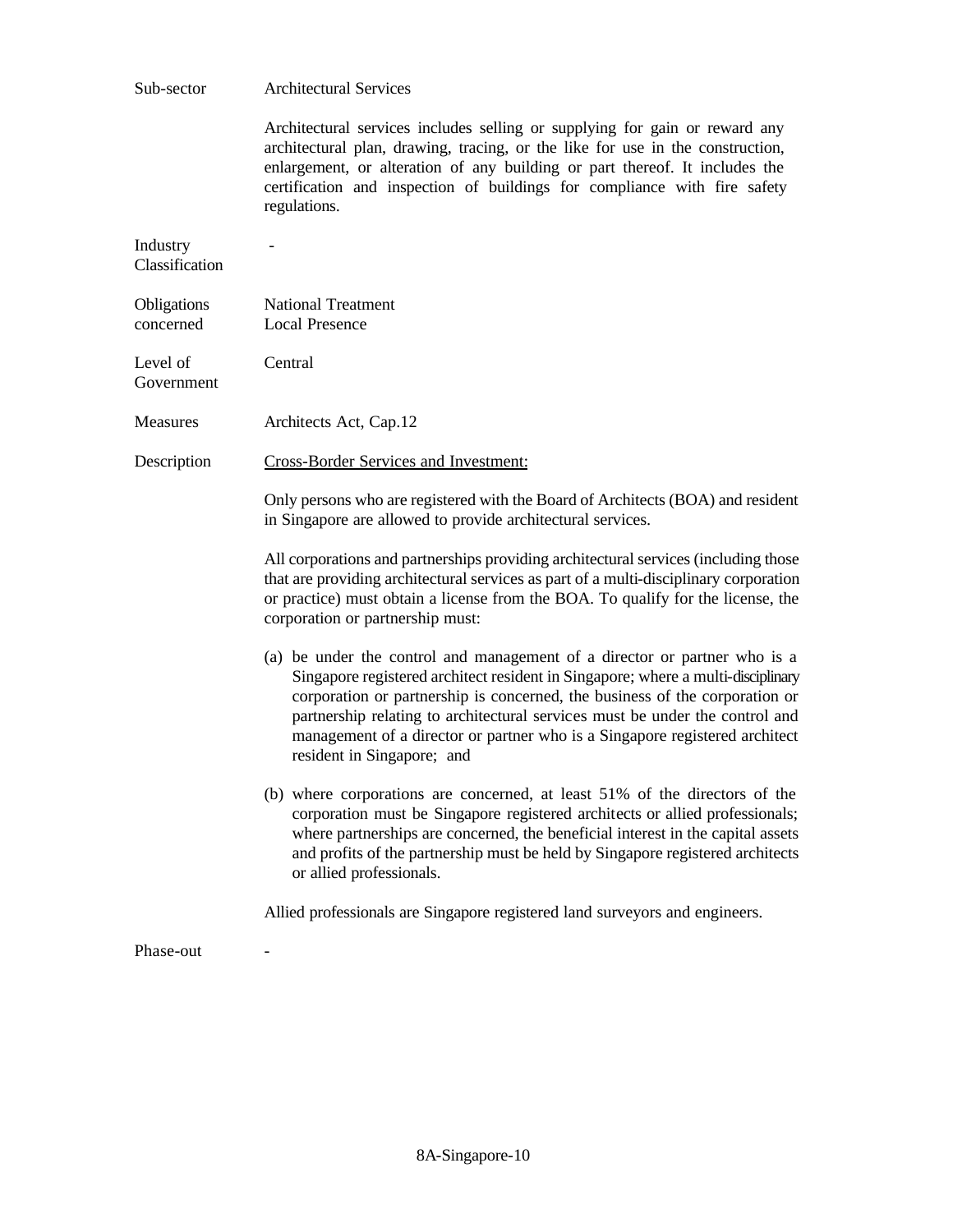| Sub-sector                 | <b>Architectural Services</b>                                                                                                                                                                                                                                                                                                                                                                                                             |
|----------------------------|-------------------------------------------------------------------------------------------------------------------------------------------------------------------------------------------------------------------------------------------------------------------------------------------------------------------------------------------------------------------------------------------------------------------------------------------|
|                            | Architectural services includes selling or supplying for gain or reward any<br>architectural plan, drawing, tracing, or the like for use in the construction,<br>enlargement, or alteration of any building or part thereof. It includes the<br>certification and inspection of buildings for compliance with fire safety<br>regulations.                                                                                                 |
| Industry<br>Classification |                                                                                                                                                                                                                                                                                                                                                                                                                                           |
| Obligations<br>concerned   | <b>National Treatment</b><br><b>Local Presence</b>                                                                                                                                                                                                                                                                                                                                                                                        |
| Level of<br>Government     | Central                                                                                                                                                                                                                                                                                                                                                                                                                                   |
| <b>Measures</b>            | Architects Act, Cap.12                                                                                                                                                                                                                                                                                                                                                                                                                    |
| Description                | Cross-Border Services and Investment:                                                                                                                                                                                                                                                                                                                                                                                                     |
|                            | Only persons who are registered with the Board of Architects (BOA) and resident<br>in Singapore are allowed to provide architectural services.                                                                                                                                                                                                                                                                                            |
|                            | All corporations and partnerships providing architectural services (including those<br>that are providing architectural services as part of a multi-disciplinary corporation<br>or practice) must obtain a license from the BOA. To qualify for the license, the<br>corporation or partnership must:                                                                                                                                      |
|                            | (a) be under the control and management of a director or partner who is a<br>Singapore registered architect resident in Singapore; where a multi-disciplinary<br>corporation or partnership is concerned, the business of the corporation or<br>partnership relating to architectural services must be under the control and<br>management of a director or partner who is a Singapore registered architect<br>resident in Singapore; and |
|                            | (b) where corporations are concerned, at least 51% of the directors of the<br>corporation must be Singapore registered architects or allied professionals;<br>where partnerships are concerned, the beneficial interest in the capital assets<br>and profits of the partnership must be held by Singapore registered architects<br>or allied professionals.                                                                               |
|                            | Allied professionals are Singapore registered land surveyors and engineers.                                                                                                                                                                                                                                                                                                                                                               |
| Phase-out                  |                                                                                                                                                                                                                                                                                                                                                                                                                                           |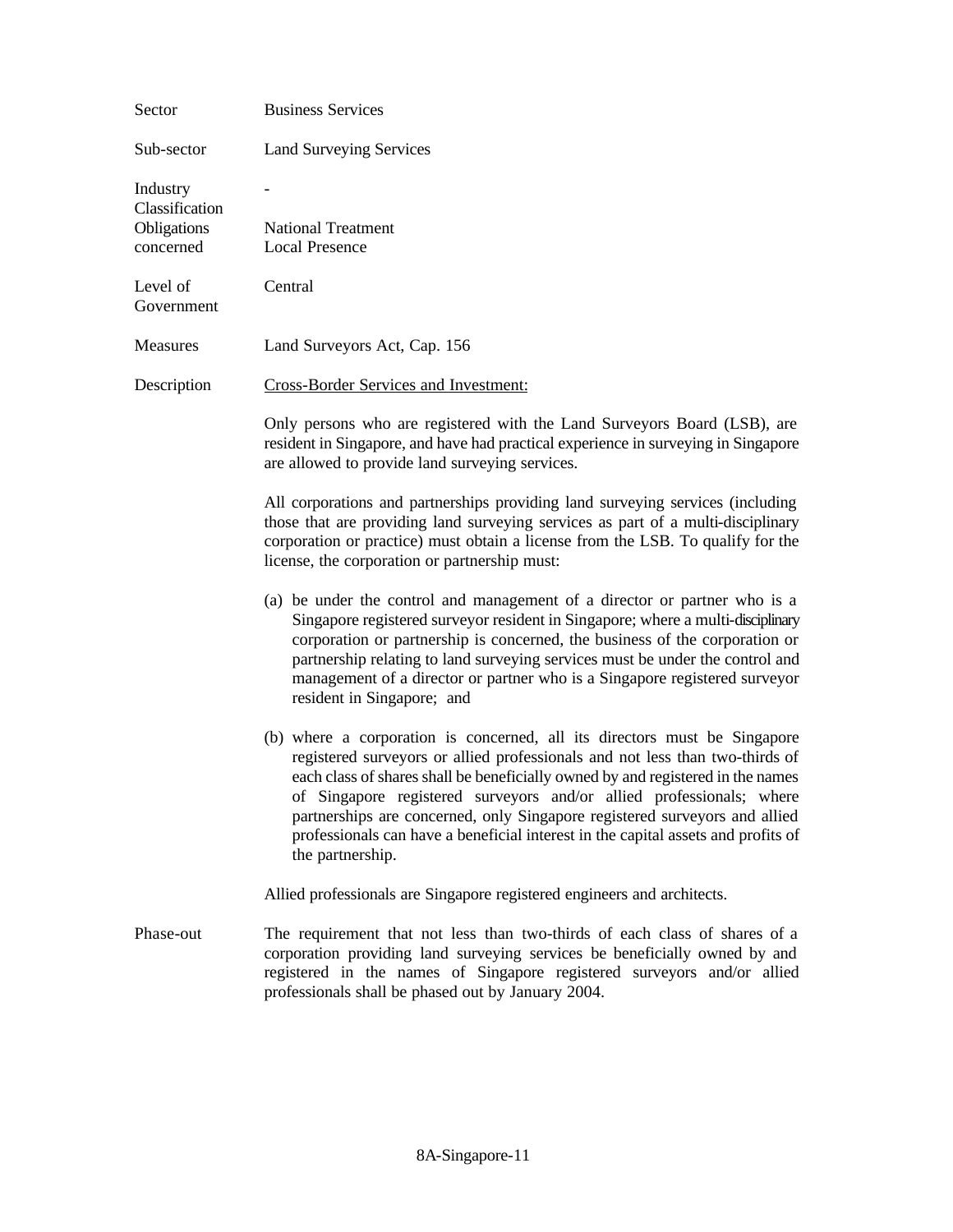| Sector                                                 | <b>Business Services</b>                                                                                                                                                                                                                                                                                                                                                                                                                                                                                    |
|--------------------------------------------------------|-------------------------------------------------------------------------------------------------------------------------------------------------------------------------------------------------------------------------------------------------------------------------------------------------------------------------------------------------------------------------------------------------------------------------------------------------------------------------------------------------------------|
| Sub-sector                                             | <b>Land Surveying Services</b>                                                                                                                                                                                                                                                                                                                                                                                                                                                                              |
| Industry<br>Classification<br>Obligations<br>concerned | <b>National Treatment</b><br><b>Local Presence</b>                                                                                                                                                                                                                                                                                                                                                                                                                                                          |
| Level of<br>Government                                 | Central                                                                                                                                                                                                                                                                                                                                                                                                                                                                                                     |
| <b>Measures</b>                                        | Land Surveyors Act, Cap. 156                                                                                                                                                                                                                                                                                                                                                                                                                                                                                |
| Description                                            | <b>Cross-Border Services and Investment:</b>                                                                                                                                                                                                                                                                                                                                                                                                                                                                |
|                                                        | Only persons who are registered with the Land Surveyors Board (LSB), are<br>resident in Singapore, and have had practical experience in surveying in Singapore<br>are allowed to provide land surveying services.                                                                                                                                                                                                                                                                                           |
|                                                        | All corporations and partnerships providing land surveying services (including<br>those that are providing land surveying services as part of a multi-disciplinary<br>corporation or practice) must obtain a license from the LSB. To qualify for the<br>license, the corporation or partnership must:                                                                                                                                                                                                      |
|                                                        | (a) be under the control and management of a director or partner who is a<br>Singapore registered surveyor resident in Singapore; where a multi-disciplinary<br>corporation or partnership is concerned, the business of the corporation or<br>partnership relating to land surveying services must be under the control and<br>management of a director or partner who is a Singapore registered surveyor<br>resident in Singapore; and                                                                    |
|                                                        | (b) where a corporation is concerned, all its directors must be Singapore<br>registered surveyors or allied professionals and not less than two-thirds of<br>each class of shares shall be beneficially owned by and registered in the names<br>of Singapore registered surveyors and/or allied professionals; where<br>partnerships are concerned, only Singapore registered surveyors and allied<br>professionals can have a beneficial interest in the capital assets and profits of<br>the partnership. |
|                                                        | Allied professionals are Singapore registered engineers and architects.                                                                                                                                                                                                                                                                                                                                                                                                                                     |
| Phase-out                                              | The requirement that not less than two-thirds of each class of shares of a<br>corporation providing land surveying services be beneficially owned by and<br>registered in the names of Singapore registered surveyors and/or allied<br>professionals shall be phased out by January 2004.                                                                                                                                                                                                                   |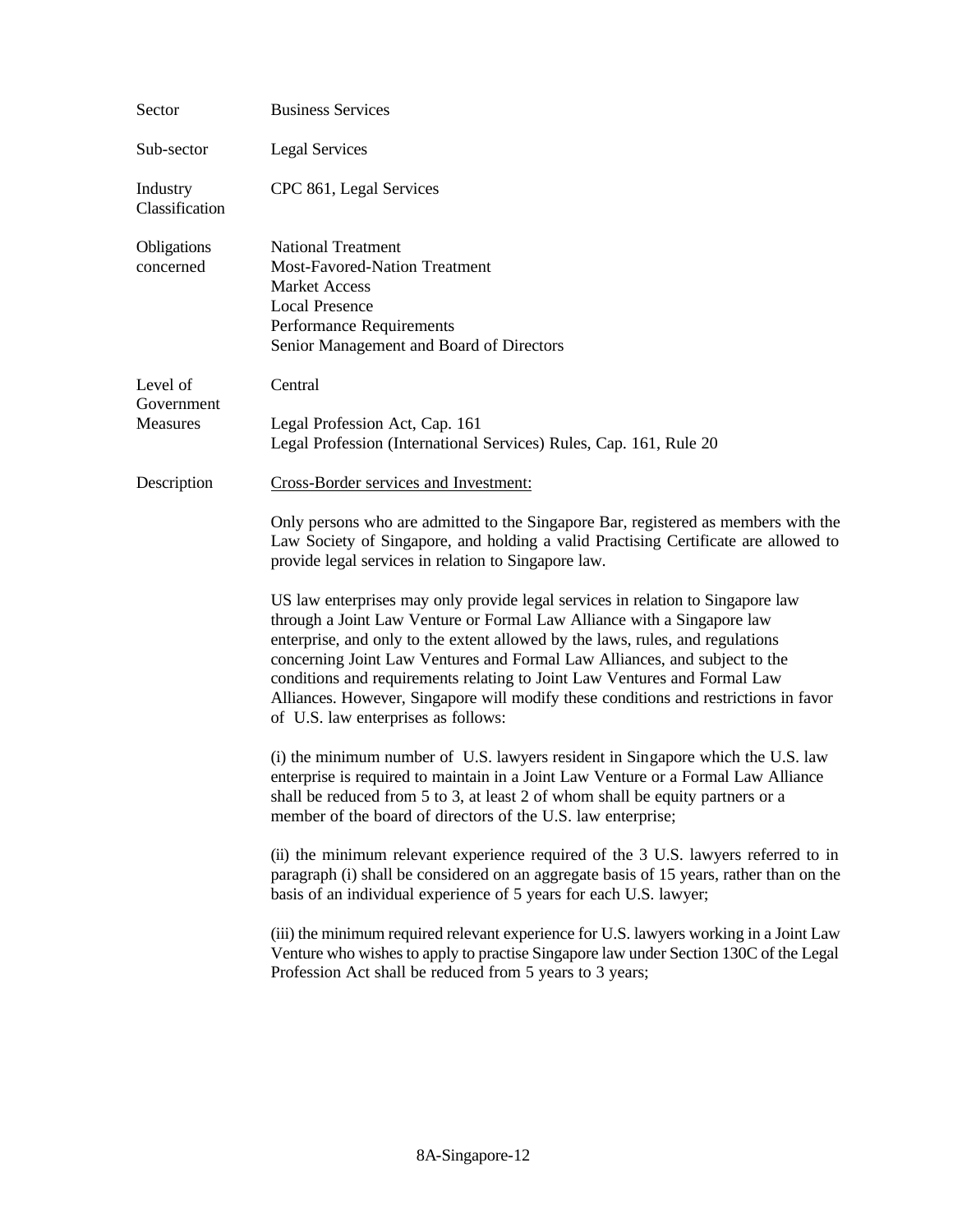| Sector                     | <b>Business Services</b>                                                                                                                                                                                                                                                                                                                                                                                                                                                                                                               |
|----------------------------|----------------------------------------------------------------------------------------------------------------------------------------------------------------------------------------------------------------------------------------------------------------------------------------------------------------------------------------------------------------------------------------------------------------------------------------------------------------------------------------------------------------------------------------|
| Sub-sector                 | <b>Legal Services</b>                                                                                                                                                                                                                                                                                                                                                                                                                                                                                                                  |
| Industry<br>Classification | CPC 861, Legal Services                                                                                                                                                                                                                                                                                                                                                                                                                                                                                                                |
| Obligations<br>concerned   | <b>National Treatment</b><br>Most-Favored-Nation Treatment<br><b>Market Access</b><br><b>Local Presence</b><br>Performance Requirements<br>Senior Management and Board of Directors                                                                                                                                                                                                                                                                                                                                                    |
| Level of<br>Government     | Central                                                                                                                                                                                                                                                                                                                                                                                                                                                                                                                                |
| <b>Measures</b>            | Legal Profession Act, Cap. 161<br>Legal Profession (International Services) Rules, Cap. 161, Rule 20                                                                                                                                                                                                                                                                                                                                                                                                                                   |
| Description                | Cross-Border services and Investment:                                                                                                                                                                                                                                                                                                                                                                                                                                                                                                  |
|                            | Only persons who are admitted to the Singapore Bar, registered as members with the<br>Law Society of Singapore, and holding a valid Practising Certificate are allowed to<br>provide legal services in relation to Singapore law.                                                                                                                                                                                                                                                                                                      |
|                            | US law enterprises may only provide legal services in relation to Singapore law<br>through a Joint Law Venture or Formal Law Alliance with a Singapore law<br>enterprise, and only to the extent allowed by the laws, rules, and regulations<br>concerning Joint Law Ventures and Formal Law Alliances, and subject to the<br>conditions and requirements relating to Joint Law Ventures and Formal Law<br>Alliances. However, Singapore will modify these conditions and restrictions in favor<br>of U.S. law enterprises as follows: |
|                            | (i) the minimum number of U.S. lawyers resident in Singapore which the U.S. law<br>enterprise is required to maintain in a Joint Law Venture or a Formal Law Alliance<br>shall be reduced from 5 to 3, at least 2 of whom shall be equity partners or a<br>member of the board of directors of the U.S. law enterprise;                                                                                                                                                                                                                |
|                            | (ii) the minimum relevant experience required of the 3 U.S. lawyers referred to in<br>paragraph (i) shall be considered on an aggregate basis of 15 years, rather than on the<br>basis of an individual experience of 5 years for each U.S. lawyer;                                                                                                                                                                                                                                                                                    |
|                            | (iii) the minimum required relevant experience for U.S. lawyers working in a Joint Law<br>Venture who wishes to apply to practise Singapore law under Section 130C of the Legal<br>Profession Act shall be reduced from 5 years to 3 years;                                                                                                                                                                                                                                                                                            |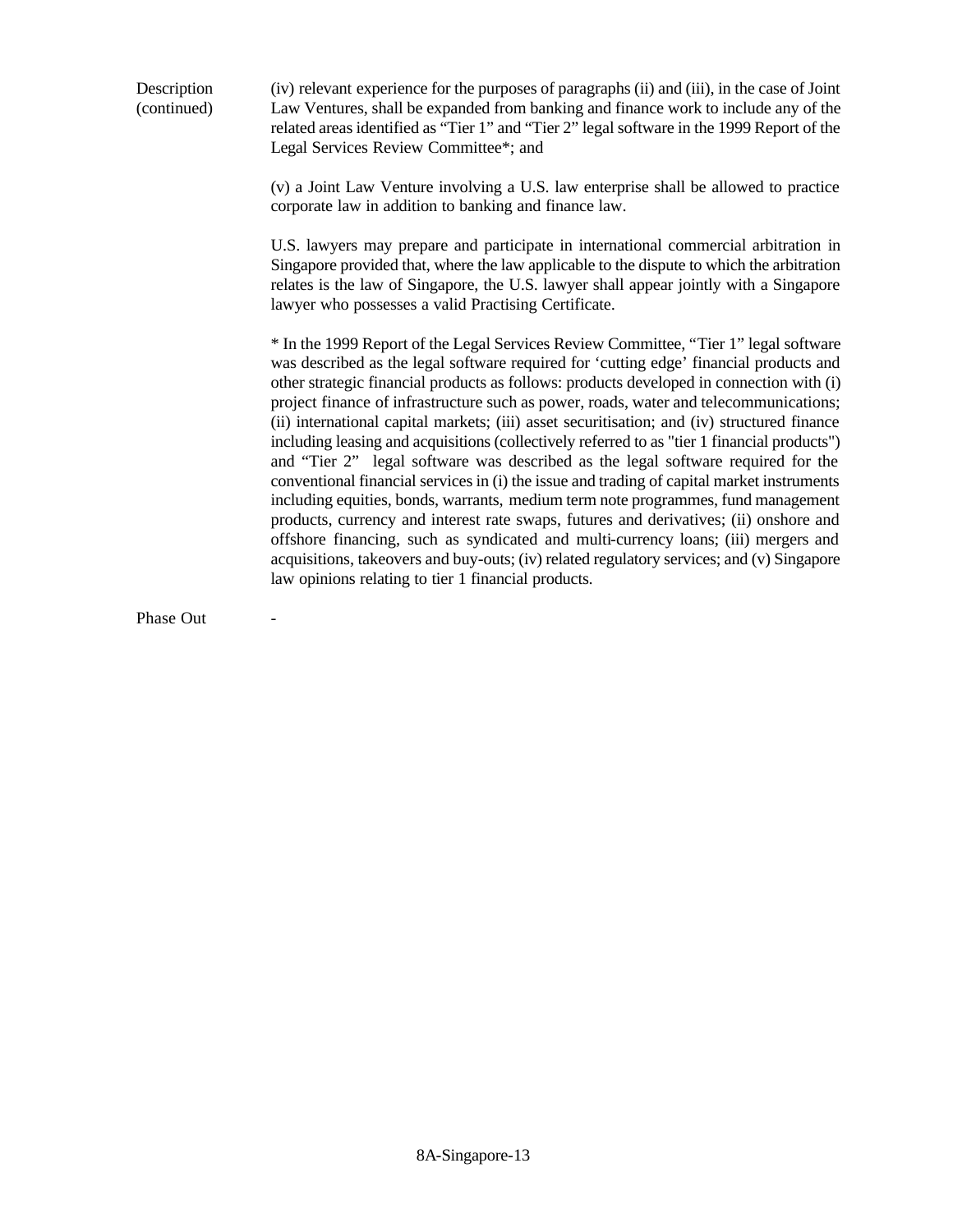Description (continued) (iv) relevant experience for the purposes of paragraphs (ii) and (iii), in the case of Joint Law Ventures, shall be expanded from banking and finance work to include any of the related areas identified as "Tier 1" and "Tier 2" legal software in the 1999 Report of the Legal Services Review Committee\*; and

> (v) a Joint Law Venture involving a U.S. law enterprise shall be allowed to practice corporate law in addition to banking and finance law.

> U.S. lawyers may prepare and participate in international commercial arbitration in Singapore provided that, where the law applicable to the dispute to which the arbitration relates is the law of Singapore, the U.S. lawyer shall appear jointly with a Singapore lawyer who possesses a valid Practising Certificate.

> \* In the 1999 Report of the Legal Services Review Committee, "Tier 1" legal software was described as the legal software required for 'cutting edge' financial products and other strategic financial products as follows: products developed in connection with (i) project finance of infrastructure such as power, roads, water and telecommunications; (ii) international capital markets; (iii) asset securitisation; and (iv) structured finance including leasing and acquisitions (collectively referred to as "tier 1 financial products") and "Tier 2" legal software was described as the legal software required for the conventional financial services in (i) the issue and trading of capital market instruments including equities, bonds, warrants, medium term note programmes, fund management products, currency and interest rate swaps, futures and derivatives; (ii) onshore and offshore financing, such as syndicated and multi-currency loans; (iii) mergers and acquisitions, takeovers and buy-outs; (iv) related regulatory services; and (v) Singapore law opinions relating to tier 1 financial products.

Phase Out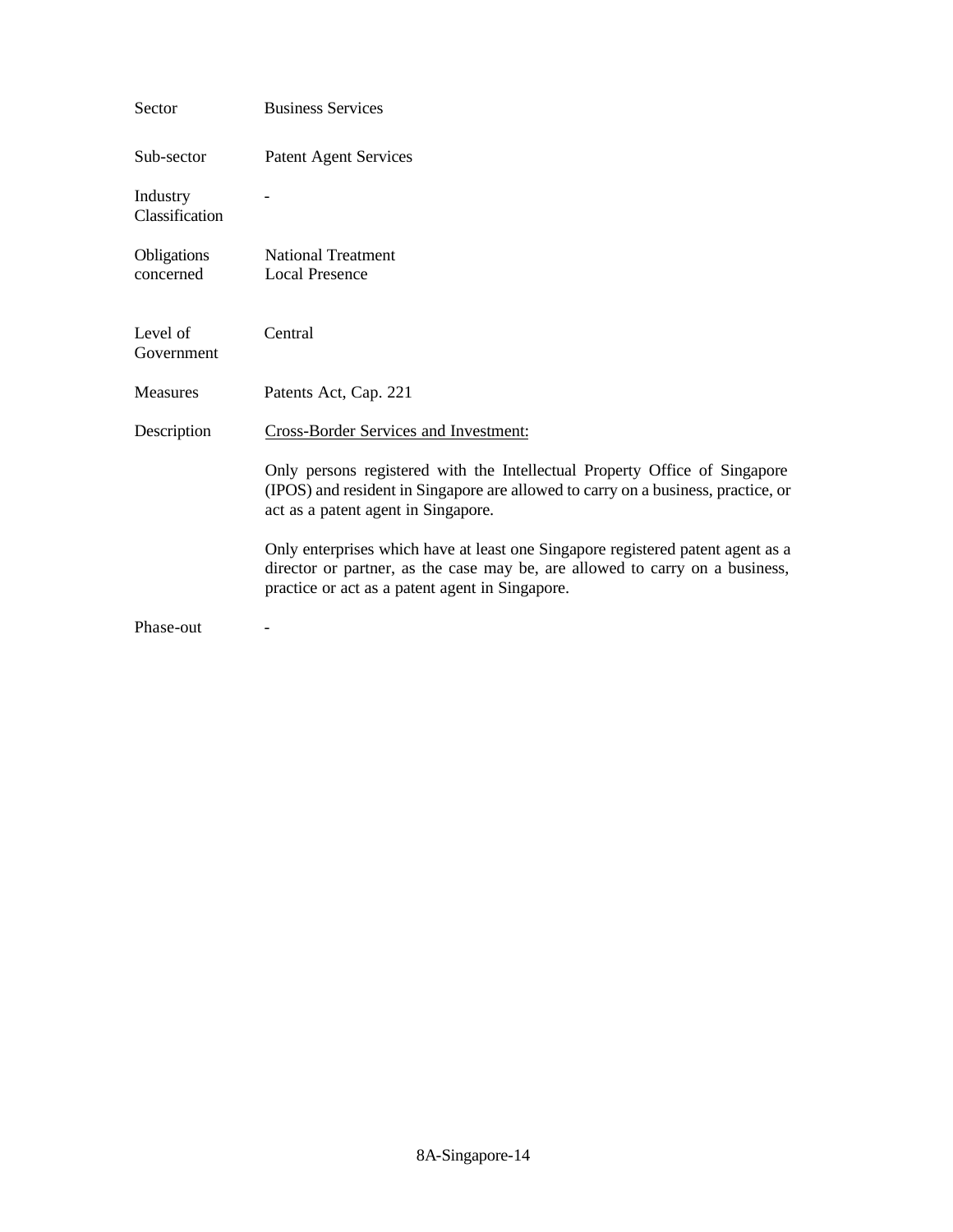| Sector                     | <b>Business Services</b>                                                                                                                                                                                           |
|----------------------------|--------------------------------------------------------------------------------------------------------------------------------------------------------------------------------------------------------------------|
| Sub-sector                 | <b>Patent Agent Services</b>                                                                                                                                                                                       |
| Industry<br>Classification |                                                                                                                                                                                                                    |
| Obligations<br>concerned   | <b>National Treatment</b><br><b>Local Presence</b>                                                                                                                                                                 |
| Level of<br>Government     | Central                                                                                                                                                                                                            |
| <b>Measures</b>            | Patents Act, Cap. 221                                                                                                                                                                                              |
| Description                | <b>Cross-Border Services and Investment:</b>                                                                                                                                                                       |
|                            | Only persons registered with the Intellectual Property Office of Singapore<br>(IPOS) and resident in Singapore are allowed to carry on a business, practice, or<br>act as a patent agent in Singapore.             |
|                            | Only enterprises which have at least one Singapore registered patent agent as a<br>director or partner, as the case may be, are allowed to carry on a business,<br>practice or act as a patent agent in Singapore. |
| Phase-out                  |                                                                                                                                                                                                                    |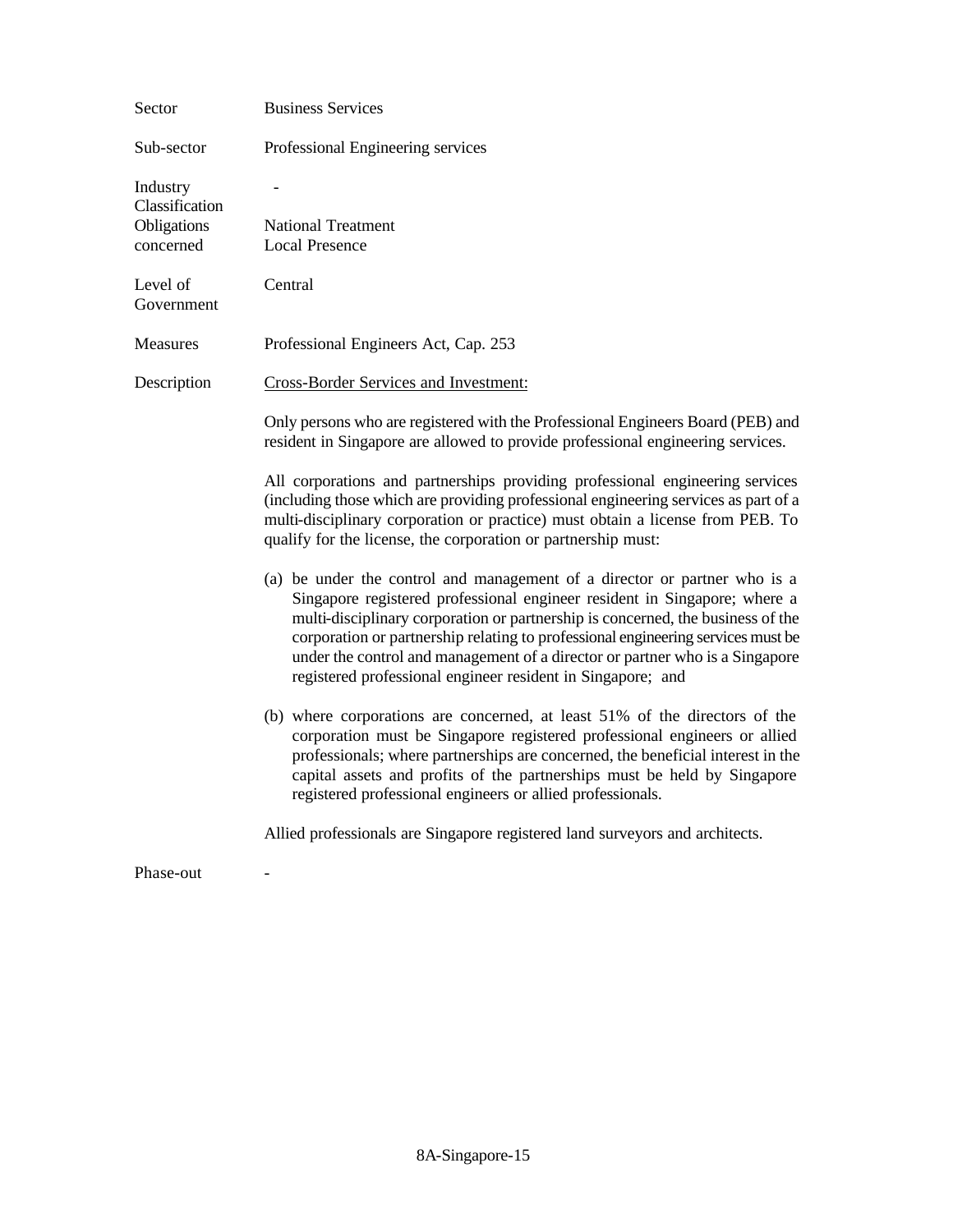| Sector                                                 | <b>Business Services</b>                                                                                                                                                                                                                                                                                                                                                                                                                                                     |
|--------------------------------------------------------|------------------------------------------------------------------------------------------------------------------------------------------------------------------------------------------------------------------------------------------------------------------------------------------------------------------------------------------------------------------------------------------------------------------------------------------------------------------------------|
| Sub-sector                                             | Professional Engineering services                                                                                                                                                                                                                                                                                                                                                                                                                                            |
| Industry<br>Classification<br>Obligations<br>concerned | <b>National Treatment</b><br><b>Local Presence</b>                                                                                                                                                                                                                                                                                                                                                                                                                           |
| Level of<br>Government                                 | Central                                                                                                                                                                                                                                                                                                                                                                                                                                                                      |
| Measures                                               | Professional Engineers Act, Cap. 253                                                                                                                                                                                                                                                                                                                                                                                                                                         |
| Description                                            | Cross-Border Services and Investment:                                                                                                                                                                                                                                                                                                                                                                                                                                        |
|                                                        | Only persons who are registered with the Professional Engineers Board (PEB) and<br>resident in Singapore are allowed to provide professional engineering services.                                                                                                                                                                                                                                                                                                           |
|                                                        | All corporations and partnerships providing professional engineering services<br>(including those which are providing professional engineering services as part of a<br>multi-disciplinary corporation or practice) must obtain a license from PEB. To<br>qualify for the license, the corporation or partnership must:                                                                                                                                                      |
|                                                        | (a) be under the control and management of a director or partner who is a<br>Singapore registered professional engineer resident in Singapore; where a<br>multi-disciplinary corporation or partnership is concerned, the business of the<br>corporation or partnership relating to professional engineering services must be<br>under the control and management of a director or partner who is a Singapore<br>registered professional engineer resident in Singapore; and |
|                                                        | (b) where corporations are concerned, at least 51% of the directors of the<br>corporation must be Singapore registered professional engineers or allied<br>professionals; where partnerships are concerned, the beneficial interest in the<br>capital assets and profits of the partnerships must be held by Singapore<br>registered professional engineers or allied professionals.                                                                                         |
|                                                        | Allied professionals are Singapore registered land surveyors and architects.                                                                                                                                                                                                                                                                                                                                                                                                 |

Phase-out -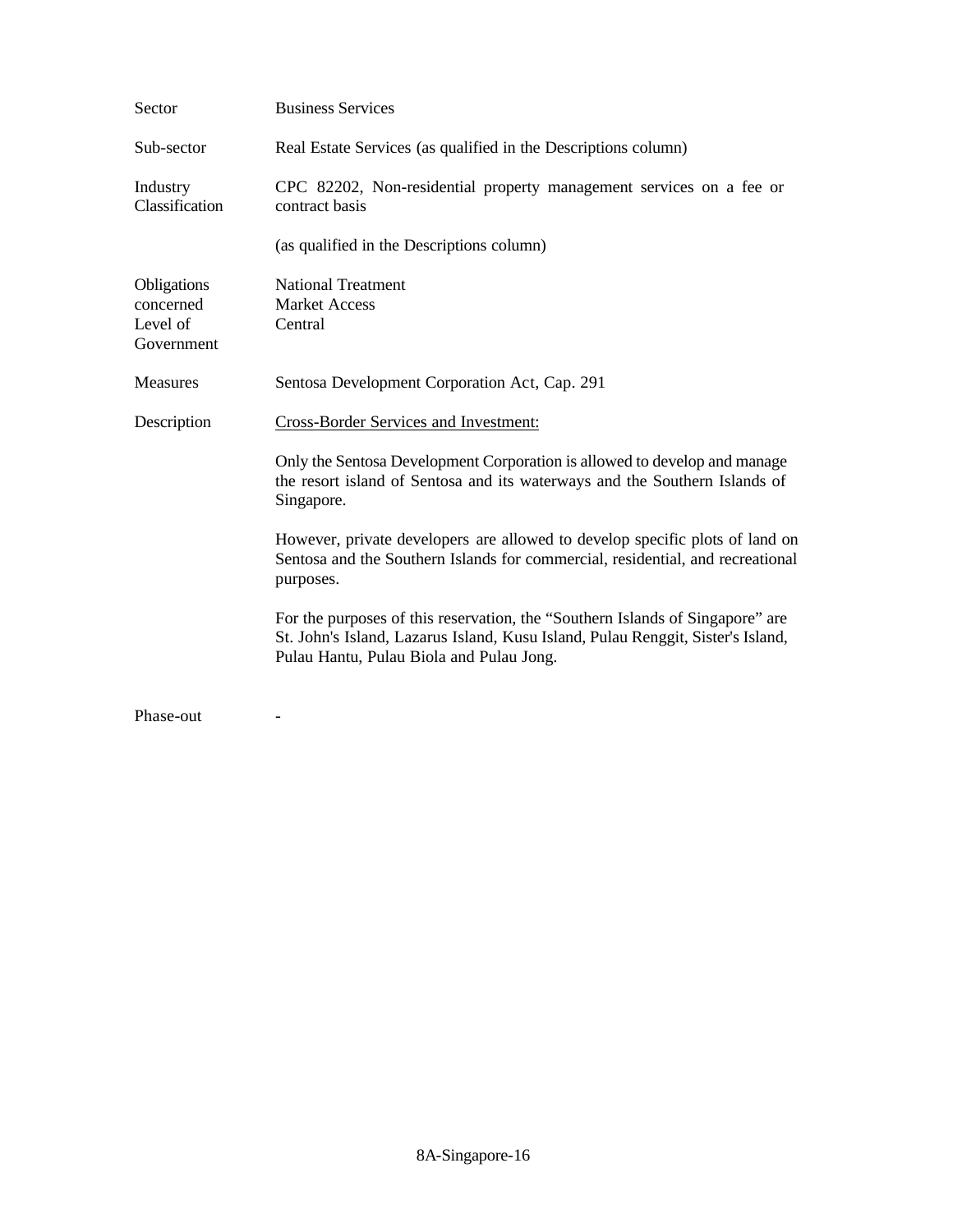| Sector                                             | <b>Business Services</b>                                                                                                                                                                                     |
|----------------------------------------------------|--------------------------------------------------------------------------------------------------------------------------------------------------------------------------------------------------------------|
| Sub-sector                                         | Real Estate Services (as qualified in the Descriptions column)                                                                                                                                               |
| Industry<br>Classification                         | CPC 82202, Non-residential property management services on a fee or<br>contract basis                                                                                                                        |
|                                                    | (as qualified in the Descriptions column)                                                                                                                                                                    |
| Obligations<br>concerned<br>Level of<br>Government | <b>National Treatment</b><br><b>Market Access</b><br>Central                                                                                                                                                 |
| Measures                                           | Sentosa Development Corporation Act, Cap. 291                                                                                                                                                                |
| Description                                        | <b>Cross-Border Services and Investment:</b>                                                                                                                                                                 |
|                                                    | Only the Sentosa Development Corporation is allowed to develop and manage<br>the resort island of Sentosa and its waterways and the Southern Islands of<br>Singapore.                                        |
|                                                    | However, private developers are allowed to develop specific plots of land on<br>Sentosa and the Southern Islands for commercial, residential, and recreational<br>purposes.                                  |
|                                                    | For the purposes of this reservation, the "Southern Islands of Singapore" are<br>St. John's Island, Lazarus Island, Kusu Island, Pulau Renggit, Sister's Island,<br>Pulau Hantu, Pulau Biola and Pulau Jong. |
| Phase-out                                          |                                                                                                                                                                                                              |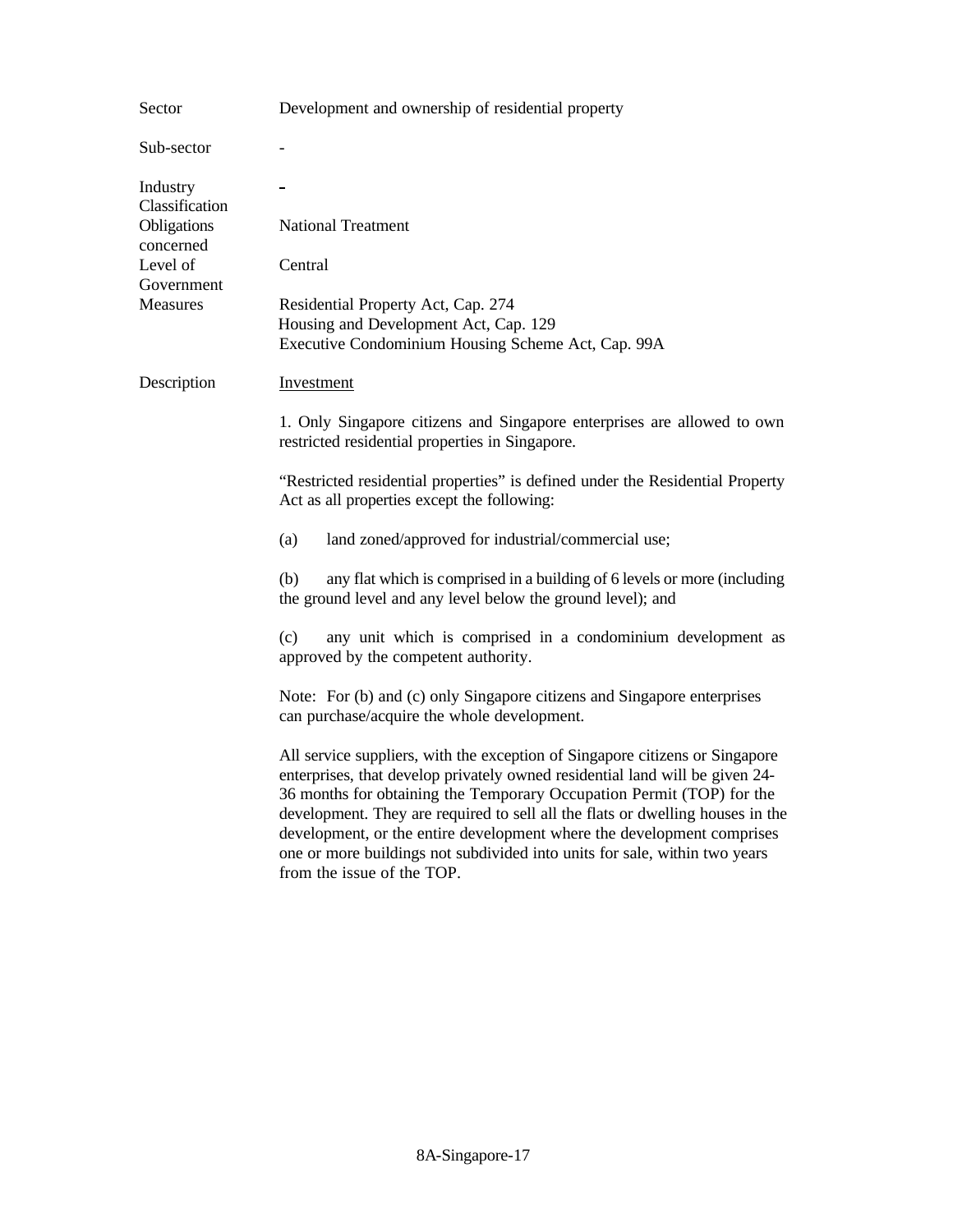| Sector                                                 | Development and ownership of residential property                                                                                                                                                                                                                                                                                                                                                                                                                                                             |
|--------------------------------------------------------|---------------------------------------------------------------------------------------------------------------------------------------------------------------------------------------------------------------------------------------------------------------------------------------------------------------------------------------------------------------------------------------------------------------------------------------------------------------------------------------------------------------|
| Sub-sector                                             |                                                                                                                                                                                                                                                                                                                                                                                                                                                                                                               |
| Industry<br>Classification<br>Obligations<br>concerned | <b>National Treatment</b>                                                                                                                                                                                                                                                                                                                                                                                                                                                                                     |
| Level of                                               | Central                                                                                                                                                                                                                                                                                                                                                                                                                                                                                                       |
| Government<br><b>Measures</b>                          | Residential Property Act, Cap. 274<br>Housing and Development Act, Cap. 129<br>Executive Condominium Housing Scheme Act, Cap. 99A                                                                                                                                                                                                                                                                                                                                                                             |
| Description                                            | Investment                                                                                                                                                                                                                                                                                                                                                                                                                                                                                                    |
|                                                        | 1. Only Singapore citizens and Singapore enterprises are allowed to own<br>restricted residential properties in Singapore.                                                                                                                                                                                                                                                                                                                                                                                    |
|                                                        | "Restricted residential properties" is defined under the Residential Property<br>Act as all properties except the following:                                                                                                                                                                                                                                                                                                                                                                                  |
|                                                        | land zoned/approved for industrial/commercial use;<br>(a)                                                                                                                                                                                                                                                                                                                                                                                                                                                     |
|                                                        | any flat which is comprised in a building of 6 levels or more (including<br>(b)<br>the ground level and any level below the ground level); and                                                                                                                                                                                                                                                                                                                                                                |
|                                                        | (c)<br>any unit which is comprised in a condominium development as<br>approved by the competent authority.                                                                                                                                                                                                                                                                                                                                                                                                    |
|                                                        | Note: For (b) and (c) only Singapore citizens and Singapore enterprises<br>can purchase/acquire the whole development.                                                                                                                                                                                                                                                                                                                                                                                        |
|                                                        | All service suppliers, with the exception of Singapore citizens or Singapore<br>enterprises, that develop privately owned residential land will be given 24-<br>36 months for obtaining the Temporary Occupation Permit (TOP) for the<br>development. They are required to sell all the flats or dwelling houses in the<br>development, or the entire development where the development comprises<br>one or more buildings not subdivided into units for sale, within two years<br>from the issue of the TOP. |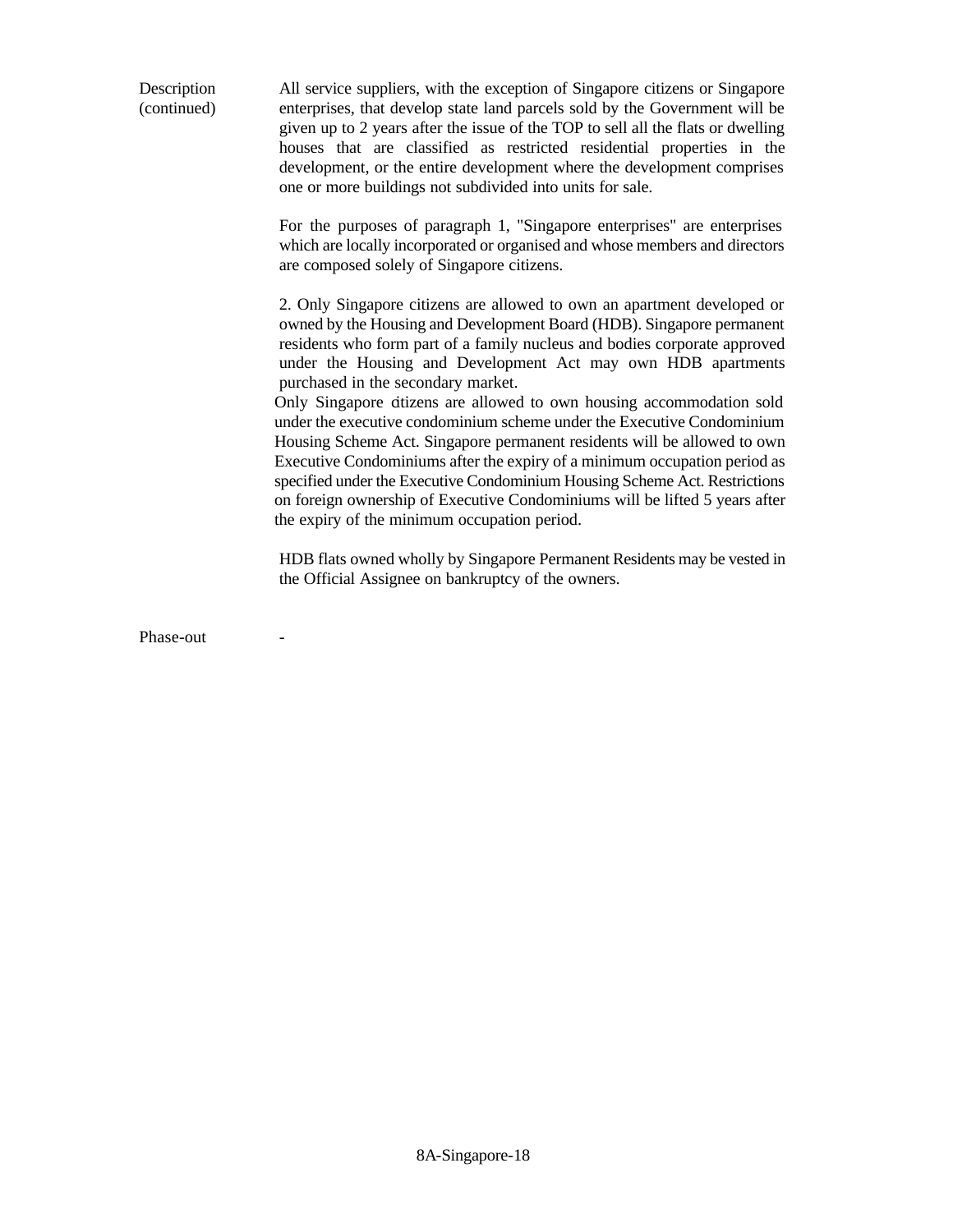All service suppliers, with the exception of Singapore citizens or Singapore enterprises, that develop state land parcels sold by the Government will be given up to 2 years after the issue of the TOP to sell all the flats or dwelling houses that are classified as restricted residential properties in the development, or the entire development where the development comprises one or more buildings not subdivided into units for sale. Description (continued)

> For the purposes of paragraph 1, "Singapore enterprises" are enterprises which are locally incorporated or organised and whose members and directors are composed solely of Singapore citizens.

> 2. Only Singapore citizens are allowed to own an apartment developed or owned by the Housing and Development Board (HDB). Singapore permanent residents who form part of a family nucleus and bodies corporate approved under the Housing and Development Act may own HDB apartments purchased in the secondary market.

Only Singapore citizens are allowed to own housing accommodation sold under the executive condominium scheme under the Executive Condominium Housing Scheme Act. Singapore permanent residents will be allowed to own Executive Condominiums after the expiry of a minimum occupation period as specified under the Executive Condominium Housing Scheme Act. Restrictions on foreign ownership of Executive Condominiums will be lifted 5 years after the expiry of the minimum occupation period.

HDB flats owned wholly by Singapore Permanent Residents may be vested in the Official Assignee on bankruptcy of the owners.

Phase-out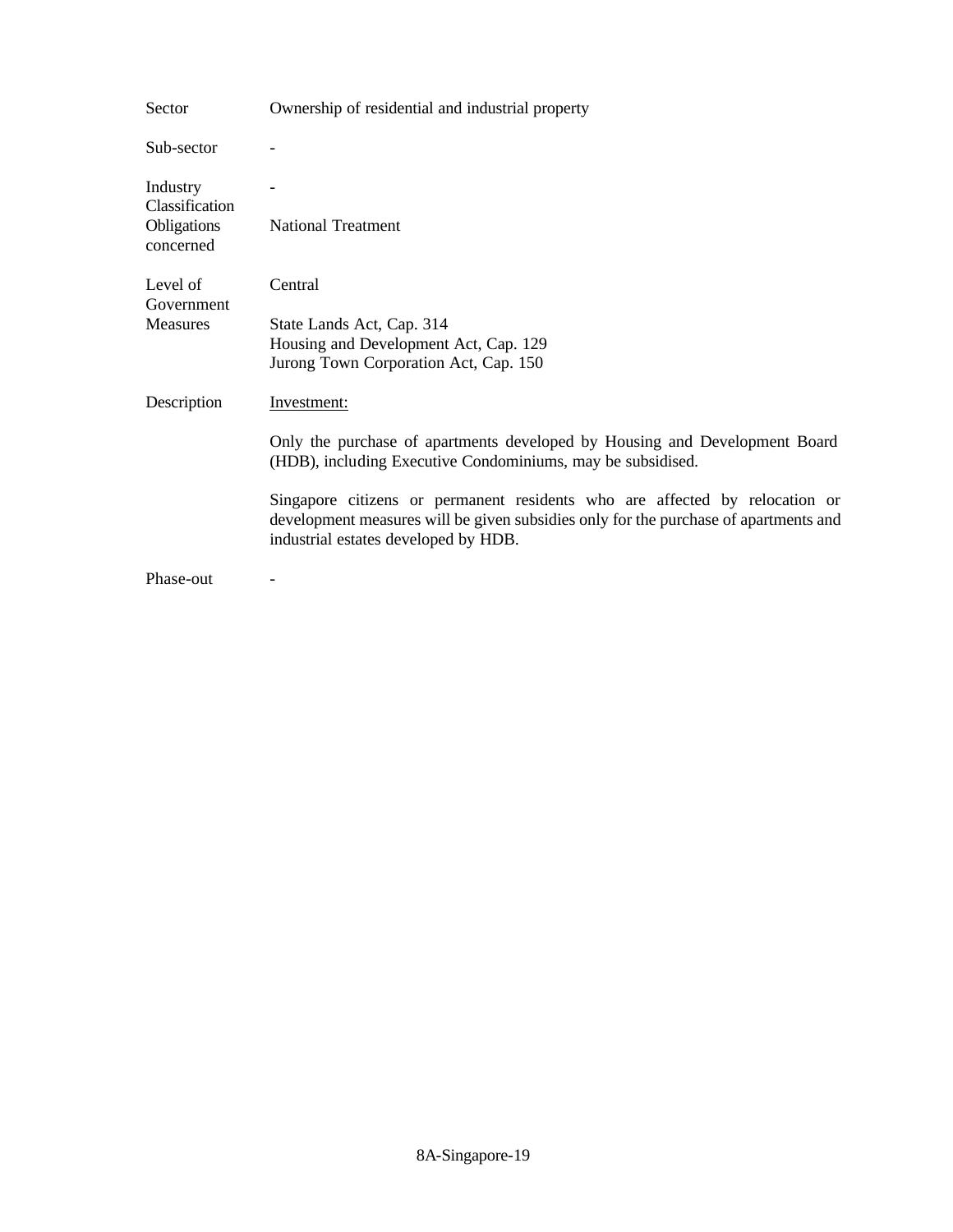| Sector                                                 | Ownership of residential and industrial property                                                                                                                                                            |
|--------------------------------------------------------|-------------------------------------------------------------------------------------------------------------------------------------------------------------------------------------------------------------|
| Sub-sector                                             |                                                                                                                                                                                                             |
| Industry<br>Classification<br>Obligations<br>concerned | <b>National Treatment</b>                                                                                                                                                                                   |
| Level of<br>Government                                 | Central                                                                                                                                                                                                     |
| <b>Measures</b>                                        | State Lands Act, Cap. 314<br>Housing and Development Act, Cap. 129<br>Jurong Town Corporation Act, Cap. 150                                                                                                 |
| Description                                            | Investment:                                                                                                                                                                                                 |
|                                                        | Only the purchase of apartments developed by Housing and Development Board<br>(HDB), including Executive Condominiums, may be subsidised.                                                                   |
|                                                        | Singapore citizens or permanent residents who are affected by relocation or<br>development measures will be given subsidies only for the purchase of apartments and<br>industrial estates developed by HDB. |
| Phase-out                                              |                                                                                                                                                                                                             |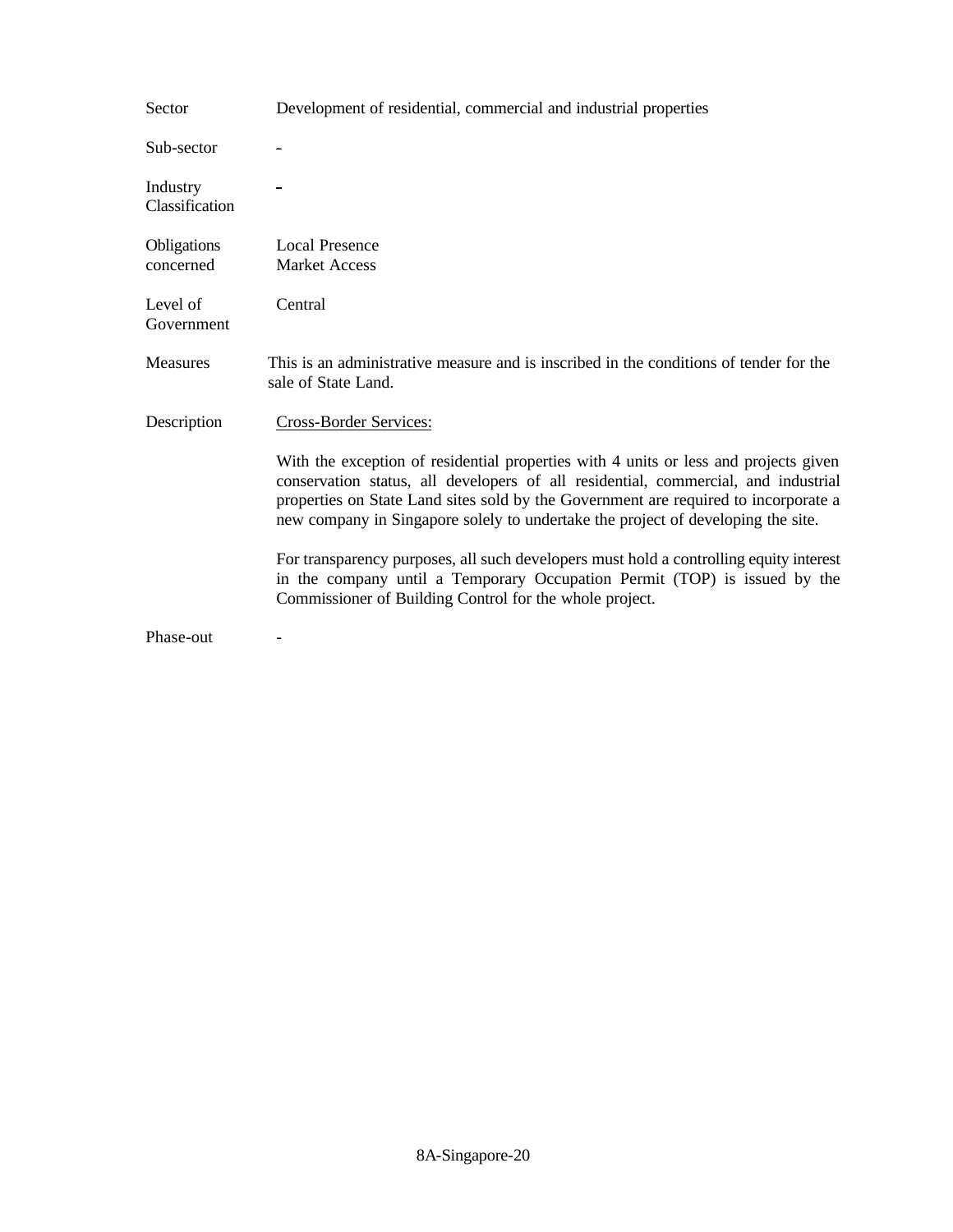| Sector                     | Development of residential, commercial and industrial properties                                                                                                                                                                                                                                                                                      |
|----------------------------|-------------------------------------------------------------------------------------------------------------------------------------------------------------------------------------------------------------------------------------------------------------------------------------------------------------------------------------------------------|
| Sub-sector                 |                                                                                                                                                                                                                                                                                                                                                       |
| Industry<br>Classification |                                                                                                                                                                                                                                                                                                                                                       |
| Obligations<br>concerned   | <b>Local Presence</b><br><b>Market Access</b>                                                                                                                                                                                                                                                                                                         |
| Level of<br>Government     | Central                                                                                                                                                                                                                                                                                                                                               |
| <b>Measures</b>            | This is an administrative measure and is inscribed in the conditions of tender for the<br>sale of State Land.                                                                                                                                                                                                                                         |
| Description                | Cross-Border Services:                                                                                                                                                                                                                                                                                                                                |
|                            | With the exception of residential properties with 4 units or less and projects given<br>conservation status, all developers of all residential, commercial, and industrial<br>properties on State Land sites sold by the Government are required to incorporate a<br>new company in Singapore solely to undertake the project of developing the site. |
|                            | For transparency purposes, all such developers must hold a controlling equity interest<br>in the company until a Temporary Occupation Permit (TOP) is issued by the<br>Commissioner of Building Control for the whole project.                                                                                                                        |
| Phase-out                  |                                                                                                                                                                                                                                                                                                                                                       |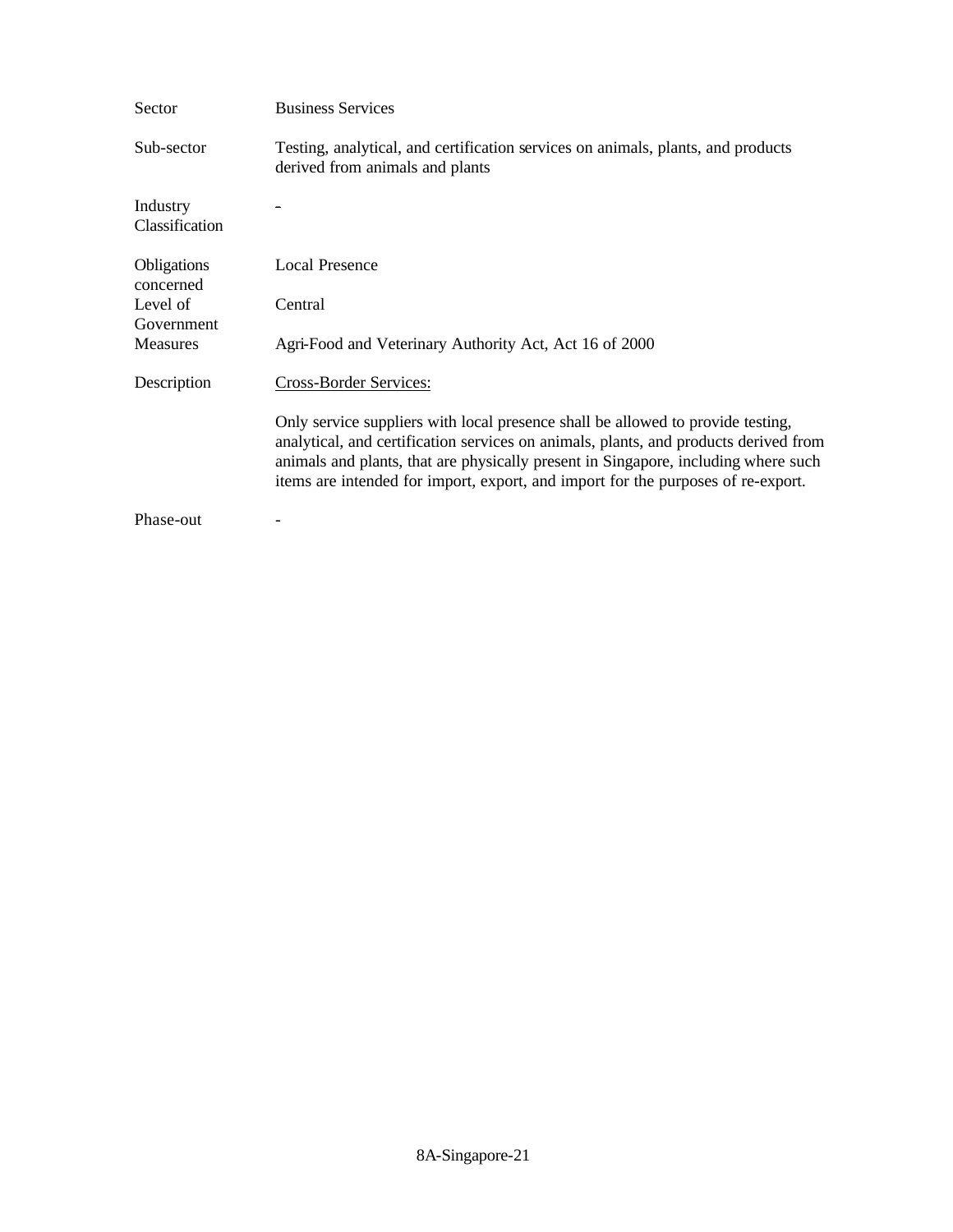| Sector                     | <b>Business Services</b>                                                                                                                                                                                                                                                                                                                          |
|----------------------------|---------------------------------------------------------------------------------------------------------------------------------------------------------------------------------------------------------------------------------------------------------------------------------------------------------------------------------------------------|
| Sub-sector                 | Testing, analytical, and certification services on animals, plants, and products<br>derived from animals and plants                                                                                                                                                                                                                               |
| Industry<br>Classification |                                                                                                                                                                                                                                                                                                                                                   |
| Obligations<br>concerned   | <b>Local Presence</b>                                                                                                                                                                                                                                                                                                                             |
| Level of                   | Central                                                                                                                                                                                                                                                                                                                                           |
| Government                 |                                                                                                                                                                                                                                                                                                                                                   |
| <b>Measures</b>            | Agri-Food and Veterinary Authority Act, Act 16 of 2000                                                                                                                                                                                                                                                                                            |
| Description                | Cross-Border Services:                                                                                                                                                                                                                                                                                                                            |
|                            | Only service suppliers with local presence shall be allowed to provide testing,<br>analytical, and certification services on animals, plants, and products derived from<br>animals and plants, that are physically present in Singapore, including where such<br>items are intended for import, export, and import for the purposes of re-export. |
| Phase-out                  |                                                                                                                                                                                                                                                                                                                                                   |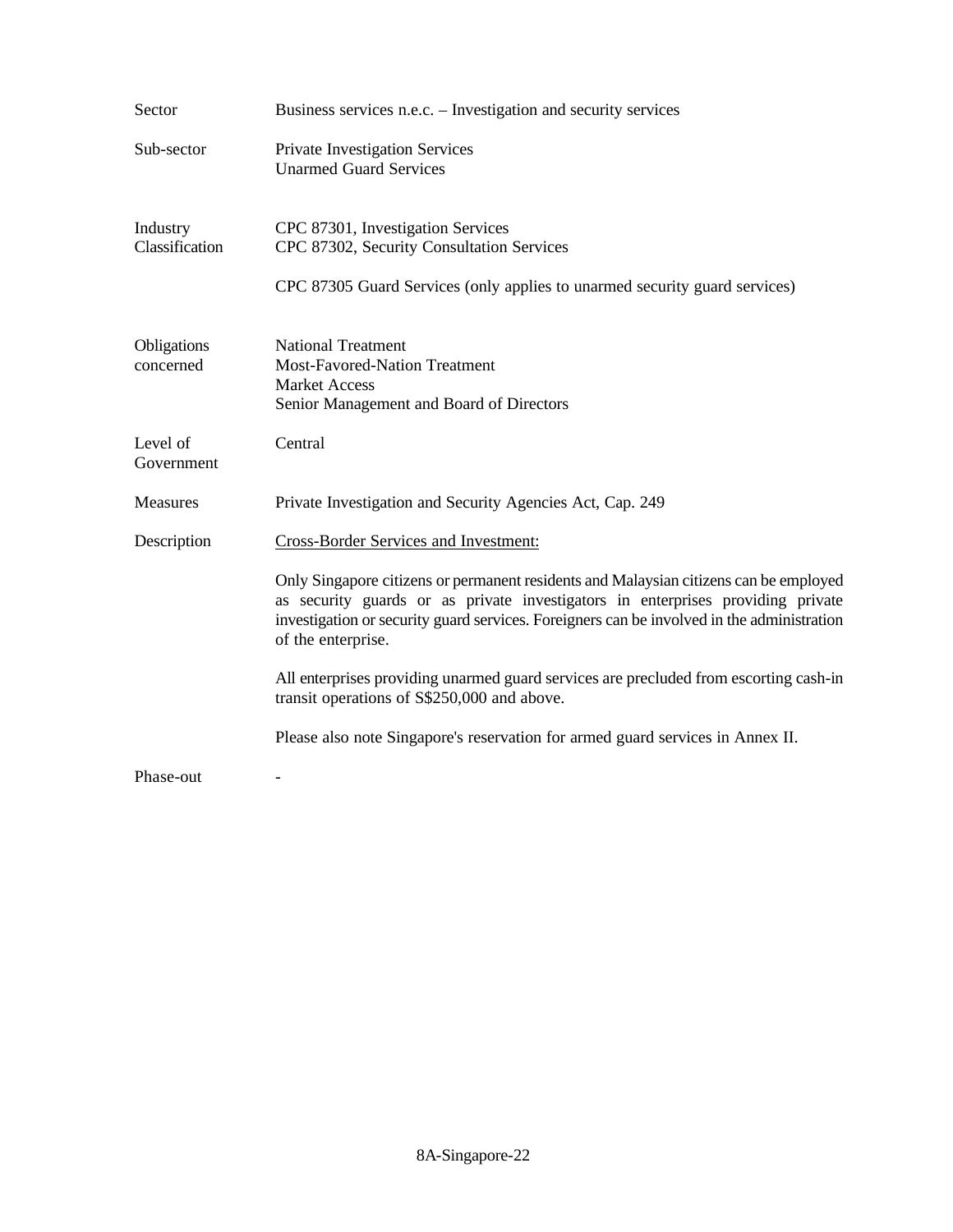| Sector                     | Business services n.e.c. – Investigation and security services                                                                                                                                                                                                                               |
|----------------------------|----------------------------------------------------------------------------------------------------------------------------------------------------------------------------------------------------------------------------------------------------------------------------------------------|
| Sub-sector                 | Private Investigation Services<br><b>Unarmed Guard Services</b>                                                                                                                                                                                                                              |
| Industry<br>Classification | CPC 87301, Investigation Services<br>CPC 87302, Security Consultation Services<br>CPC 87305 Guard Services (only applies to unarmed security guard services)                                                                                                                                 |
| Obligations<br>concerned   | <b>National Treatment</b><br><b>Most-Favored-Nation Treatment</b><br><b>Market Access</b><br>Senior Management and Board of Directors                                                                                                                                                        |
| Level of<br>Government     | Central                                                                                                                                                                                                                                                                                      |
| Measures                   | Private Investigation and Security Agencies Act, Cap. 249                                                                                                                                                                                                                                    |
| Description                | Cross-Border Services and Investment:                                                                                                                                                                                                                                                        |
|                            | Only Singapore citizens or permanent residents and Malaysian citizens can be employed<br>as security guards or as private investigators in enterprises providing private<br>investigation or security guard services. Foreigners can be involved in the administration<br>of the enterprise. |
|                            | All enterprises providing unarmed guard services are precluded from escorting cash-in<br>transit operations of S\$250,000 and above.                                                                                                                                                         |
|                            | Please also note Singapore's reservation for armed guard services in Annex II.                                                                                                                                                                                                               |
| Phase-out                  |                                                                                                                                                                                                                                                                                              |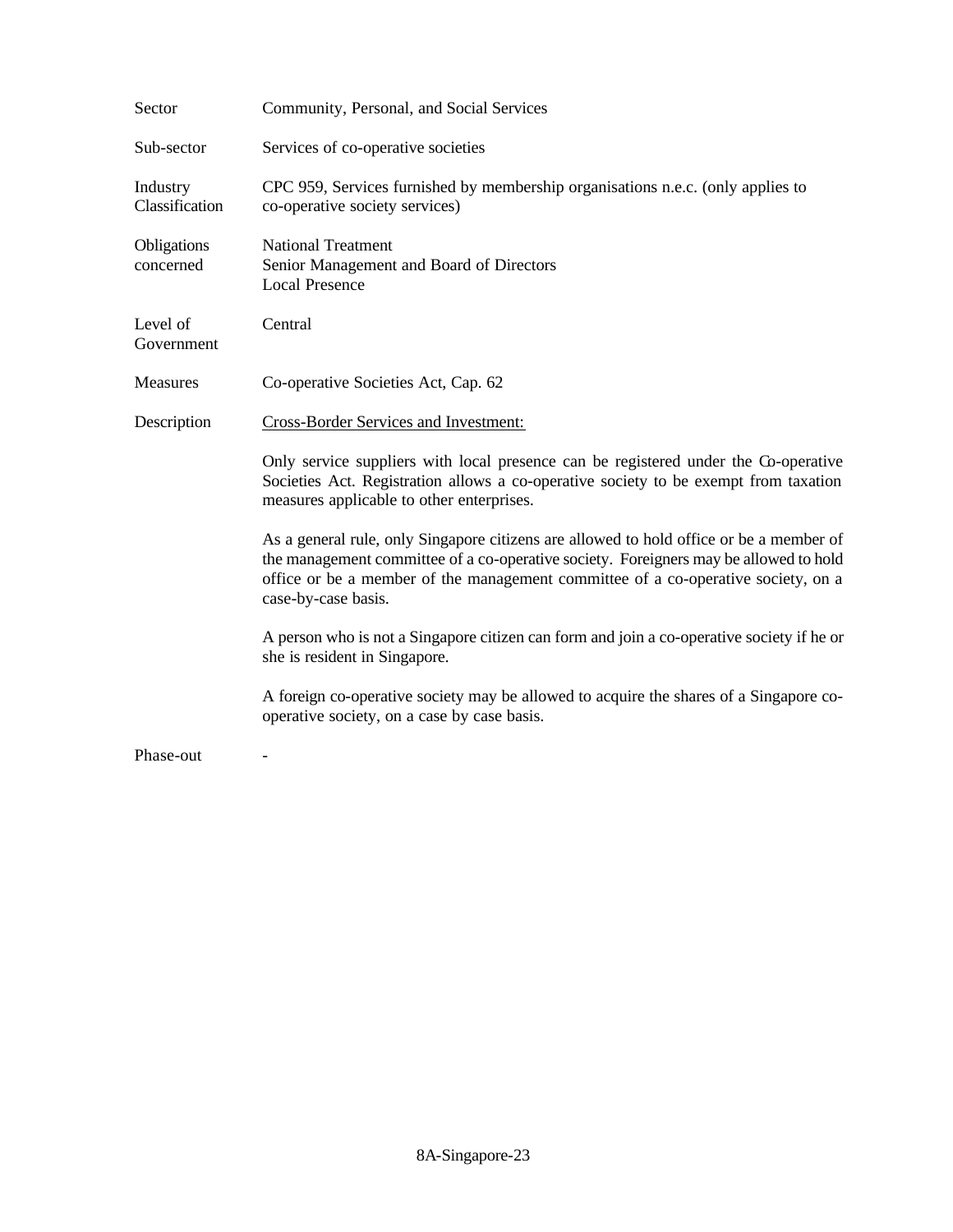| Sector                     | Community, Personal, and Social Services                                                                                                                                                                                                                                                     |
|----------------------------|----------------------------------------------------------------------------------------------------------------------------------------------------------------------------------------------------------------------------------------------------------------------------------------------|
| Sub-sector                 | Services of co-operative societies                                                                                                                                                                                                                                                           |
| Industry<br>Classification | CPC 959, Services furnished by membership organisations n.e.c. (only applies to<br>co-operative society services)                                                                                                                                                                            |
| Obligations<br>concerned   | <b>National Treatment</b><br>Senior Management and Board of Directors<br><b>Local Presence</b>                                                                                                                                                                                               |
| Level of<br>Government     | Central                                                                                                                                                                                                                                                                                      |
| Measures                   | Co-operative Societies Act, Cap. 62                                                                                                                                                                                                                                                          |
| Description                | <b>Cross-Border Services and Investment:</b>                                                                                                                                                                                                                                                 |
|                            | Only service suppliers with local presence can be registered under the Co-operative<br>Societies Act. Registration allows a co-operative society to be exempt from taxation<br>measures applicable to other enterprises.                                                                     |
|                            | As a general rule, only Singapore citizens are allowed to hold office or be a member of<br>the management committee of a co-operative society. Foreigners may be allowed to hold<br>office or be a member of the management committee of a co-operative society, on a<br>case-by-case basis. |
|                            | A person who is not a Singapore citizen can form and join a co-operative society if he or<br>she is resident in Singapore.                                                                                                                                                                   |
|                            | A foreign co-operative society may be allowed to acquire the shares of a Singapore co-<br>operative society, on a case by case basis.                                                                                                                                                        |
| Phase-out                  |                                                                                                                                                                                                                                                                                              |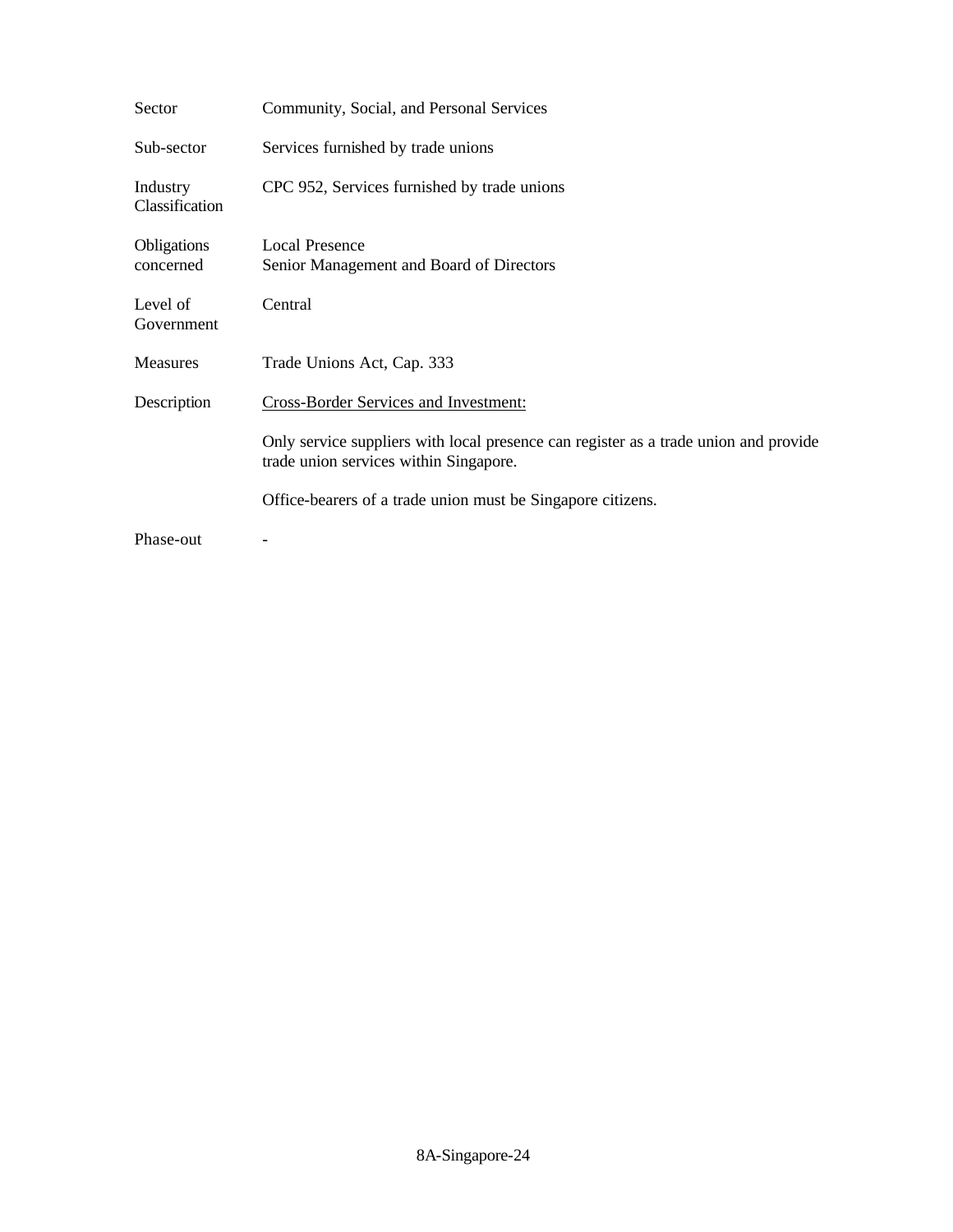| Sector                     | Community, Social, and Personal Services                                                                                       |
|----------------------------|--------------------------------------------------------------------------------------------------------------------------------|
| Sub-sector                 | Services furnished by trade unions                                                                                             |
| Industry<br>Classification | CPC 952, Services furnished by trade unions                                                                                    |
| Obligations<br>concerned   | <b>Local Presence</b><br>Senior Management and Board of Directors                                                              |
| Level of<br>Government     | Central                                                                                                                        |
| Measures                   | Trade Unions Act, Cap. 333                                                                                                     |
| Description                | Cross-Border Services and Investment:                                                                                          |
|                            | Only service suppliers with local presence can register as a trade union and provide<br>trade union services within Singapore. |
|                            | Office-bearers of a trade union must be Singapore citizens.                                                                    |
| Phase-out                  |                                                                                                                                |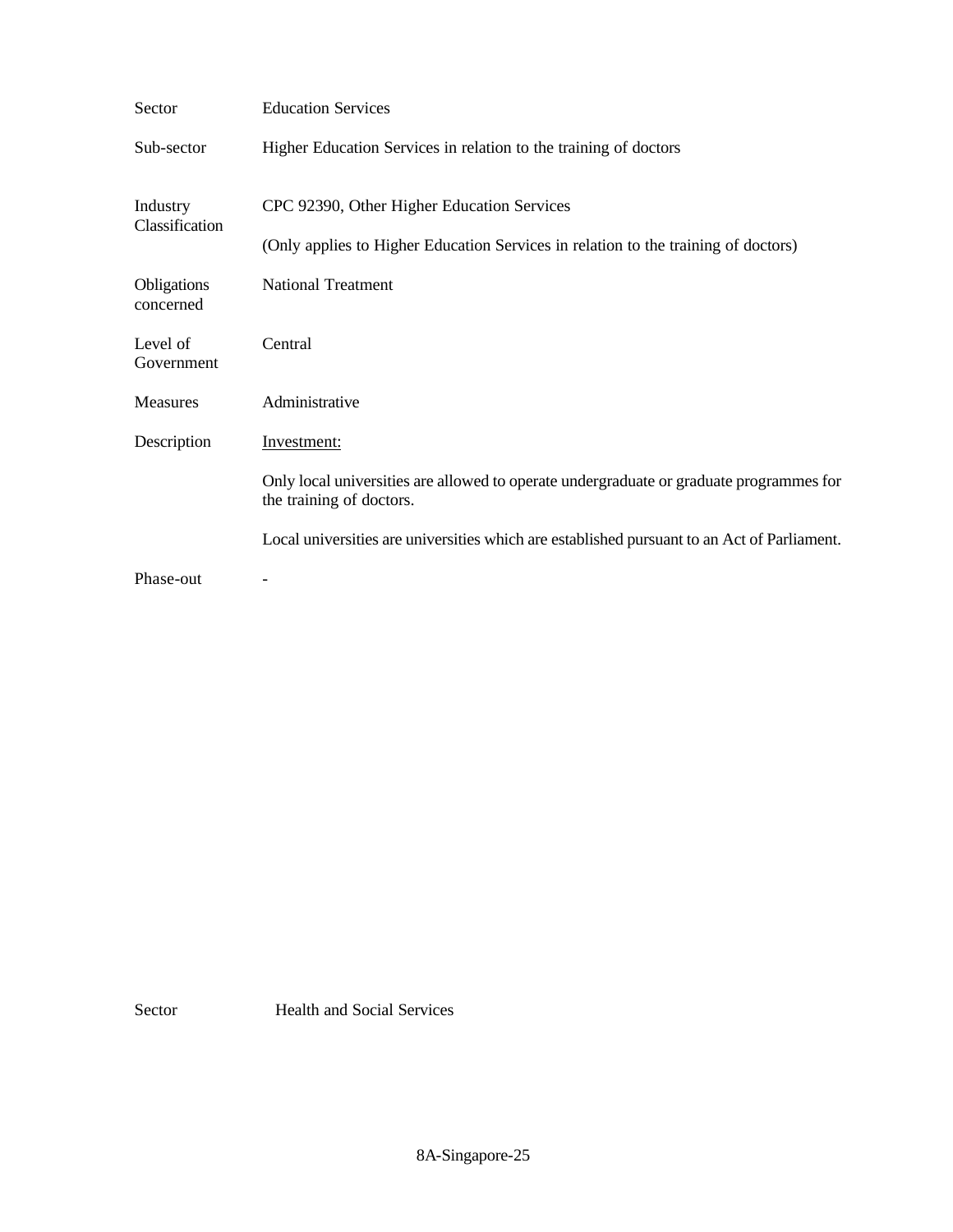| Sector                     | <b>Education Services</b>                                                                                           |
|----------------------------|---------------------------------------------------------------------------------------------------------------------|
| Sub-sector                 | Higher Education Services in relation to the training of doctors                                                    |
| Industry<br>Classification | CPC 92390, Other Higher Education Services                                                                          |
|                            | (Only applies to Higher Education Services in relation to the training of doctors)                                  |
| Obligations<br>concerned   | <b>National Treatment</b>                                                                                           |
| Level of<br>Government     | Central                                                                                                             |
| Measures                   | Administrative                                                                                                      |
| Description                | Investment:                                                                                                         |
|                            | Only local universities are allowed to operate undergraduate or graduate programmes for<br>the training of doctors. |
|                            | Local universities are universities which are established pursuant to an Act of Parliament.                         |
| Phase-out                  |                                                                                                                     |

Sector Health and Social Services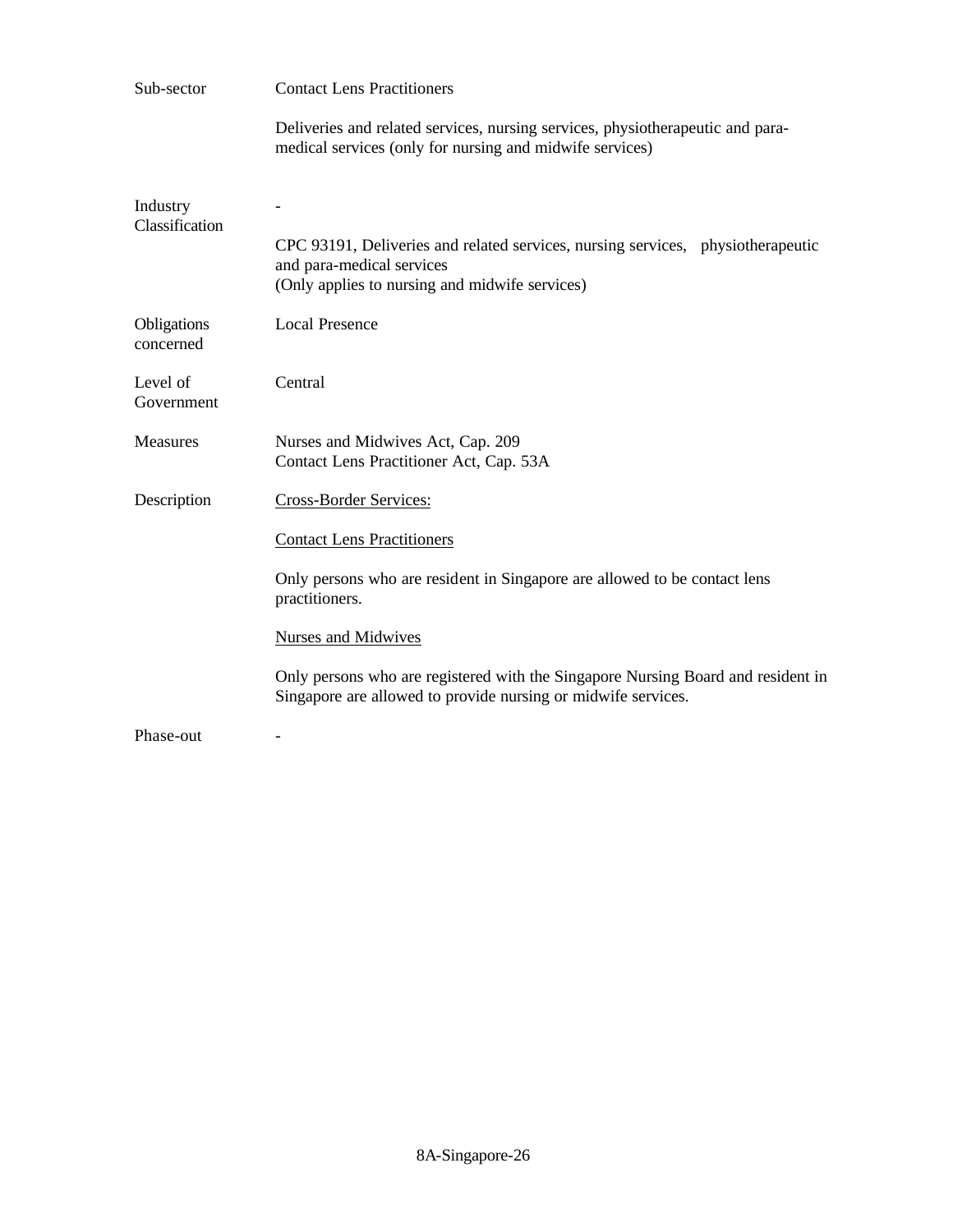| Sub-sector                 | <b>Contact Lens Practitioners</b>                                                                                                                              |
|----------------------------|----------------------------------------------------------------------------------------------------------------------------------------------------------------|
|                            | Deliveries and related services, nursing services, physiotherapeutic and para-<br>medical services (only for nursing and midwife services)                     |
| Industry<br>Classification | CPC 93191, Deliveries and related services, nursing services, physiotherapeutic<br>and para-medical services<br>(Only applies to nursing and midwife services) |
| Obligations<br>concerned   | <b>Local Presence</b>                                                                                                                                          |
| Level of<br>Government     | Central                                                                                                                                                        |
| <b>Measures</b>            | Nurses and Midwives Act, Cap. 209<br>Contact Lens Practitioner Act, Cap. 53A                                                                                   |
| Description                | Cross-Border Services:                                                                                                                                         |
|                            | <b>Contact Lens Practitioners</b>                                                                                                                              |
|                            | Only persons who are resident in Singapore are allowed to be contact lens<br>practitioners.                                                                    |
|                            | <b>Nurses and Midwives</b>                                                                                                                                     |
|                            | Only persons who are registered with the Singapore Nursing Board and resident in<br>Singapore are allowed to provide nursing or midwife services.              |
| Phase-out                  |                                                                                                                                                                |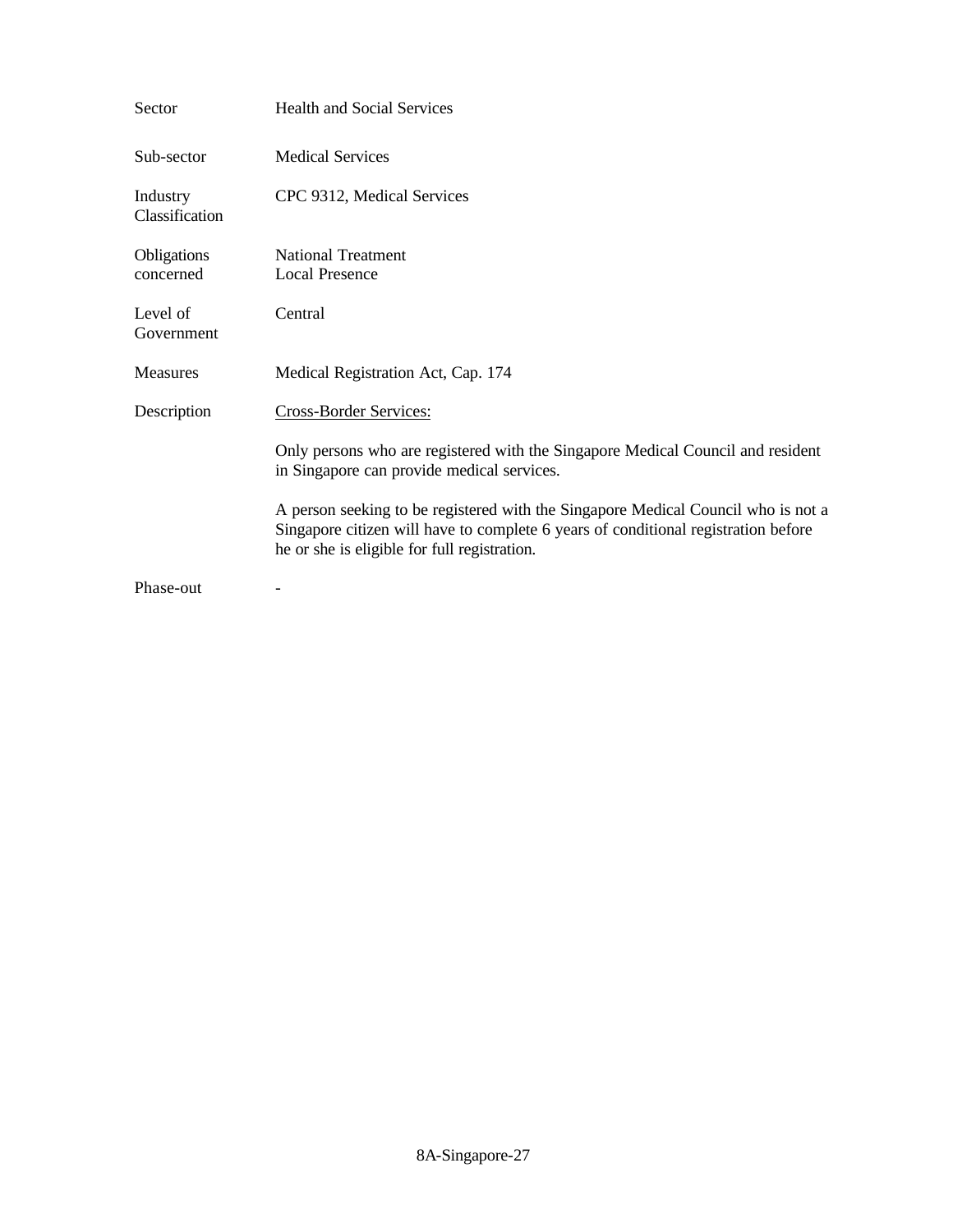| Sector                     | <b>Health and Social Services</b>                                                                                                                                                                                       |
|----------------------------|-------------------------------------------------------------------------------------------------------------------------------------------------------------------------------------------------------------------------|
| Sub-sector                 | <b>Medical Services</b>                                                                                                                                                                                                 |
| Industry<br>Classification | CPC 9312, Medical Services                                                                                                                                                                                              |
| Obligations<br>concerned   | <b>National Treatment</b><br><b>Local Presence</b>                                                                                                                                                                      |
| Level of<br>Government     | Central                                                                                                                                                                                                                 |
| Measures                   | Medical Registration Act, Cap. 174                                                                                                                                                                                      |
| Description                | Cross-Border Services:                                                                                                                                                                                                  |
|                            | Only persons who are registered with the Singapore Medical Council and resident<br>in Singapore can provide medical services.                                                                                           |
|                            | A person seeking to be registered with the Singapore Medical Council who is not a<br>Singapore citizen will have to complete 6 years of conditional registration before<br>he or she is eligible for full registration. |
| Phase-out                  |                                                                                                                                                                                                                         |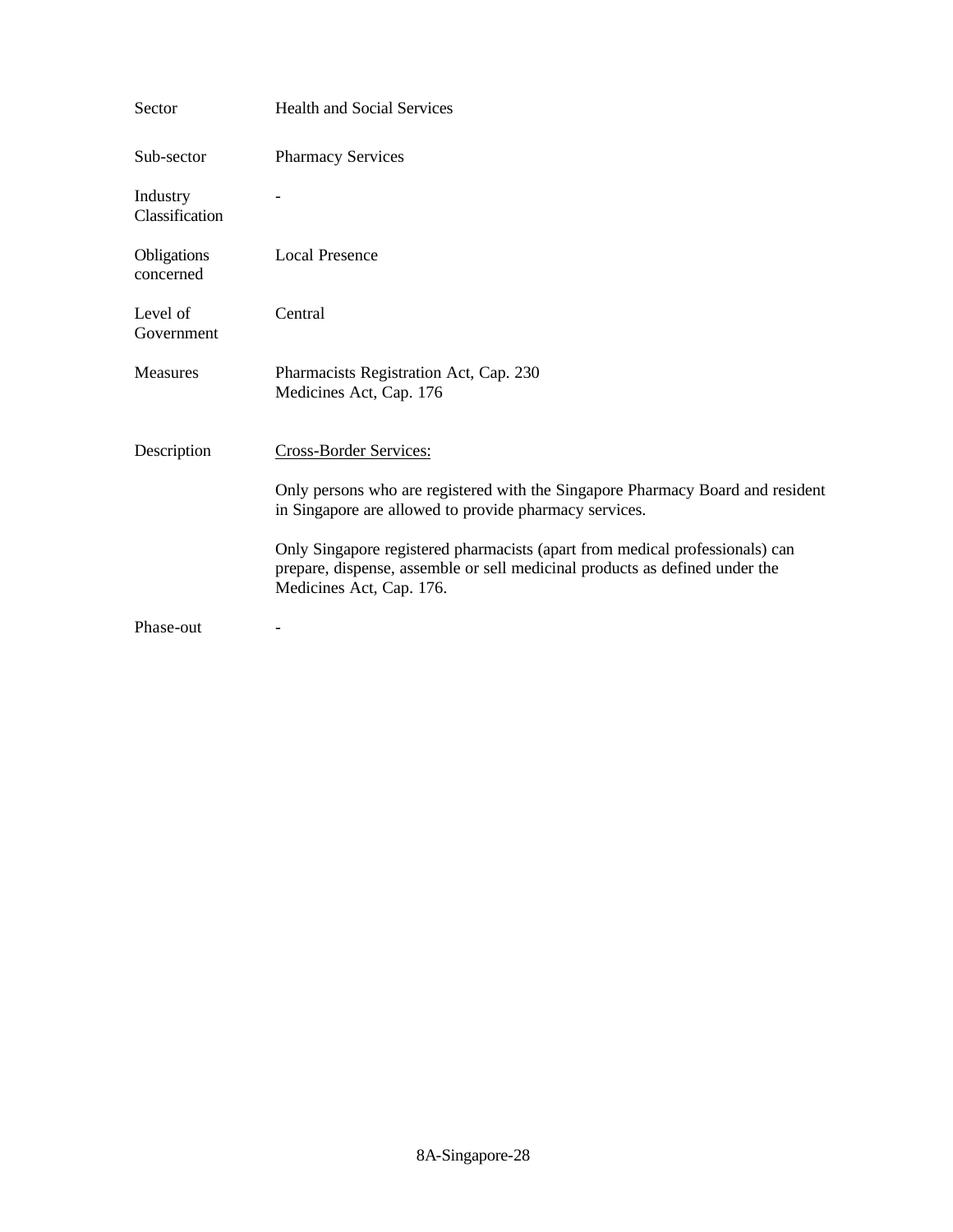| Sector                     | <b>Health and Social Services</b>                                                                                                                                                       |
|----------------------------|-----------------------------------------------------------------------------------------------------------------------------------------------------------------------------------------|
| Sub-sector                 | <b>Pharmacy Services</b>                                                                                                                                                                |
| Industry<br>Classification |                                                                                                                                                                                         |
| Obligations<br>concerned   | <b>Local Presence</b>                                                                                                                                                                   |
| Level of<br>Government     | Central                                                                                                                                                                                 |
| <b>Measures</b>            | Pharmacists Registration Act, Cap. 230<br>Medicines Act, Cap. 176                                                                                                                       |
| Description                | <b>Cross-Border Services:</b>                                                                                                                                                           |
|                            | Only persons who are registered with the Singapore Pharmacy Board and resident<br>in Singapore are allowed to provide pharmacy services.                                                |
|                            | Only Singapore registered pharmacists (apart from medical professionals) can<br>prepare, dispense, assemble or sell medicinal products as defined under the<br>Medicines Act, Cap. 176. |
| Phase-out                  |                                                                                                                                                                                         |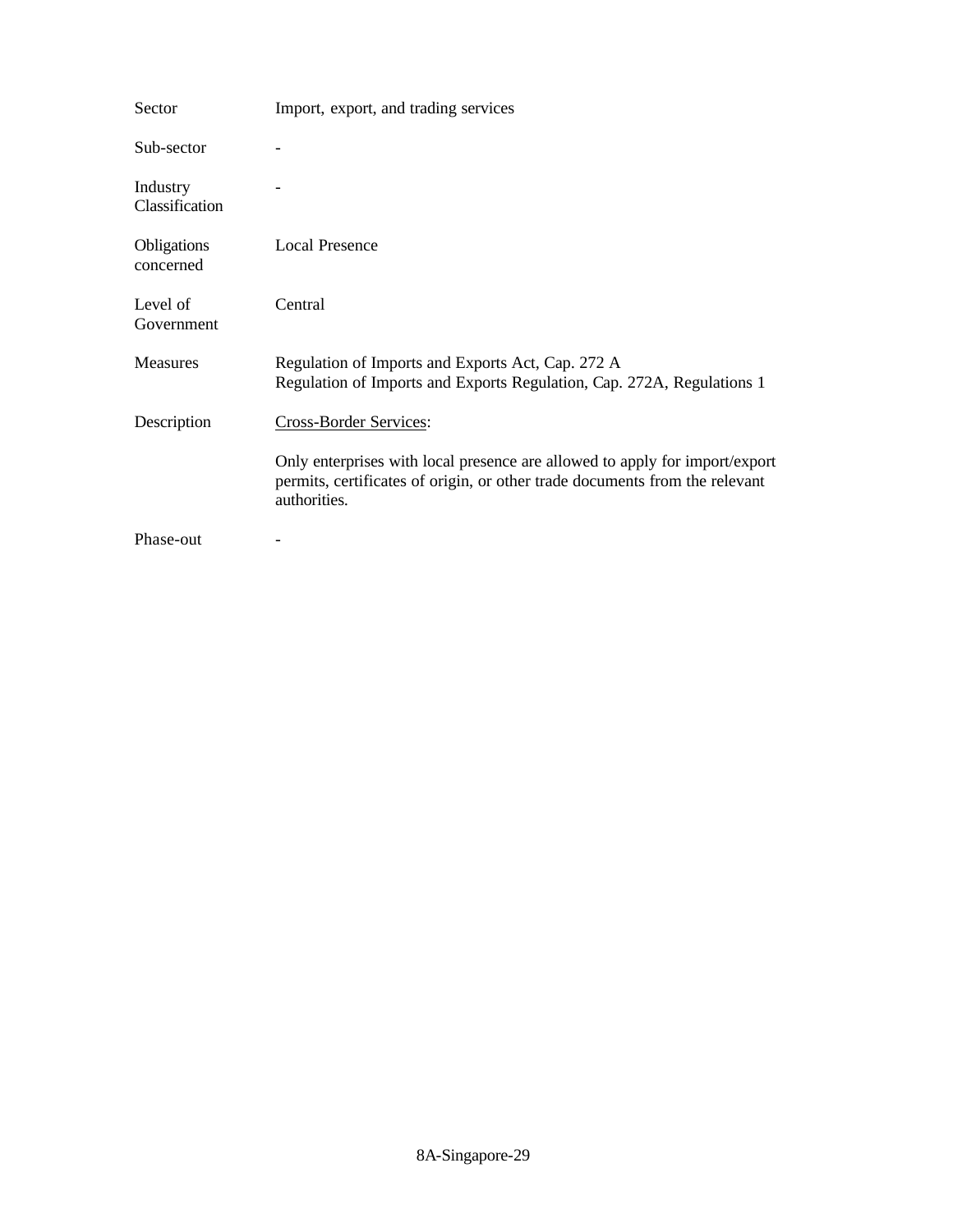| Sector                          | Import, export, and trading services                                                                                                                                       |
|---------------------------------|----------------------------------------------------------------------------------------------------------------------------------------------------------------------------|
| Sub-sector                      |                                                                                                                                                                            |
| Industry<br>Classification      |                                                                                                                                                                            |
| <b>Obligations</b><br>concerned | <b>Local Presence</b>                                                                                                                                                      |
| Level of<br>Government          | Central                                                                                                                                                                    |
| <b>Measures</b>                 | Regulation of Imports and Exports Act, Cap. 272 A<br>Regulation of Imports and Exports Regulation, Cap. 272A, Regulations 1                                                |
| Description                     | <b>Cross-Border Services:</b>                                                                                                                                              |
|                                 | Only enterprises with local presence are allowed to apply for import/export<br>permits, certificates of origin, or other trade documents from the relevant<br>authorities. |
| Phase-out                       |                                                                                                                                                                            |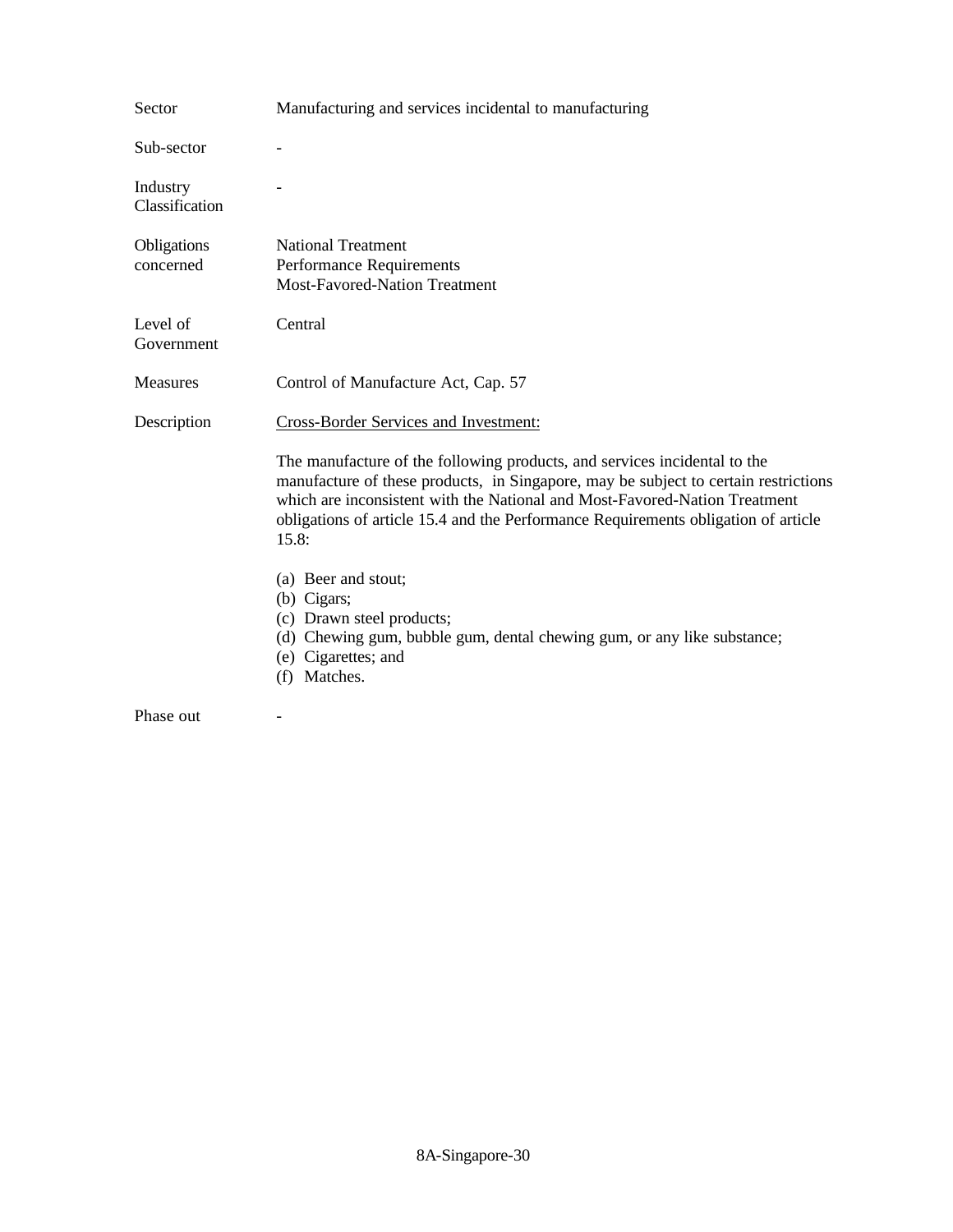| Sector                     | Manufacturing and services incidental to manufacturing                                                                                                                                                                                                                                                                                        |
|----------------------------|-----------------------------------------------------------------------------------------------------------------------------------------------------------------------------------------------------------------------------------------------------------------------------------------------------------------------------------------------|
| Sub-sector                 |                                                                                                                                                                                                                                                                                                                                               |
| Industry<br>Classification |                                                                                                                                                                                                                                                                                                                                               |
| Obligations<br>concerned   | <b>National Treatment</b><br><b>Performance Requirements</b><br><b>Most-Favored-Nation Treatment</b>                                                                                                                                                                                                                                          |
| Level of<br>Government     | Central                                                                                                                                                                                                                                                                                                                                       |
| Measures                   | Control of Manufacture Act, Cap. 57                                                                                                                                                                                                                                                                                                           |
| Description                | <b>Cross-Border Services and Investment:</b>                                                                                                                                                                                                                                                                                                  |
|                            | The manufacture of the following products, and services incidental to the<br>manufacture of these products, in Singapore, may be subject to certain restrictions<br>which are inconsistent with the National and Most-Favored-Nation Treatment<br>obligations of article 15.4 and the Performance Requirements obligation of article<br>15.8: |
|                            | (a) Beer and stout;<br>(b) Cigars;<br>(c) Drawn steel products;<br>(d) Chewing gum, bubble gum, dental chewing gum, or any like substance;<br>(e) Cigarettes; and<br>(f) Matches.                                                                                                                                                             |
| Phase out                  |                                                                                                                                                                                                                                                                                                                                               |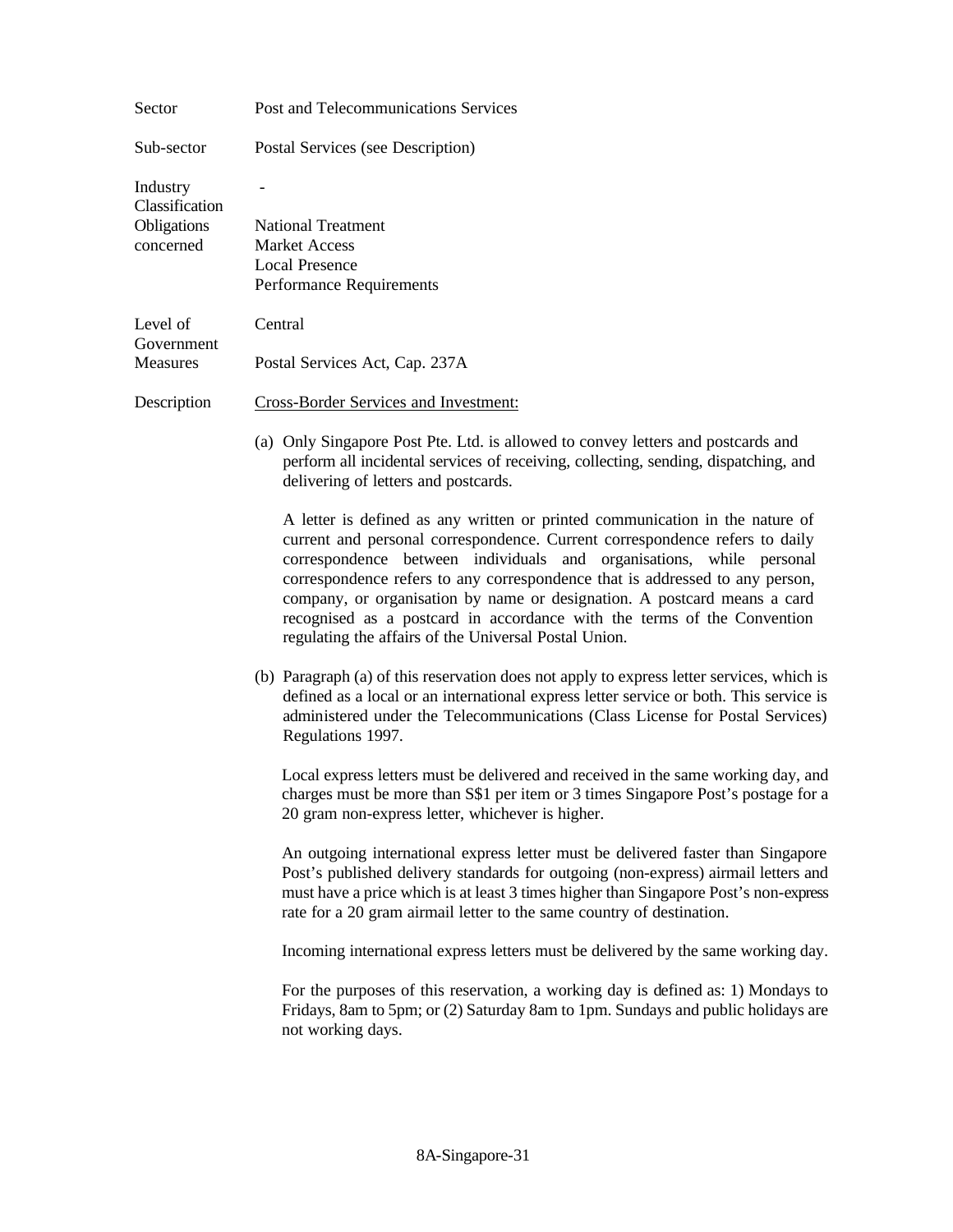| Sector                                                 | Post and Telecommunications Services                                                                                                                                                                                                                                                                                                                                                                                                                                                                                                |
|--------------------------------------------------------|-------------------------------------------------------------------------------------------------------------------------------------------------------------------------------------------------------------------------------------------------------------------------------------------------------------------------------------------------------------------------------------------------------------------------------------------------------------------------------------------------------------------------------------|
| Sub-sector                                             | Postal Services (see Description)                                                                                                                                                                                                                                                                                                                                                                                                                                                                                                   |
| Industry<br>Classification<br>Obligations<br>concerned | <b>National Treatment</b><br><b>Market Access</b><br><b>Local Presence</b><br><b>Performance Requirements</b>                                                                                                                                                                                                                                                                                                                                                                                                                       |
| Level of<br>Government<br>Measures                     | Central<br>Postal Services Act, Cap. 237A                                                                                                                                                                                                                                                                                                                                                                                                                                                                                           |
| Description                                            | <b>Cross-Border Services and Investment:</b>                                                                                                                                                                                                                                                                                                                                                                                                                                                                                        |
|                                                        | (a) Only Singapore Post Pte. Ltd. is allowed to convey letters and postcards and<br>perform all incidental services of receiving, collecting, sending, dispatching, and<br>delivering of letters and postcards.                                                                                                                                                                                                                                                                                                                     |
|                                                        | A letter is defined as any written or printed communication in the nature of<br>current and personal correspondence. Current correspondence refers to daily<br>correspondence between individuals and organisations, while personal<br>correspondence refers to any correspondence that is addressed to any person,<br>company, or organisation by name or designation. A postcard means a card<br>recognised as a postcard in accordance with the terms of the Convention<br>regulating the affairs of the Universal Postal Union. |
|                                                        | (b) Paragraph (a) of this reservation does not apply to express letter services, which is<br>defined as a local or an international express letter service or both. This service is<br>administered under the Telecommunications (Class License for Postal Services)<br>Regulations 1997.                                                                                                                                                                                                                                           |
|                                                        | Local express letters must be delivered and received in the same working day, and<br>charges must be more than S\$1 per item or 3 times Singapore Post's postage for a<br>20 gram non-express letter, whichever is higher.                                                                                                                                                                                                                                                                                                          |
|                                                        | An outgoing international express letter must be delivered faster than Singapore<br>Post's published delivery standards for outgoing (non-express) airmail letters and<br>must have a price which is at least 3 times higher than Singapore Post's non-express<br>rate for a 20 gram airmail letter to the same country of destination.                                                                                                                                                                                             |
|                                                        | Incoming international express letters must be delivered by the same working day.                                                                                                                                                                                                                                                                                                                                                                                                                                                   |
|                                                        | For the purposes of this reservation, a working day is defined as: 1) Mondays to<br>Fridays, 8am to 5pm; or (2) Saturday 8am to 1pm. Sundays and public holidays are<br>not working days.                                                                                                                                                                                                                                                                                                                                           |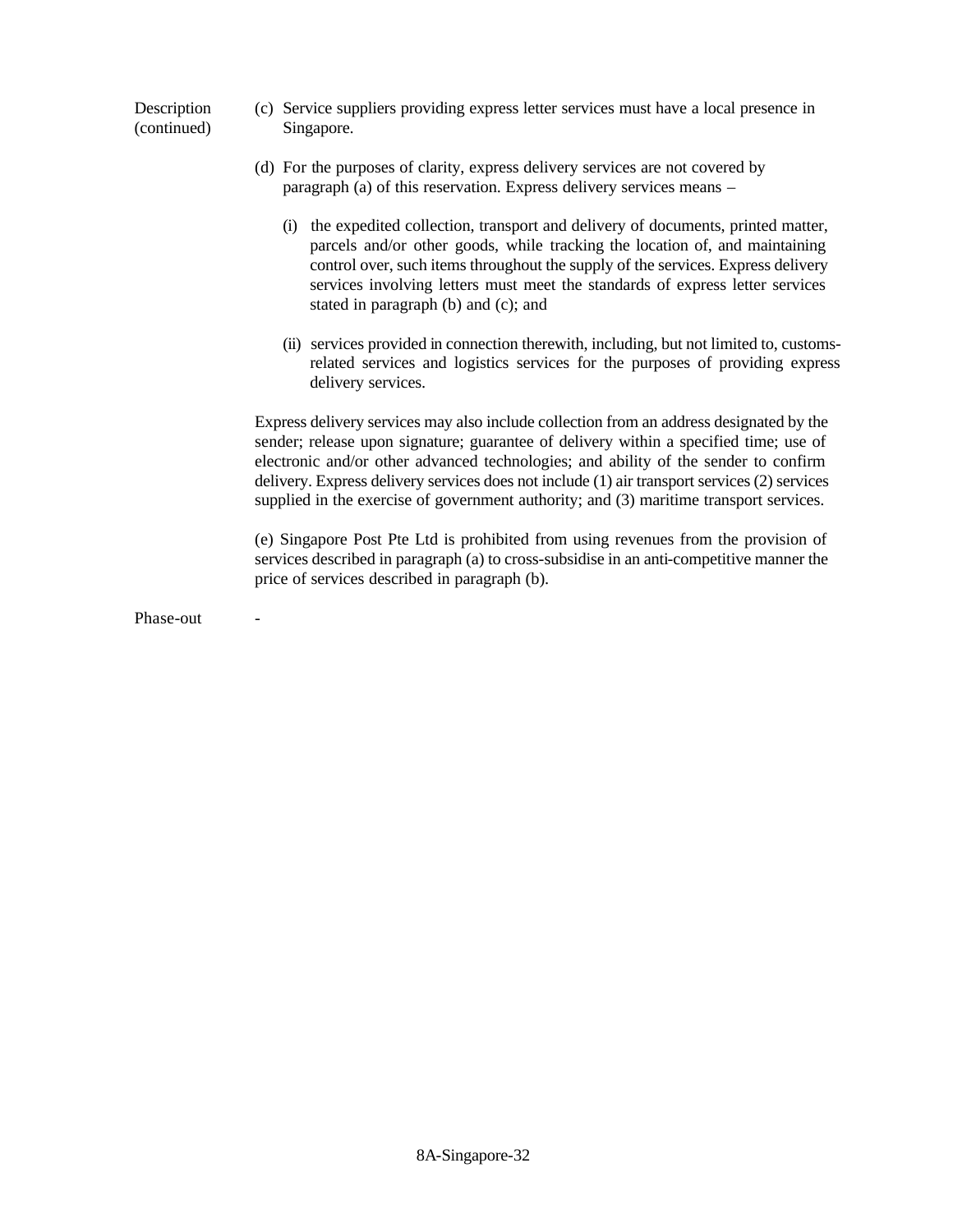## **Description** (continued) (c) Service suppliers providing express letter services must have a local presence in Singapore.

- (d) For the purposes of clarity, express delivery services are not covered by paragraph (a) of this reservation. Express delivery services means –
	- (i) the expedited collection, transport and delivery of documents, printed matter, parcels and/or other goods, while tracking the location of, and maintaining control over, such items throughout the supply of the services. Express delivery services involving letters must meet the standards of express letter services stated in paragraph (b) and (c); and
	- (ii) services provided in connection therewith, including, but not limited to, customsrelated services and logistics services for the purposes of providing express delivery services.

Express delivery services may also include collection from an address designated by the sender; release upon signature; guarantee of delivery within a specified time; use of electronic and/or other advanced technologies; and ability of the sender to confirm delivery. Express delivery services does not include (1) air transport services (2) services supplied in the exercise of government authority; and (3) maritime transport services.

(e) Singapore Post Pte Ltd is prohibited from using revenues from the provision of services described in paragraph (a) to cross-subsidise in an anti-competitive manner the price of services described in paragraph (b).

Phase-out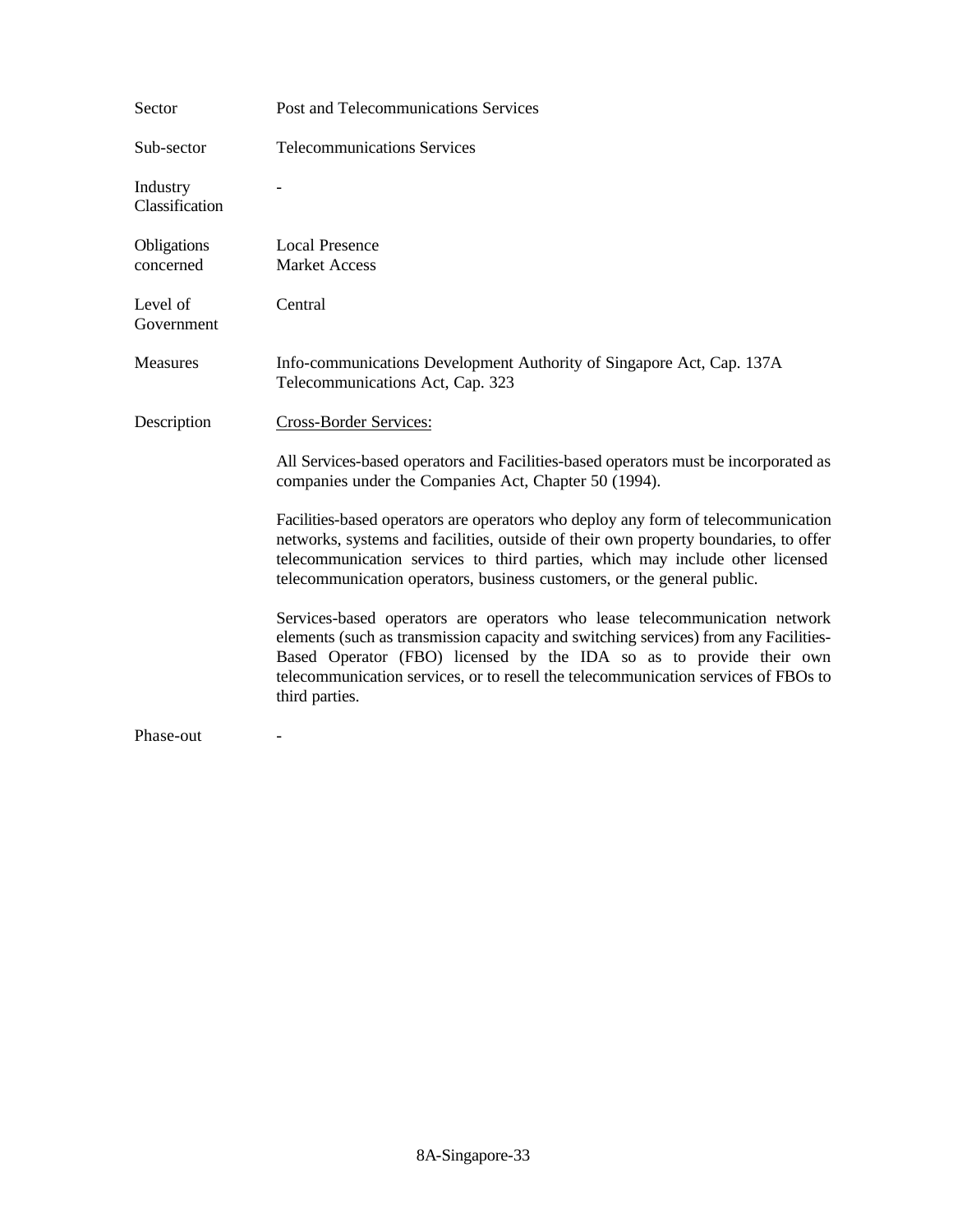| Sector                     | Post and Telecommunications Services                                                                                                                                                                                                                                                                                                              |
|----------------------------|---------------------------------------------------------------------------------------------------------------------------------------------------------------------------------------------------------------------------------------------------------------------------------------------------------------------------------------------------|
| Sub-sector                 | <b>Telecommunications Services</b>                                                                                                                                                                                                                                                                                                                |
| Industry<br>Classification |                                                                                                                                                                                                                                                                                                                                                   |
| Obligations<br>concerned   | <b>Local Presence</b><br><b>Market Access</b>                                                                                                                                                                                                                                                                                                     |
| Level of<br>Government     | Central                                                                                                                                                                                                                                                                                                                                           |
| Measures                   | Info-communications Development Authority of Singapore Act, Cap. 137A<br>Telecommunications Act, Cap. 323                                                                                                                                                                                                                                         |
| Description                | Cross-Border Services:                                                                                                                                                                                                                                                                                                                            |
|                            | All Services-based operators and Facilities-based operators must be incorporated as<br>companies under the Companies Act, Chapter 50 (1994).                                                                                                                                                                                                      |
|                            | Facilities-based operators are operators who deploy any form of telecommunication<br>networks, systems and facilities, outside of their own property boundaries, to offer<br>telecommunication services to third parties, which may include other licensed<br>telecommunication operators, business customers, or the general public.             |
|                            | Services-based operators are operators who lease telecommunication network<br>elements (such as transmission capacity and switching services) from any Facilities-<br>Based Operator (FBO) licensed by the IDA so as to provide their own<br>telecommunication services, or to resell the telecommunication services of FBOs to<br>third parties. |
| Phase-out                  |                                                                                                                                                                                                                                                                                                                                                   |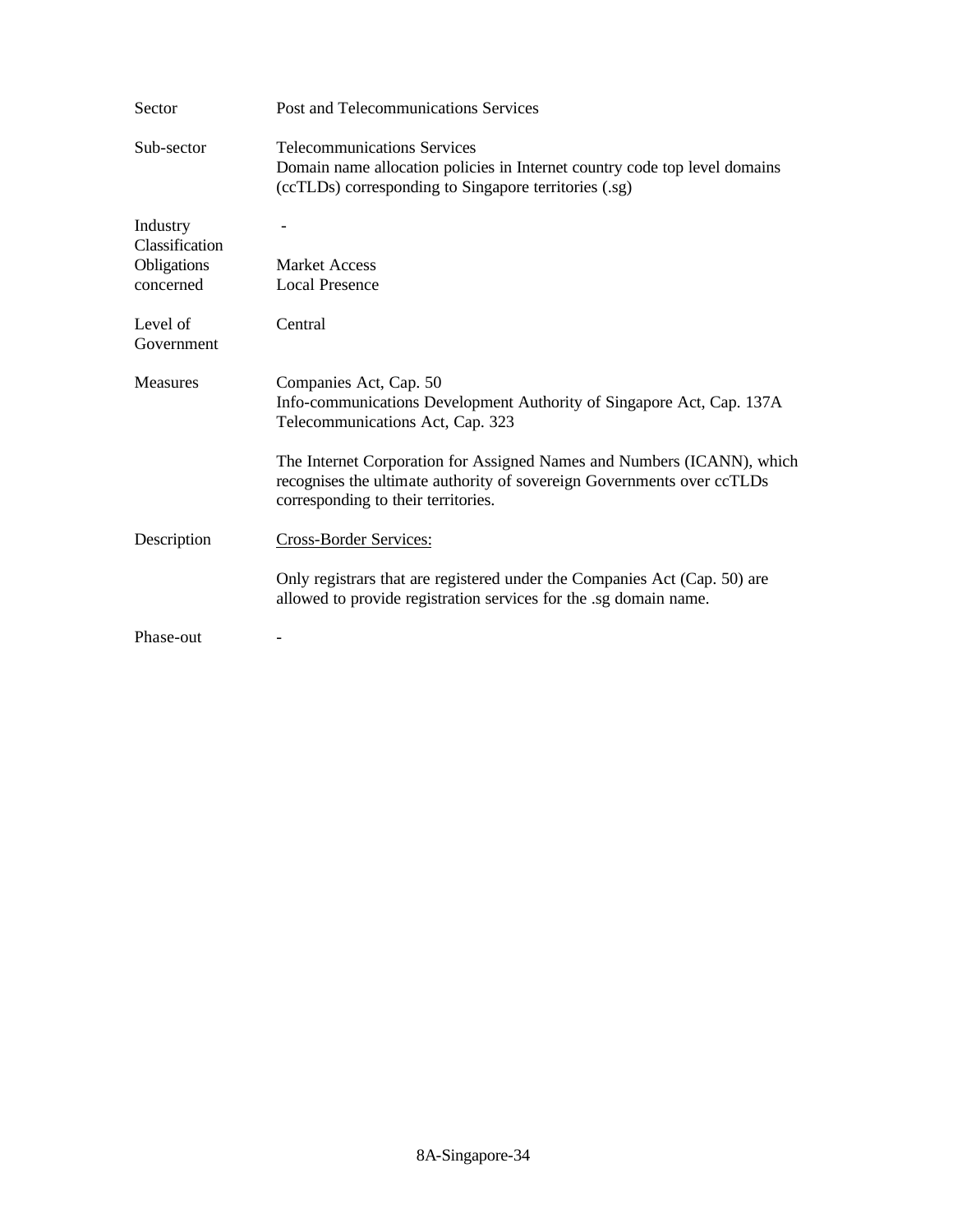| Sector                                                 | Post and Telecommunications Services                                                                                                                                                    |
|--------------------------------------------------------|-----------------------------------------------------------------------------------------------------------------------------------------------------------------------------------------|
| Sub-sector                                             | <b>Telecommunications Services</b><br>Domain name allocation policies in Internet country code top level domains<br>(ccTLDs) corresponding to Singapore territories (.sg)               |
| Industry<br>Classification<br>Obligations<br>concerned | <b>Market Access</b><br><b>Local Presence</b>                                                                                                                                           |
| Level of<br>Government                                 | Central                                                                                                                                                                                 |
| <b>Measures</b>                                        | Companies Act, Cap. 50<br>Info-communications Development Authority of Singapore Act, Cap. 137A<br>Telecommunications Act, Cap. 323                                                     |
|                                                        | The Internet Corporation for Assigned Names and Numbers (ICANN), which<br>recognises the ultimate authority of sovereign Governments over ccTLDs<br>corresponding to their territories. |
| Description                                            | Cross-Border Services:                                                                                                                                                                  |
|                                                        | Only registrars that are registered under the Companies Act (Cap. 50) are<br>allowed to provide registration services for the .sg domain name.                                          |
| Phase-out                                              |                                                                                                                                                                                         |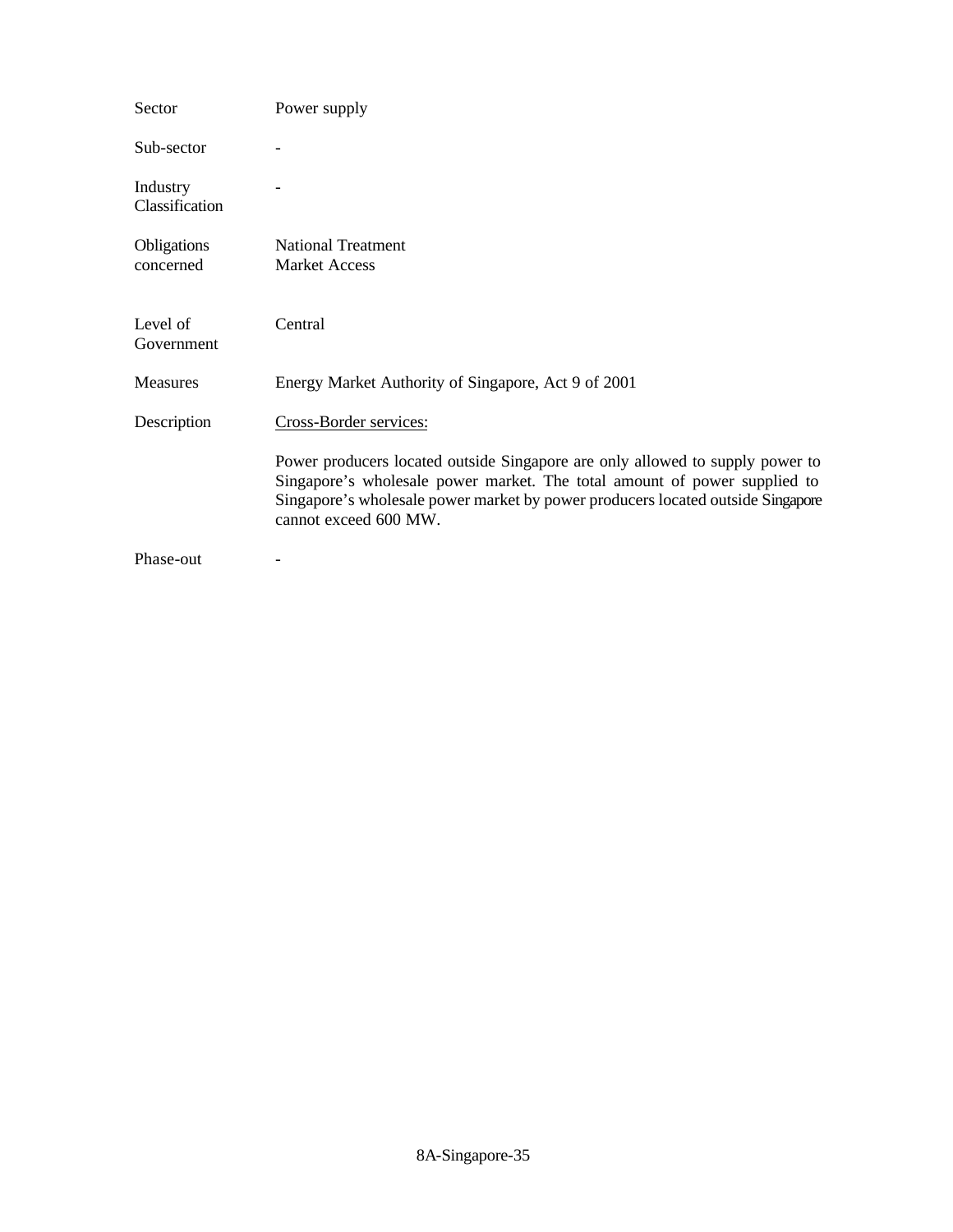| Sector                     | Power supply                                                                                                                                                                                                                                                           |
|----------------------------|------------------------------------------------------------------------------------------------------------------------------------------------------------------------------------------------------------------------------------------------------------------------|
| Sub-sector                 |                                                                                                                                                                                                                                                                        |
| Industry<br>Classification |                                                                                                                                                                                                                                                                        |
| Obligations<br>concerned   | <b>National Treatment</b><br><b>Market Access</b>                                                                                                                                                                                                                      |
| Level of<br>Government     | Central                                                                                                                                                                                                                                                                |
| <b>Measures</b>            | Energy Market Authority of Singapore, Act 9 of 2001                                                                                                                                                                                                                    |
| Description                | Cross-Border services:                                                                                                                                                                                                                                                 |
|                            | Power producers located outside Singapore are only allowed to supply power to<br>Singapore's wholesale power market. The total amount of power supplied to<br>Singapore's wholesale power market by power producers located outside Singapore<br>cannot exceed 600 MW. |
| Phase-out                  |                                                                                                                                                                                                                                                                        |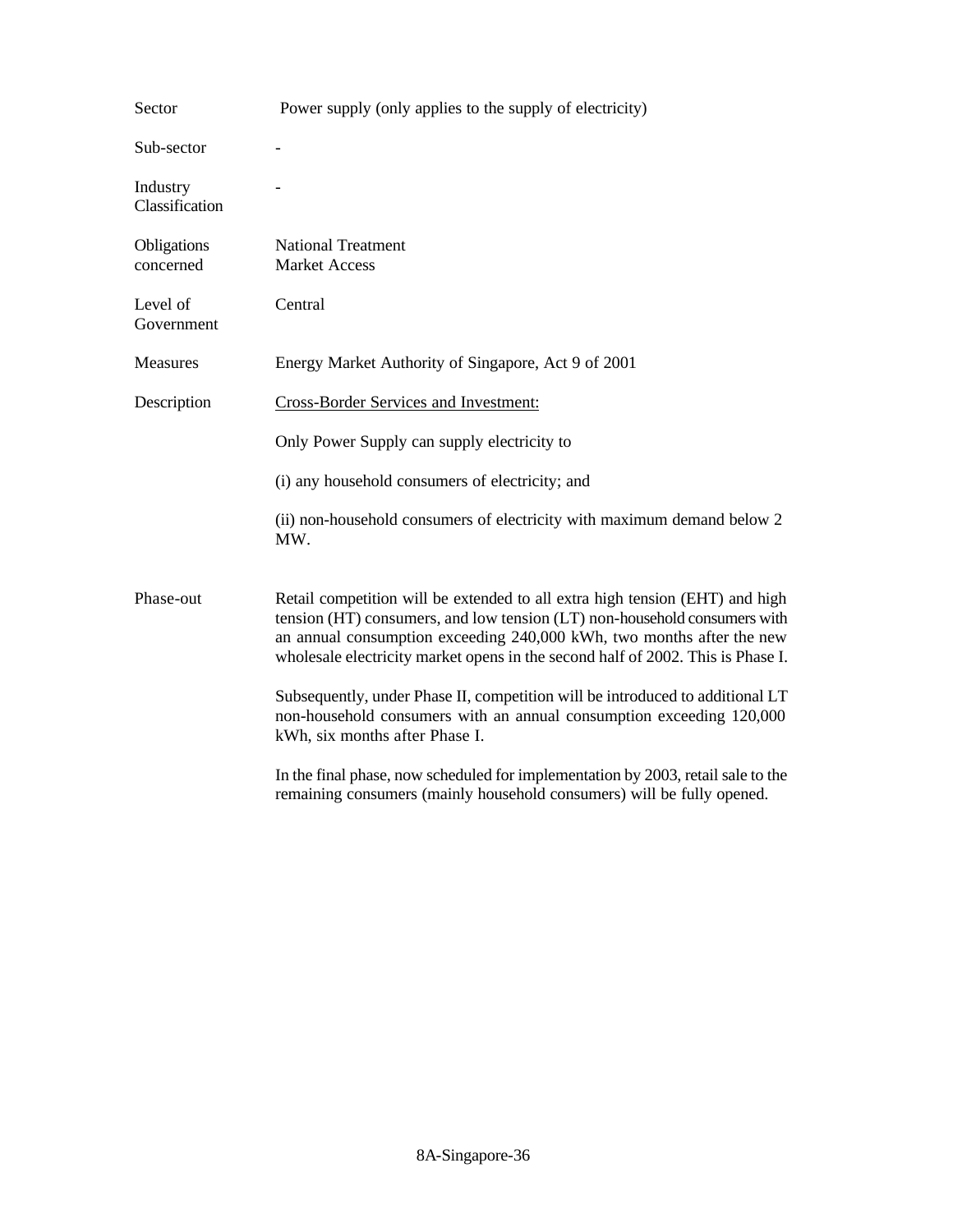| Sector                     | Power supply (only applies to the supply of electricity)                                                                                                                                                                                                                                                              |
|----------------------------|-----------------------------------------------------------------------------------------------------------------------------------------------------------------------------------------------------------------------------------------------------------------------------------------------------------------------|
| Sub-sector                 |                                                                                                                                                                                                                                                                                                                       |
| Industry<br>Classification |                                                                                                                                                                                                                                                                                                                       |
| Obligations<br>concerned   | <b>National Treatment</b><br><b>Market Access</b>                                                                                                                                                                                                                                                                     |
| Level of<br>Government     | Central                                                                                                                                                                                                                                                                                                               |
| Measures                   | Energy Market Authority of Singapore, Act 9 of 2001                                                                                                                                                                                                                                                                   |
| Description                | <b>Cross-Border Services and Investment:</b>                                                                                                                                                                                                                                                                          |
|                            | Only Power Supply can supply electricity to                                                                                                                                                                                                                                                                           |
|                            | (i) any household consumers of electricity; and                                                                                                                                                                                                                                                                       |
|                            | (ii) non-household consumers of electricity with maximum demand below 2<br>MW.                                                                                                                                                                                                                                        |
| Phase-out                  | Retail competition will be extended to all extra high tension (EHT) and high<br>tension (HT) consumers, and low tension (LT) non-household consumers with<br>an annual consumption exceeding 240,000 kWh, two months after the new<br>wholesale electricity market opens in the second half of 2002. This is Phase I. |
|                            | Subsequently, under Phase II, competition will be introduced to additional LT<br>non-household consumers with an annual consumption exceeding 120,000<br>kWh, six months after Phase I.                                                                                                                               |
|                            | In the final phase, now scheduled for implementation by 2003, retail sale to the<br>remaining consumers (mainly household consumers) will be fully opened.                                                                                                                                                            |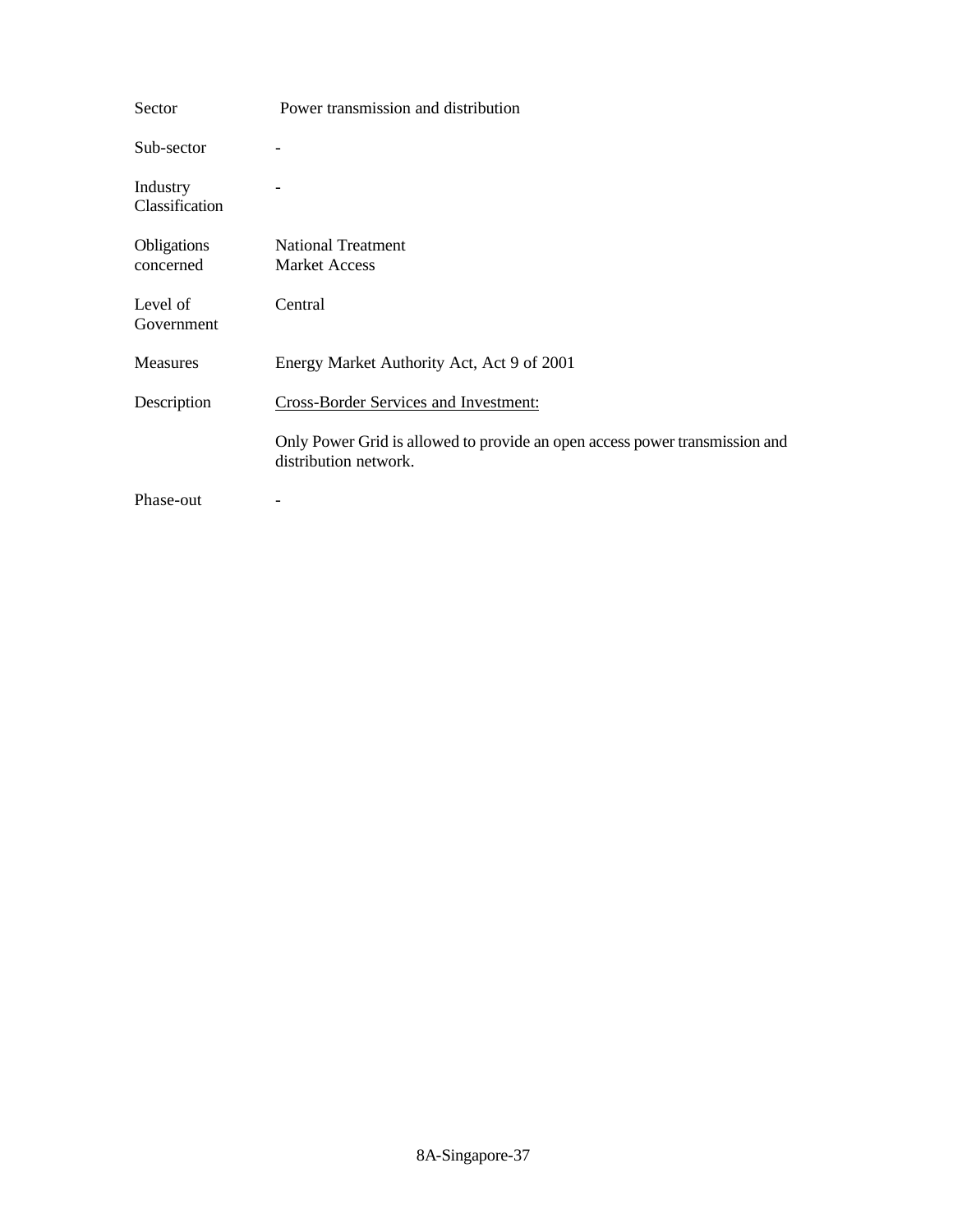| Sector                     | Power transmission and distribution                                                                  |
|----------------------------|------------------------------------------------------------------------------------------------------|
| Sub-sector                 |                                                                                                      |
| Industry<br>Classification |                                                                                                      |
| Obligations                | <b>National Treatment</b>                                                                            |
| concerned                  | <b>Market Access</b>                                                                                 |
| Level of<br>Government     | Central                                                                                              |
| <b>Measures</b>            | Energy Market Authority Act, Act 9 of 2001                                                           |
| Description                | Cross-Border Services and Investment:                                                                |
|                            | Only Power Grid is allowed to provide an open access power transmission and<br>distribution network. |
| Phase-out                  |                                                                                                      |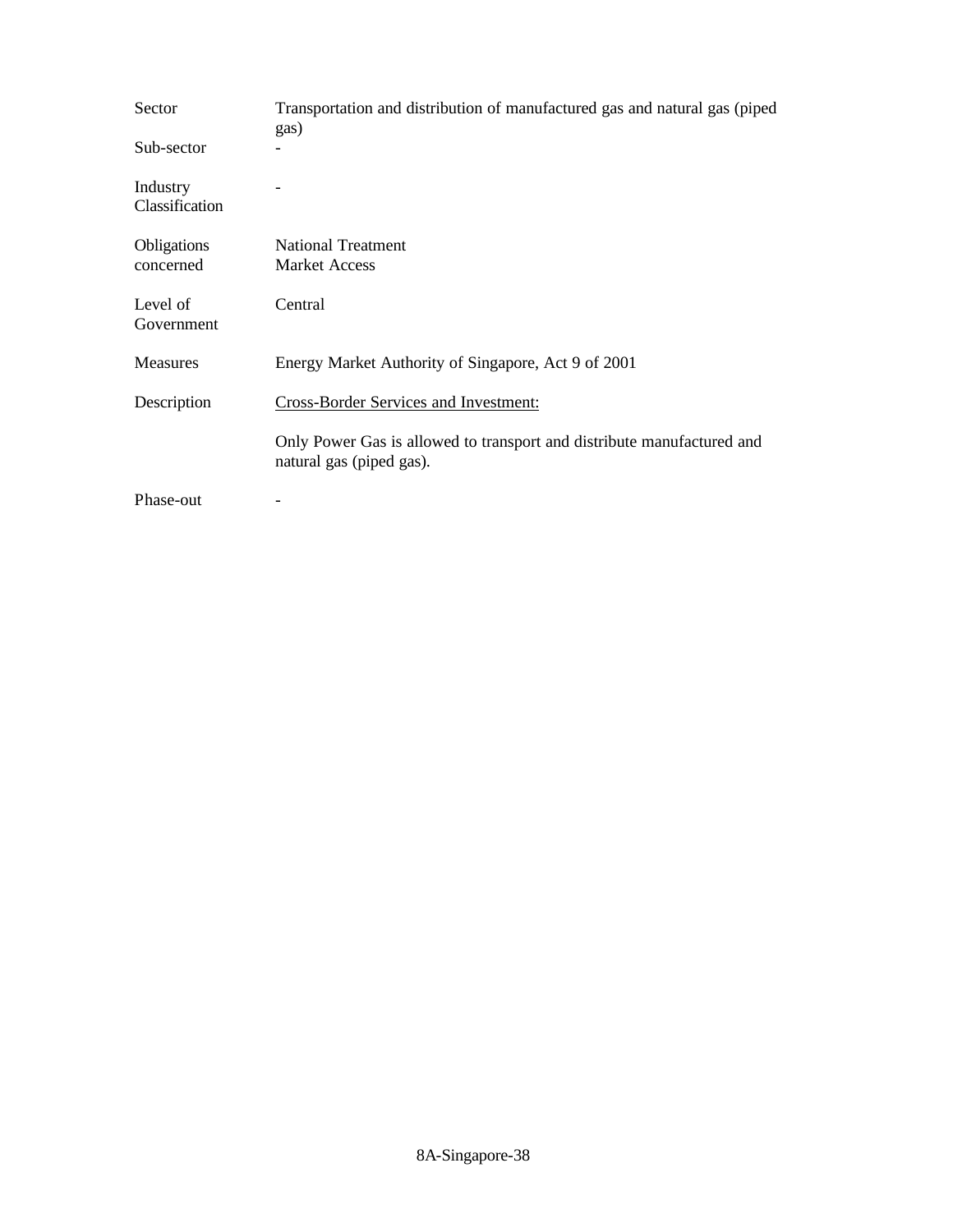| Sector                     | Transportation and distribution of manufactured gas and natural gas (piped<br>gas)                 |
|----------------------------|----------------------------------------------------------------------------------------------------|
| Sub-sector                 |                                                                                                    |
| Industry<br>Classification |                                                                                                    |
| Obligations                | <b>National Treatment</b>                                                                          |
| concerned                  | <b>Market Access</b>                                                                               |
| Level of<br>Government     | Central                                                                                            |
| <b>Measures</b>            | Energy Market Authority of Singapore, Act 9 of 2001                                                |
| Description                | <b>Cross-Border Services and Investment:</b>                                                       |
|                            | Only Power Gas is allowed to transport and distribute manufactured and<br>natural gas (piped gas). |
| Phase-out                  |                                                                                                    |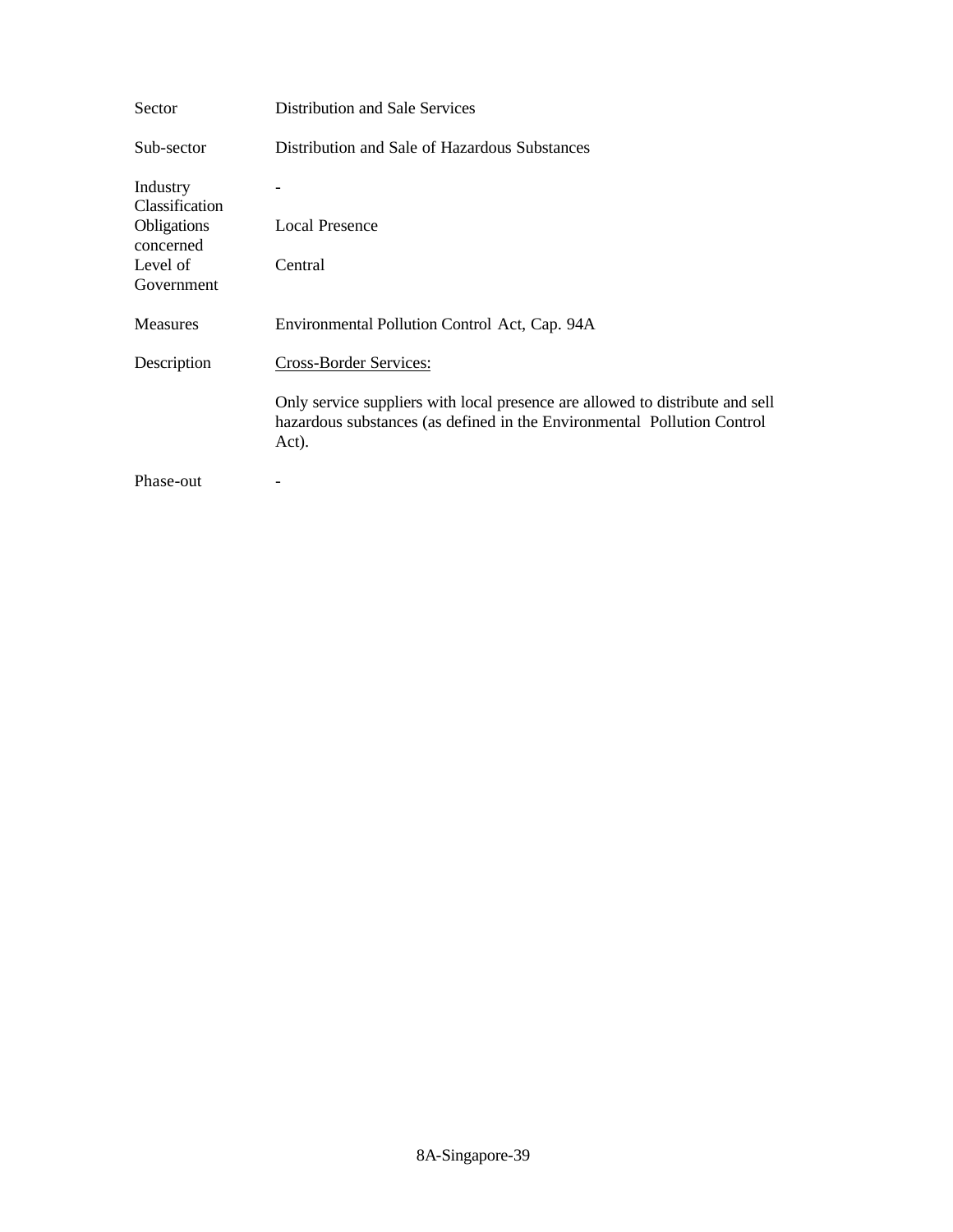| Sector                     | Distribution and Sale Services                                                                                                                                    |
|----------------------------|-------------------------------------------------------------------------------------------------------------------------------------------------------------------|
| Sub-sector                 | Distribution and Sale of Hazardous Substances                                                                                                                     |
| Industry<br>Classification |                                                                                                                                                                   |
| Obligations<br>concerned   | <b>Local Presence</b>                                                                                                                                             |
| Level of<br>Government     | Central                                                                                                                                                           |
| <b>Measures</b>            | Environmental Pollution Control Act, Cap. 94A                                                                                                                     |
| Description                | Cross-Border Services:                                                                                                                                            |
|                            | Only service suppliers with local presence are allowed to distribute and sell<br>hazardous substances (as defined in the Environmental Pollution Control<br>Act). |
| Phase-out                  |                                                                                                                                                                   |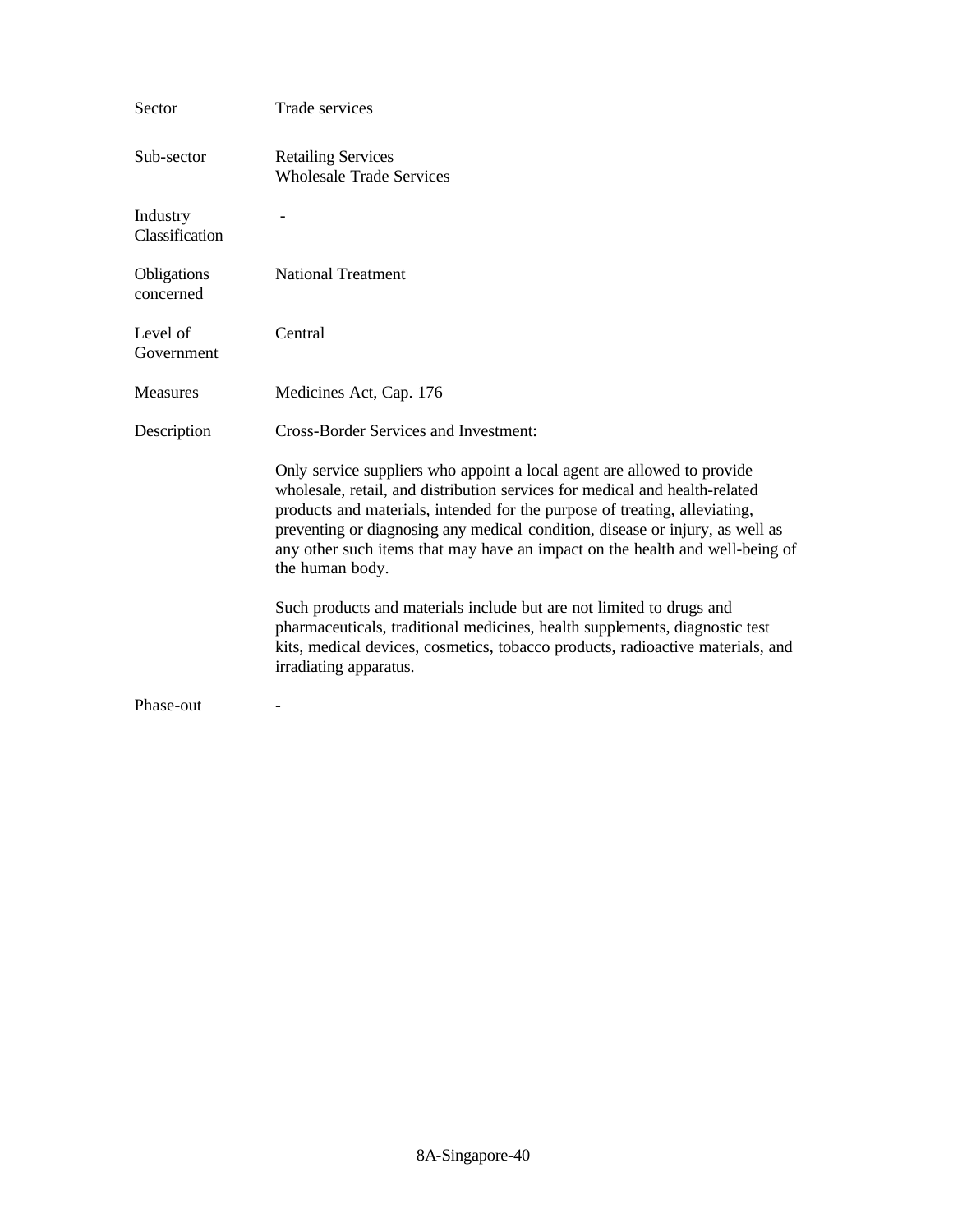| Sector                     | Trade services                                                                                                                                                                                                                                                                                                                                                                                                           |
|----------------------------|--------------------------------------------------------------------------------------------------------------------------------------------------------------------------------------------------------------------------------------------------------------------------------------------------------------------------------------------------------------------------------------------------------------------------|
| Sub-sector                 | <b>Retailing Services</b><br><b>Wholesale Trade Services</b>                                                                                                                                                                                                                                                                                                                                                             |
| Industry<br>Classification |                                                                                                                                                                                                                                                                                                                                                                                                                          |
| Obligations<br>concerned   | <b>National Treatment</b>                                                                                                                                                                                                                                                                                                                                                                                                |
| Level of<br>Government     | Central                                                                                                                                                                                                                                                                                                                                                                                                                  |
| Measures                   | Medicines Act, Cap. 176                                                                                                                                                                                                                                                                                                                                                                                                  |
| Description                | <b>Cross-Border Services and Investment:</b>                                                                                                                                                                                                                                                                                                                                                                             |
|                            | Only service suppliers who appoint a local agent are allowed to provide<br>wholesale, retail, and distribution services for medical and health-related<br>products and materials, intended for the purpose of treating, alleviating,<br>preventing or diagnosing any medical condition, disease or injury, as well as<br>any other such items that may have an impact on the health and well-being of<br>the human body. |
|                            | Such products and materials include but are not limited to drugs and<br>pharmaceuticals, traditional medicines, health supplements, diagnostic test<br>kits, medical devices, cosmetics, tobacco products, radioactive materials, and<br>irradiating apparatus.                                                                                                                                                          |
| Phase-out                  |                                                                                                                                                                                                                                                                                                                                                                                                                          |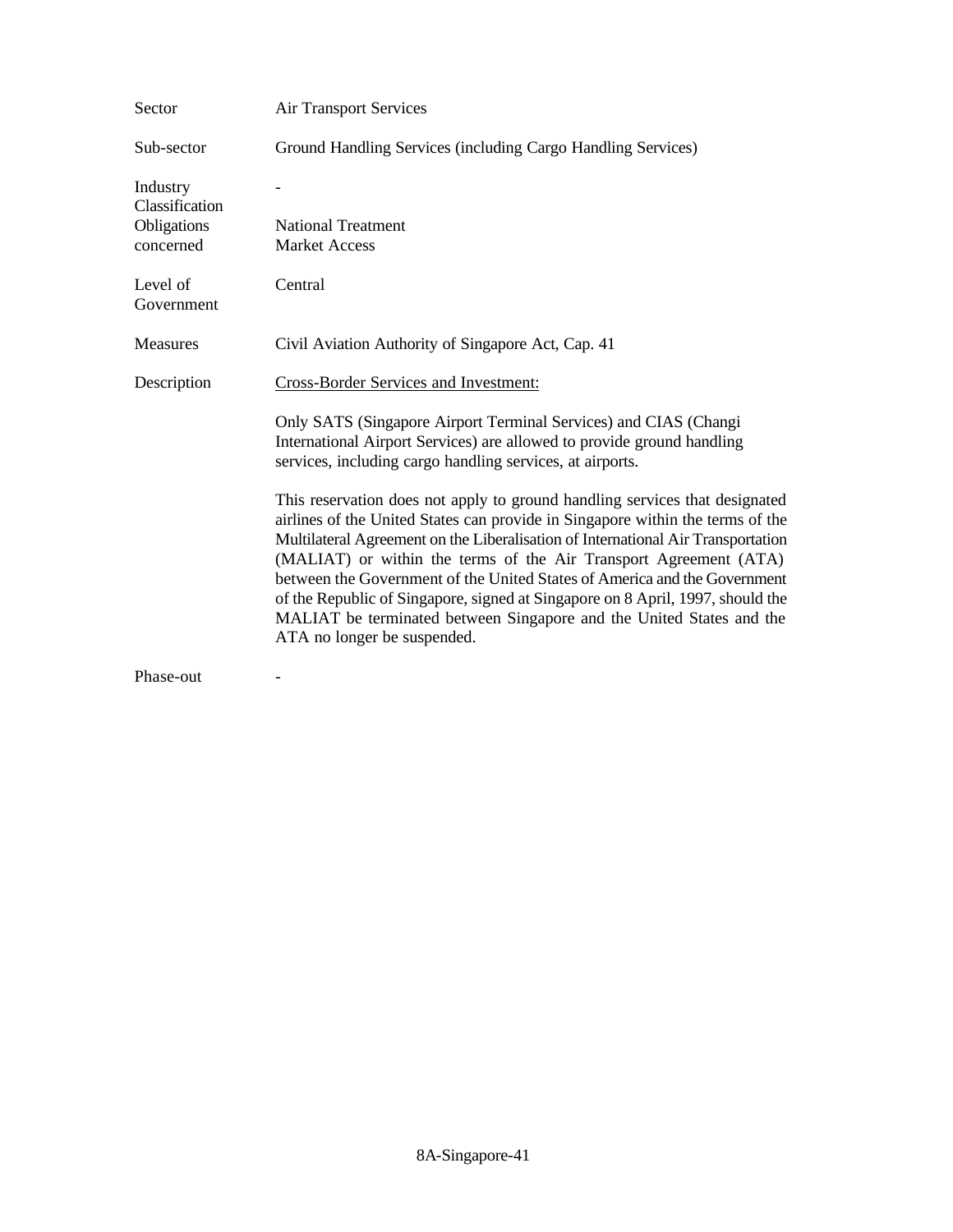| Sector                     | <b>Air Transport Services</b>                                                                                                                                                                                                                                                                                                                                                                                                                                                                                                                                                                |
|----------------------------|----------------------------------------------------------------------------------------------------------------------------------------------------------------------------------------------------------------------------------------------------------------------------------------------------------------------------------------------------------------------------------------------------------------------------------------------------------------------------------------------------------------------------------------------------------------------------------------------|
| Sub-sector                 | Ground Handling Services (including Cargo Handling Services)                                                                                                                                                                                                                                                                                                                                                                                                                                                                                                                                 |
| Industry<br>Classification |                                                                                                                                                                                                                                                                                                                                                                                                                                                                                                                                                                                              |
| Obligations                | <b>National Treatment</b>                                                                                                                                                                                                                                                                                                                                                                                                                                                                                                                                                                    |
| concerned                  | <b>Market Access</b>                                                                                                                                                                                                                                                                                                                                                                                                                                                                                                                                                                         |
| Level of<br>Government     | Central                                                                                                                                                                                                                                                                                                                                                                                                                                                                                                                                                                                      |
| Measures                   | Civil Aviation Authority of Singapore Act, Cap. 41                                                                                                                                                                                                                                                                                                                                                                                                                                                                                                                                           |
| Description                | <b>Cross-Border Services and Investment:</b>                                                                                                                                                                                                                                                                                                                                                                                                                                                                                                                                                 |
|                            | Only SATS (Singapore Airport Terminal Services) and CIAS (Changi<br>International Airport Services) are allowed to provide ground handling<br>services, including cargo handling services, at airports.                                                                                                                                                                                                                                                                                                                                                                                      |
|                            | This reservation does not apply to ground handling services that designated<br>airlines of the United States can provide in Singapore within the terms of the<br>Multilateral Agreement on the Liberalisation of International Air Transportation<br>(MALIAT) or within the terms of the Air Transport Agreement (ATA)<br>between the Government of the United States of America and the Government<br>of the Republic of Singapore, signed at Singapore on 8 April, 1997, should the<br>MALIAT be terminated between Singapore and the United States and the<br>ATA no longer be suspended. |
| m                          |                                                                                                                                                                                                                                                                                                                                                                                                                                                                                                                                                                                              |

Phase-out -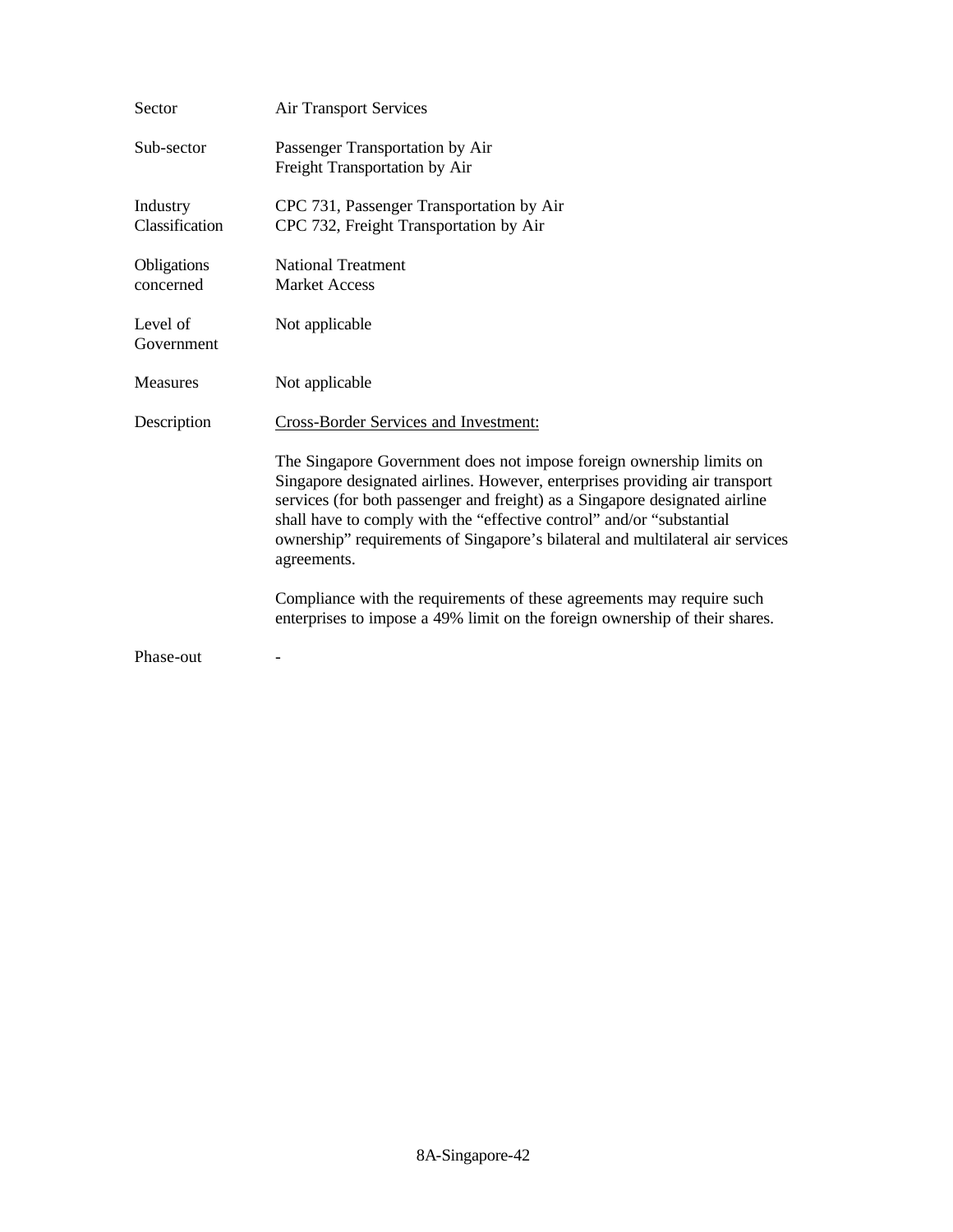| Sector                     | <b>Air Transport Services</b>                                                                                                                                                                                                                                                                                                                                                                                |
|----------------------------|--------------------------------------------------------------------------------------------------------------------------------------------------------------------------------------------------------------------------------------------------------------------------------------------------------------------------------------------------------------------------------------------------------------|
| Sub-sector                 | Passenger Transportation by Air<br>Freight Transportation by Air                                                                                                                                                                                                                                                                                                                                             |
| Industry<br>Classification | CPC 731, Passenger Transportation by Air<br>CPC 732, Freight Transportation by Air                                                                                                                                                                                                                                                                                                                           |
| Obligations<br>concerned   | <b>National Treatment</b><br><b>Market Access</b>                                                                                                                                                                                                                                                                                                                                                            |
| Level of<br>Government     | Not applicable                                                                                                                                                                                                                                                                                                                                                                                               |
| <b>Measures</b>            | Not applicable                                                                                                                                                                                                                                                                                                                                                                                               |
| Description                | Cross-Border Services and Investment:                                                                                                                                                                                                                                                                                                                                                                        |
|                            | The Singapore Government does not impose foreign ownership limits on<br>Singapore designated airlines. However, enterprises providing air transport<br>services (for both passenger and freight) as a Singapore designated airline<br>shall have to comply with the "effective control" and/or "substantial<br>ownership" requirements of Singapore's bilateral and multilateral air services<br>agreements. |
|                            | Compliance with the requirements of these agreements may require such<br>enterprises to impose a 49% limit on the foreign ownership of their shares.                                                                                                                                                                                                                                                         |
| Phase-out                  |                                                                                                                                                                                                                                                                                                                                                                                                              |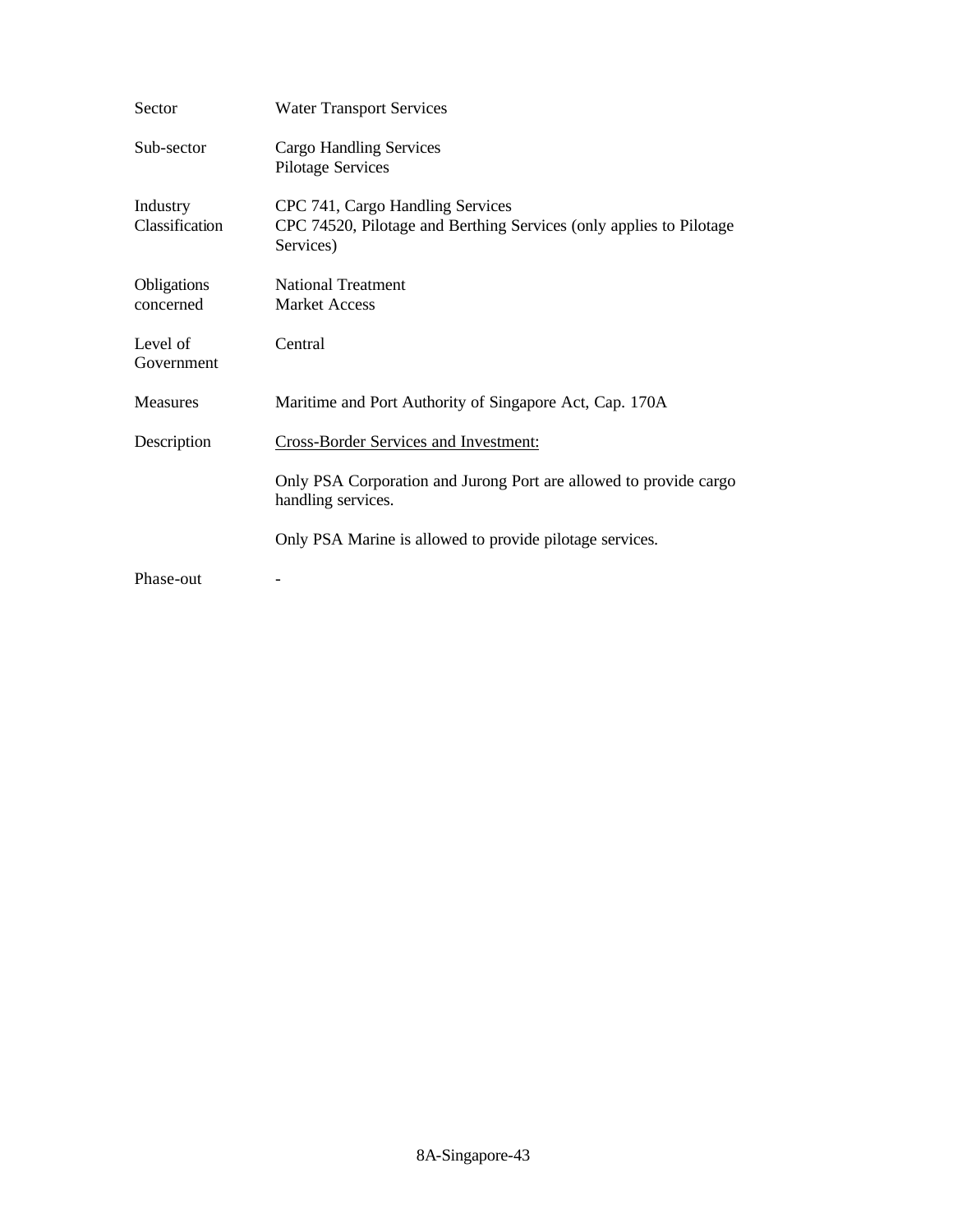| Sector                     | <b>Water Transport Services</b>                                                                                      |
|----------------------------|----------------------------------------------------------------------------------------------------------------------|
| Sub-sector                 | Cargo Handling Services<br><b>Pilotage Services</b>                                                                  |
| Industry<br>Classification | CPC 741, Cargo Handling Services<br>CPC 74520, Pilotage and Berthing Services (only applies to Pilotage<br>Services) |
| Obligations<br>concerned   | <b>National Treatment</b><br><b>Market Access</b>                                                                    |
| Level of<br>Government     | Central                                                                                                              |
| <b>Measures</b>            | Maritime and Port Authority of Singapore Act, Cap. 170A                                                              |
| Description                | <b>Cross-Border Services and Investment:</b>                                                                         |
|                            | Only PSA Corporation and Jurong Port are allowed to provide cargo<br>handling services.                              |
|                            | Only PSA Marine is allowed to provide pilotage services.                                                             |
| Phase-out                  |                                                                                                                      |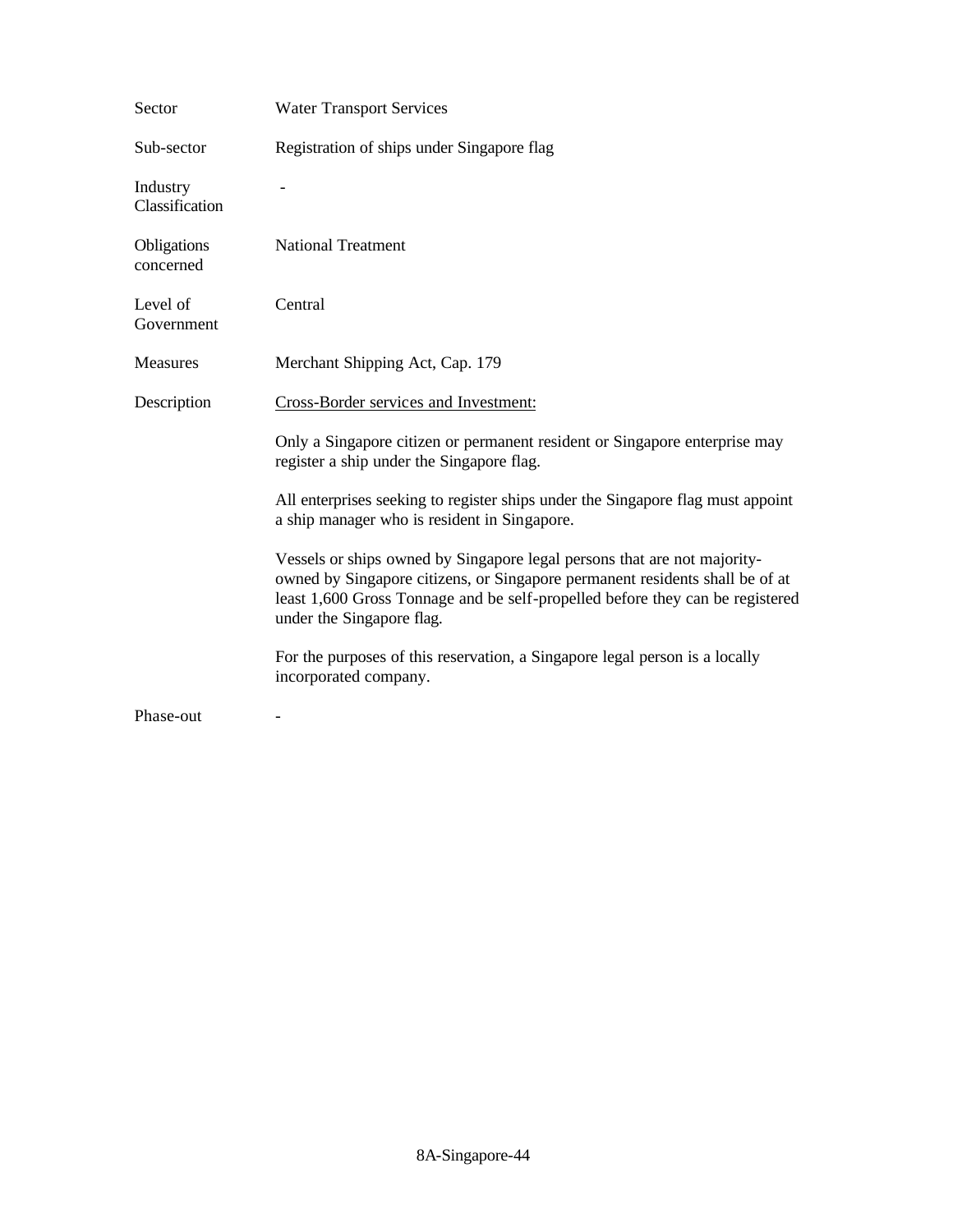| Sector                     | <b>Water Transport Services</b>                                                                                                                                                                                                                                        |
|----------------------------|------------------------------------------------------------------------------------------------------------------------------------------------------------------------------------------------------------------------------------------------------------------------|
| Sub-sector                 | Registration of ships under Singapore flag                                                                                                                                                                                                                             |
| Industry<br>Classification |                                                                                                                                                                                                                                                                        |
| Obligations<br>concerned   | <b>National Treatment</b>                                                                                                                                                                                                                                              |
| Level of<br>Government     | Central                                                                                                                                                                                                                                                                |
| <b>Measures</b>            | Merchant Shipping Act, Cap. 179                                                                                                                                                                                                                                        |
| Description                | Cross-Border services and Investment:                                                                                                                                                                                                                                  |
|                            | Only a Singapore citizen or permanent resident or Singapore enterprise may<br>register a ship under the Singapore flag.                                                                                                                                                |
|                            | All enterprises seeking to register ships under the Singapore flag must appoint<br>a ship manager who is resident in Singapore.                                                                                                                                        |
|                            | Vessels or ships owned by Singapore legal persons that are not majority-<br>owned by Singapore citizens, or Singapore permanent residents shall be of at<br>least 1,600 Gross Tonnage and be self-propelled before they can be registered<br>under the Singapore flag. |
|                            | For the purposes of this reservation, a Singapore legal person is a locally<br>incorporated company.                                                                                                                                                                   |
| Phase-out                  |                                                                                                                                                                                                                                                                        |